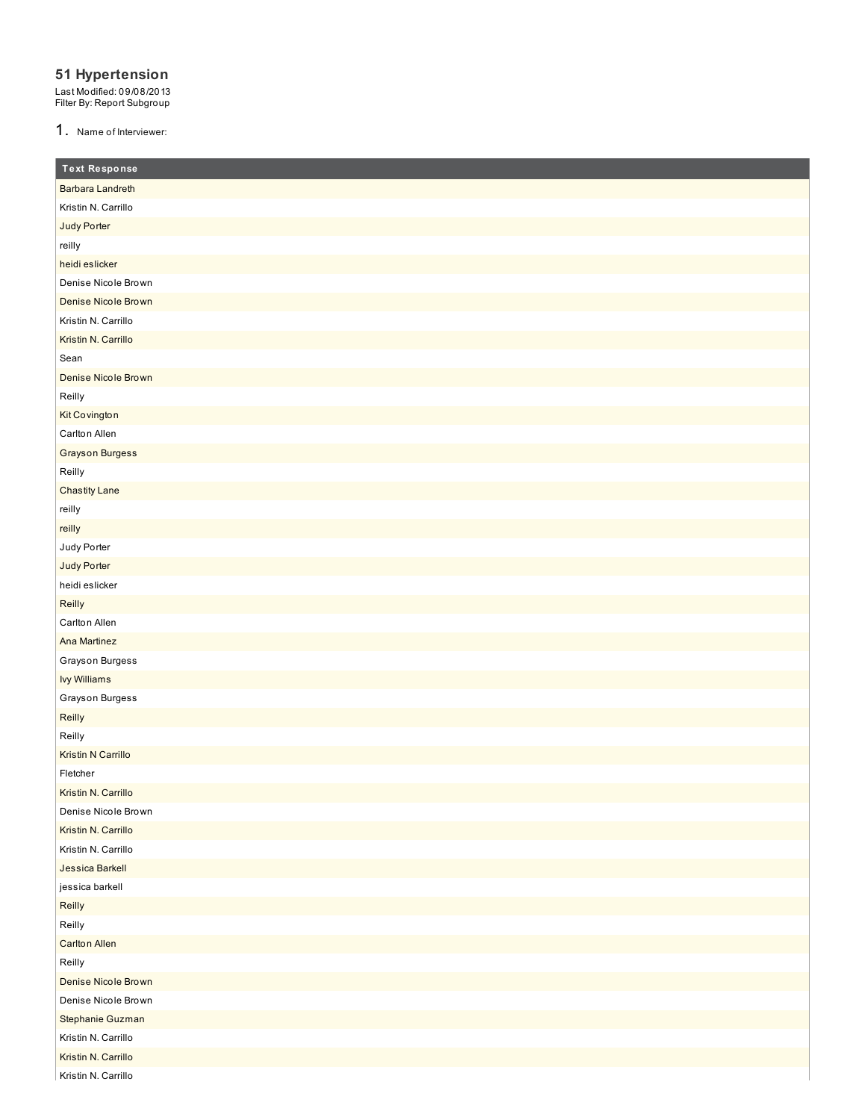### **51 Hypertension**

Last Modified: 09/08/2013 Filter By: Report Subgroup

1. Name of Interviewer:

| <b>Text Response</b>       |
|----------------------------|
| Barbara Landreth           |
| Kristin N. Carrillo        |
| Judy Porter                |
| reilly                     |
| heidi eslicker             |
| Denise Nicole Brown        |
| <b>Denise Nicole Brown</b> |
| Kristin N. Carrillo        |
| Kristin N. Carrillo        |
| Sean                       |
| <b>Denise Nicole Brown</b> |
| Reilly                     |
| Kit Covington              |
| Carlton Allen              |
| <b>Grayson Burgess</b>     |
| Reilly                     |
| <b>Chastity Lane</b>       |
| reilly                     |
| reilly                     |
| Judy Porter                |
| Judy Porter                |
| heidi eslicker             |
| Reilly                     |
| Carlton Allen              |
| Ana Martinez               |
| Grayson Burgess            |
| <b>Ivy Williams</b>        |
| Grayson Burgess            |
| Reilly                     |
| Reilly                     |
| <b>Kristin N Carrillo</b>  |
| Fletcher                   |
| Kristin N. Carrillo        |
| Denise Nicole Brown        |
| Kristin N. Carrillo        |
| Kristin N. Carrillo        |
| Jessica Barkell            |
| jessica barkell            |
| Reilly                     |
| Reilly                     |
| <b>Carlton Allen</b>       |
| Reilly                     |
| Denise Nicole Brown        |
| Denise Nicole Brown        |
| Stephanie Guzman           |
| Kristin N. Carrillo        |
| Kristin N. Carrillo        |
| Kristin N. Carrillo        |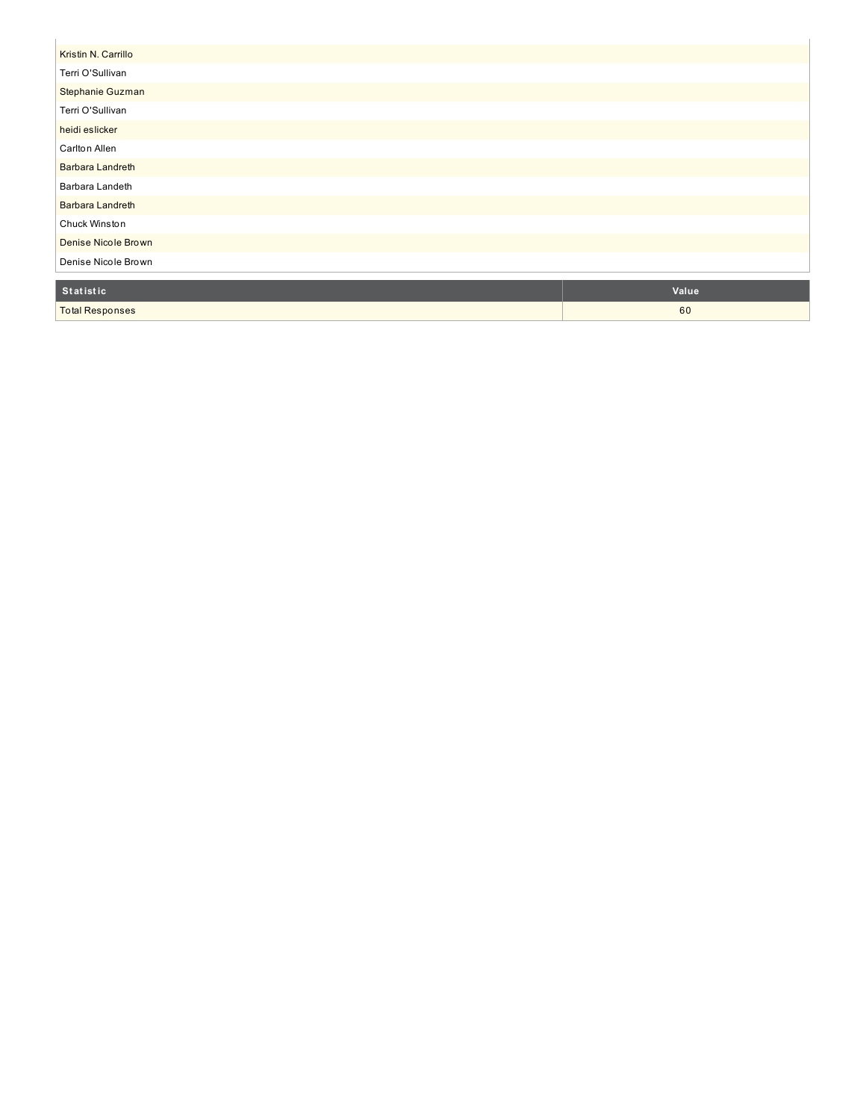| Kristin N. Carrillo     |  |
|-------------------------|--|
| Terri O'Sullivan        |  |
| Stephanie Guzman        |  |
| Terri O'Sullivan        |  |
| heidi eslicker          |  |
| Carlton Allen           |  |
| <b>Barbara Landreth</b> |  |
| Barbara Landeth         |  |
| <b>Barbara Landreth</b> |  |
| Chuck Winston           |  |
| Denise Nicole Brown     |  |
| Denise Nicole Brown     |  |
|                         |  |

| <b>Statistic</b>       | <b>Value</b> |
|------------------------|--------------|
| <b>Total Responses</b> | 60           |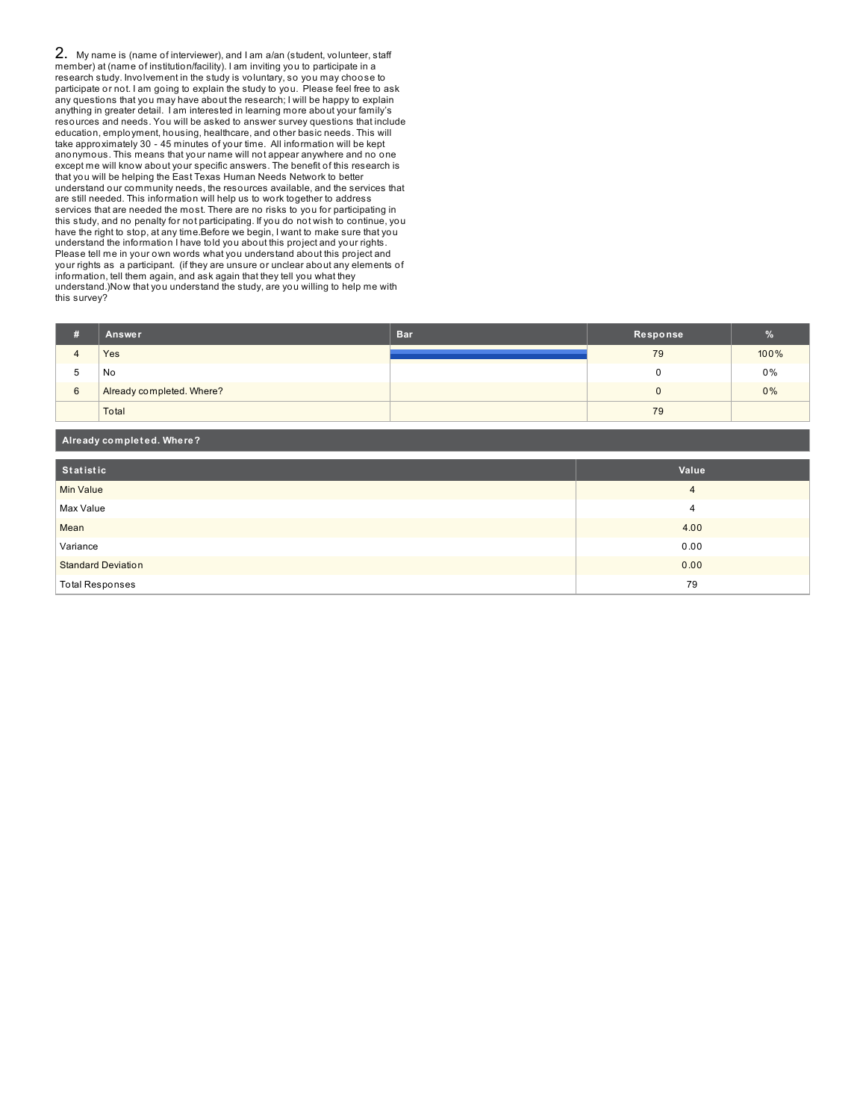2. My name is (name of interviewer), and I am a/an (student, volunteer, staff member) at (name of institution/facility). I am inviting you to participate in a research study. Involvement in the study is voluntary, so you may choose to participate or not. I am going to explain the study to you. Please feel free to ask any questions that you may have about the research; I will be happy to explain anything in greater detail. I am interested in learning more about your family's resources and needs. You will be asked to answer survey questions that include education, employment, housing, healthcare, and other basic needs. This will take approximately 30 - 45 minutes of your time. All information will be kept anonymous. This means that your name will not appear anywhere and no one except me will know about your specific answers. The benefit of this research is that you will be helping the East Texas Human Needs Network to better understand our community needs, the resources available, and the services that are still needed. This information will help us to work together to address services that are needed the most. There are no risks to you for participating in this study, and no penalty for not participating. If you do not wish to continue, you have the right to stop, at any time.Before we begin, I want to make sure that you understand the information I have told you about this project and your rights. Please tell me in your own words what you understand about this project and your rights as a participant. (if they are unsure or unclear about any elements of information, tell them again, and ask again that they tell you what they understand.)Now that you understand the study, are you willing to help me with this survey?

**Already complet ed. Where?**

|                | Answer                    | <b>Bar</b> | Response |      |
|----------------|---------------------------|------------|----------|------|
| $\overline{ }$ | Yes                       |            | 79       | 100% |
| 5              | No                        |            |          | 0%   |
| 6              | Already completed. Where? |            |          | 0%   |
|                | Total                     |            | 79       |      |

| Statistic                 | Value |  |  |
|---------------------------|-------|--|--|
| <b>Min Value</b>          | 4     |  |  |
| Max Value                 | 4     |  |  |
| Mean                      | 4.00  |  |  |
| Variance                  | 0.00  |  |  |
| <b>Standard Deviation</b> | 0.00  |  |  |
| <b>Total Responses</b>    | 79    |  |  |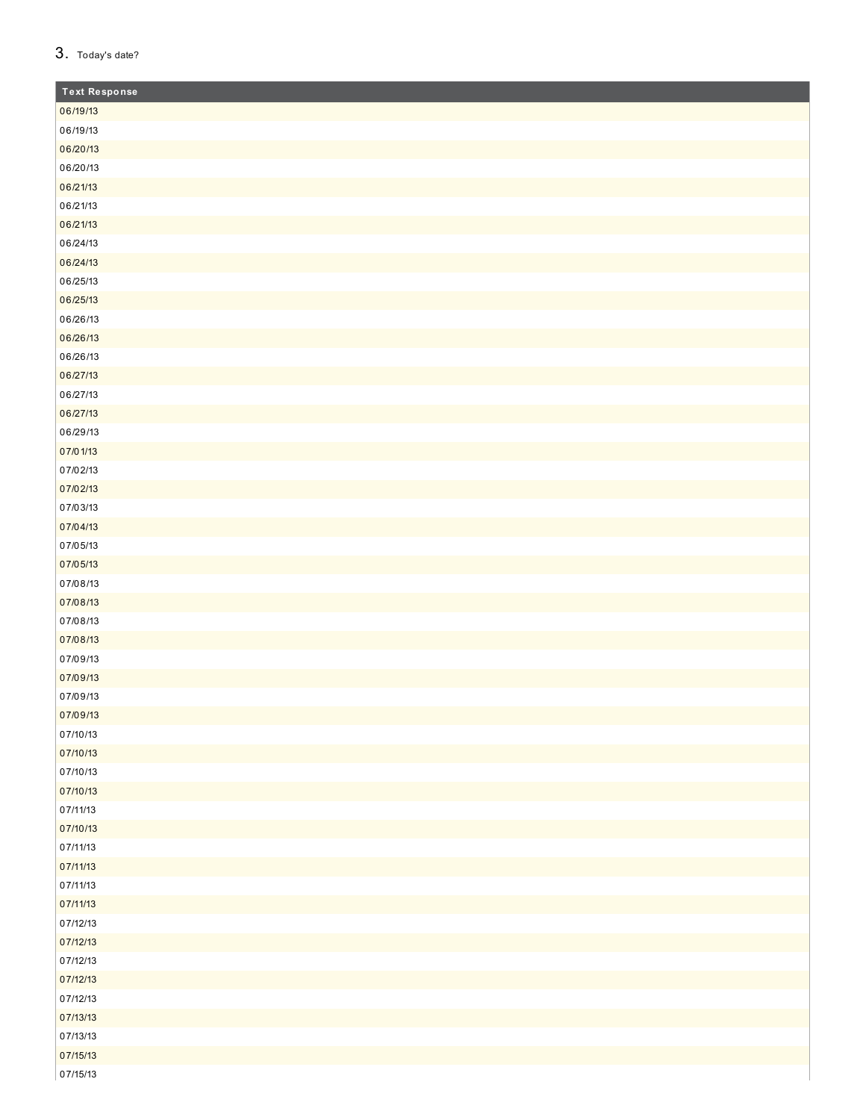| 3. |  | Today's date? |
|----|--|---------------|
|----|--|---------------|

| <b>Text Response</b> |
|----------------------|
| 06/19/13             |
| 06/19/13             |
| 06/20/13             |
| 06/20/13             |
| 06/21/13             |
| 06/21/13             |
| 06/21/13             |
| 06/24/13             |
| 06/24/13             |
| 06/25/13             |
| 06/25/13             |
| 06/26/13             |
| 06/26/13             |
| 06/26/13             |
| 06/27/13             |
| 06/27/13             |
| 06/27/13             |
| 06/29/13             |
| 07/01/13             |
| 07/02/13             |
| 07/02/13             |
| 07/03/13             |
| 07/04/13             |
| 07/05/13             |
| 07/05/13             |
| 07/08/13             |
| 07/08/13             |
| 07/08/13             |
| 07/08/13             |
| 07/09/13             |
| 07/09/13             |
| 07/09/13             |
| 07/09/13             |
| 07/10/13             |
| 07/10/13             |
| 07/10/13             |
| 07/10/13             |
| 07/11/13             |
| 07/10/13             |
| 07/11/13             |
| 07/11/13             |
| 07/11/13             |
| 07/11/13             |
| 07/12/13             |
| 07/12/13             |
| 07/12/13             |
| 07/12/13             |
| 07/12/13             |
| 07/13/13             |
| 07/13/13             |
| 07/15/13             |
| 07/15/13             |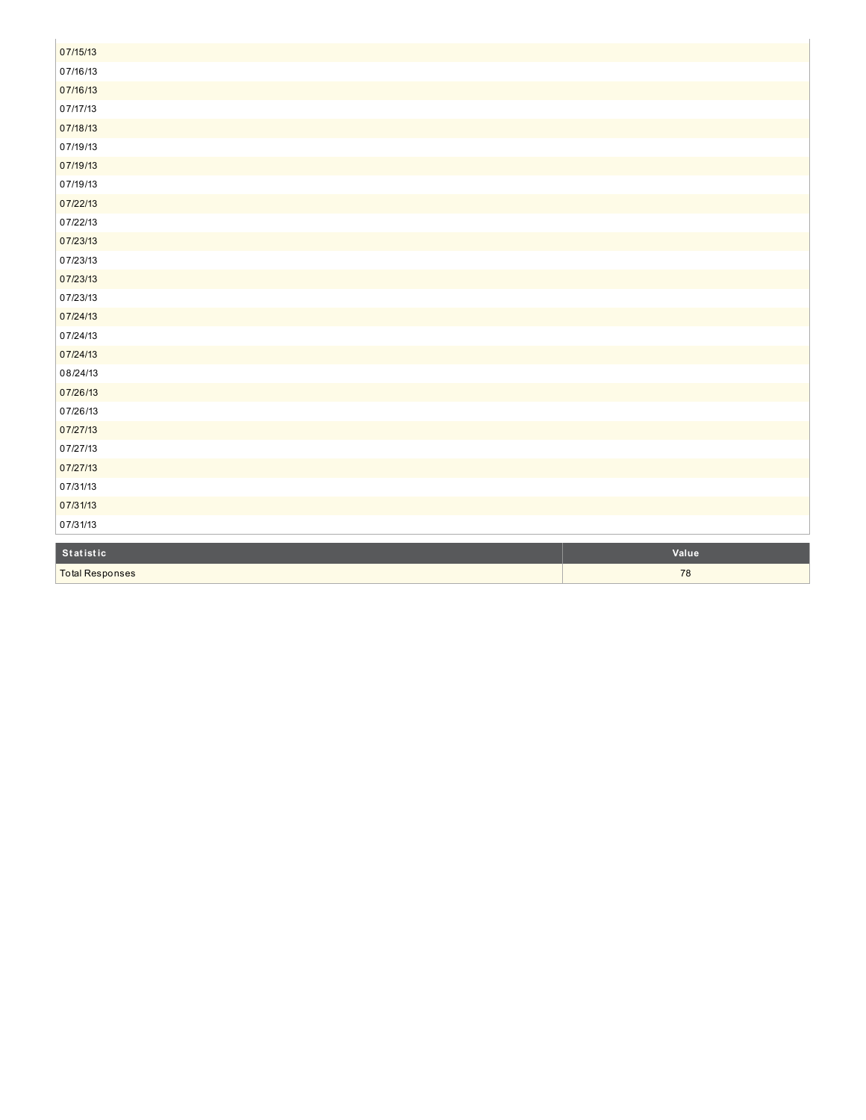| 07/15/13               |       |
|------------------------|-------|
| 07/16/13               |       |
| 07/16/13               |       |
| 07/17/13               |       |
| 07/18/13               |       |
| 07/19/13               |       |
| 07/19/13               |       |
| 07/19/13               |       |
| 07/22/13               |       |
| 07/22/13               |       |
| 07/23/13               |       |
| 07/23/13               |       |
| 07/23/13               |       |
| 07/23/13               |       |
| 07/24/13               |       |
| 07/24/13               |       |
| 07/24/13               |       |
| 08/24/13               |       |
| 07/26/13               |       |
| 07/26/13               |       |
| 07/27/13               |       |
| 07/27/13               |       |
| 07/27/13               |       |
| 07/31/13               |       |
| 07/31/13               |       |
| 07/31/13               |       |
|                        |       |
| Statistic              | Value |
| <b>Total Responses</b> | 78    |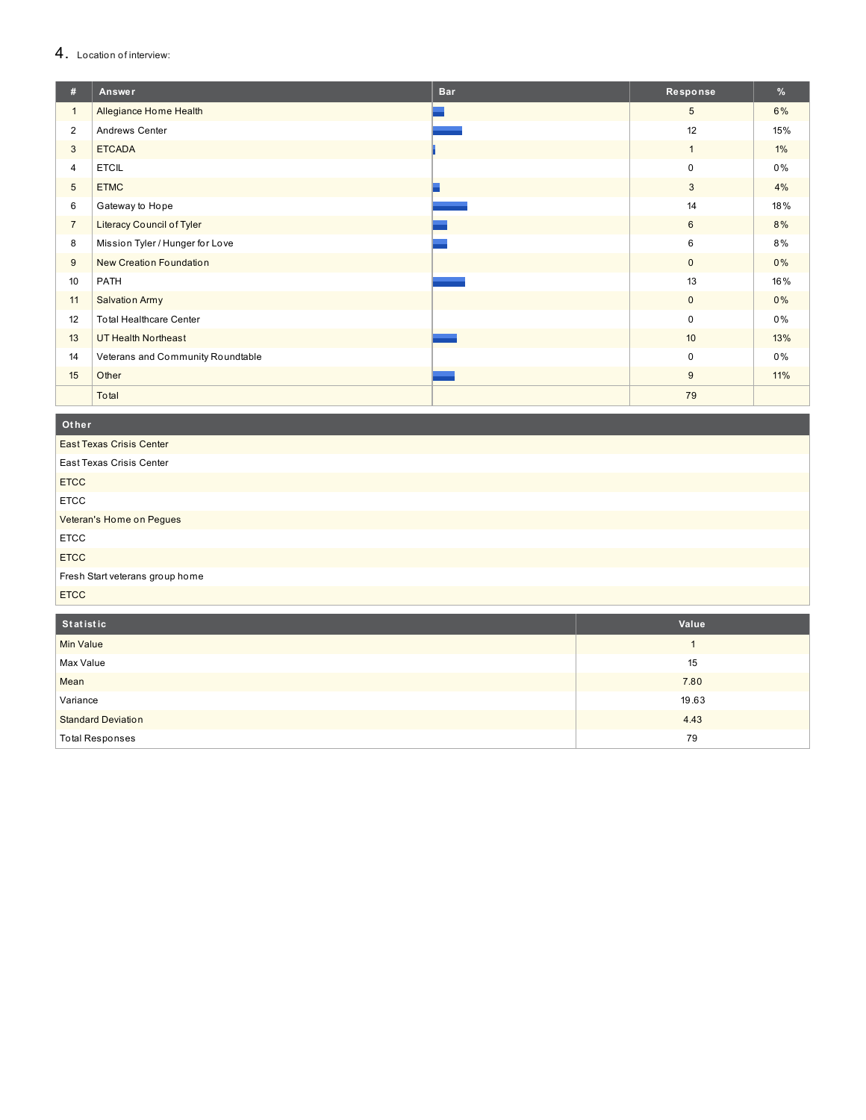#### 4. Location of interview:

| #              | Answer                            | <b>Bar</b> | Response        | %     |
|----------------|-----------------------------------|------------|-----------------|-------|
| $\mathbf{1}$   | Allegiance Home Health            |            | $5\phantom{.0}$ | 6%    |
| $\overline{2}$ | Andrews Center                    |            | 12              | 15%   |
| 3              | <b>ETCADA</b>                     |            | $\mathbf{1}$    | $1\%$ |
| $\overline{4}$ | <b>ETCIL</b>                      |            | $\mathbf 0$     | 0%    |
| 5              | <b>ETMC</b>                       |            | 3               | 4%    |
| 6              | Gateway to Hope                   |            | 14              | 18%   |
| $\overline{7}$ | <b>Literacy Council of Tyler</b>  |            | 6               | 8%    |
| 8              | Mission Tyler / Hunger for Love   |            | 6               | 8%    |
| 9              | New Creation Foundation           |            | $\mathbf 0$     | 0%    |
| 10             | PATH                              |            | 13              | 16%   |
| 11             | <b>Salvation Army</b>             |            | $\mathbf 0$     | 0%    |
| 12             | <b>Total Healthcare Center</b>    |            | $\mathbf 0$     | 0%    |
| 13             | <b>UT Health Northeast</b>        |            | 10              | 13%   |
| 14             | Veterans and Community Roundtable |            | 0               | 0%    |
| 15             | Other                             |            | 9               | 11%   |
|                | Total                             |            | 79              |       |

**O t h e r**

East Texas Crisis Center East Texas Crisis Center **ETCC** E T C C Veteran's Home on Pegues E T C C **ETCC** Fresh Start veterans group home **ETCC** 

| Statistic                 | Value |
|---------------------------|-------|
| Min Value                 |       |
| Max Value                 | 15    |
| Mean                      | 7.80  |
| Variance                  | 19.63 |
| <b>Standard Deviation</b> | 4.43  |
| <b>Total Responses</b>    | 79    |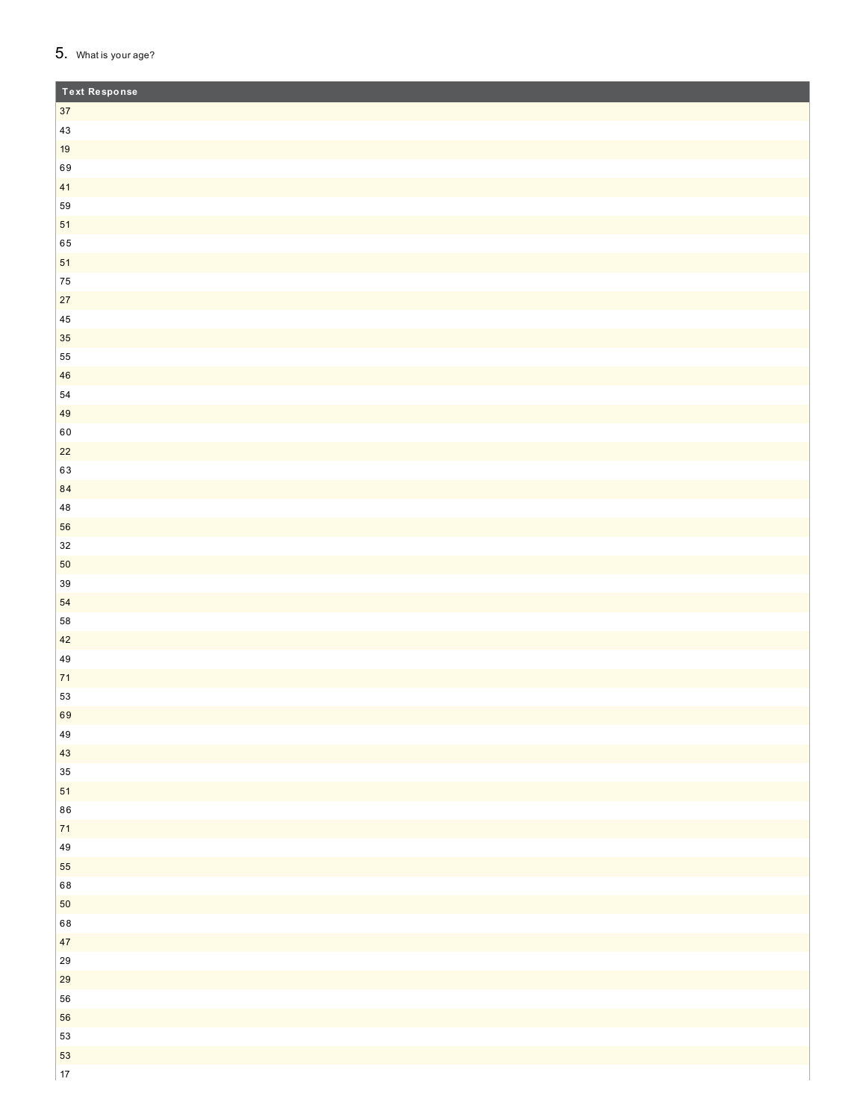### 5. What is your age?

| Text Response |  |
|---------------|--|
| $37\,$        |  |
| $43\,$        |  |
| $19$          |  |
| 69            |  |
| 41            |  |
| 59            |  |
| 51            |  |
| 65            |  |
| 51            |  |
| 75            |  |
| $27\,$        |  |
| $\bf 45$      |  |
| 35            |  |
| 55            |  |
| 46            |  |
| $54\,$        |  |
| 49            |  |
| 60            |  |
| $22$<br>63    |  |
| 84            |  |
| $\bf 48$      |  |
| 56            |  |
| $32\,$        |  |
| 50            |  |
| 39            |  |
| 54            |  |
| 58            |  |
| 42            |  |
| $\bf 49$      |  |
| $71$          |  |
| 53            |  |
| 69            |  |
| 49            |  |
| 43            |  |
| $35\,$        |  |
| 51            |  |
| 86            |  |
| $\mathbf{71}$ |  |
| 49            |  |
| 55            |  |
| 68            |  |
| $50\,$        |  |
| 68            |  |
| 47            |  |
| 29            |  |
| 29            |  |
| 56            |  |
| 56            |  |
| 53            |  |
| 53            |  |
| $17\,$        |  |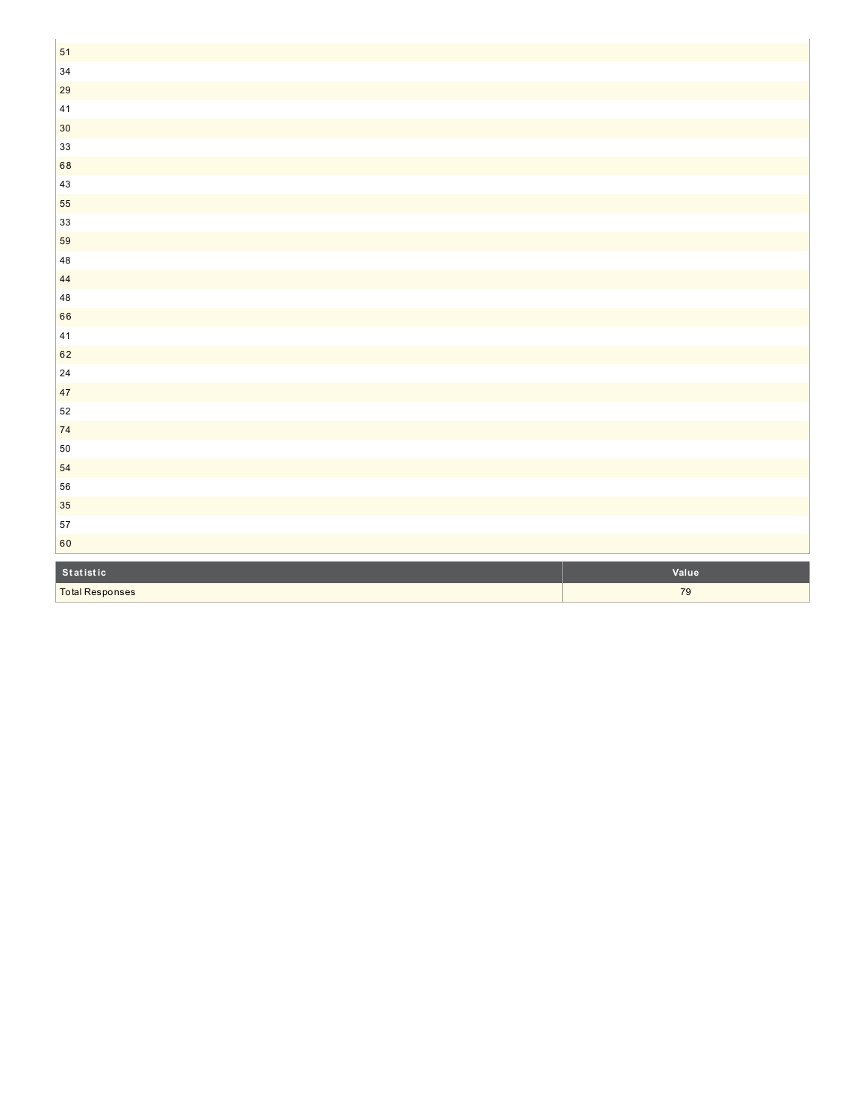| 51                     |       |
|------------------------|-------|
| $34\,$                 |       |
| 29                     |       |
| 41                     |       |
| $30\,$                 |       |
| 33                     |       |
| 68                     |       |
| 43                     |       |
| 55                     |       |
| 33                     |       |
| 59                     |       |
| $\bf 48$               |       |
| 44                     |       |
| $\bf 48$               |       |
| 66                     |       |
| $41\,$                 |       |
| 62                     |       |
| $24\,$                 |       |
| 47                     |       |
| 52                     |       |
| $74$                   |       |
| $50\,$                 |       |
| 54                     |       |
| 56                     |       |
| 35                     |       |
| 57                     |       |
| 60                     |       |
| Statistic              | Value |
| <b>Total Responses</b> | 79    |
|                        |       |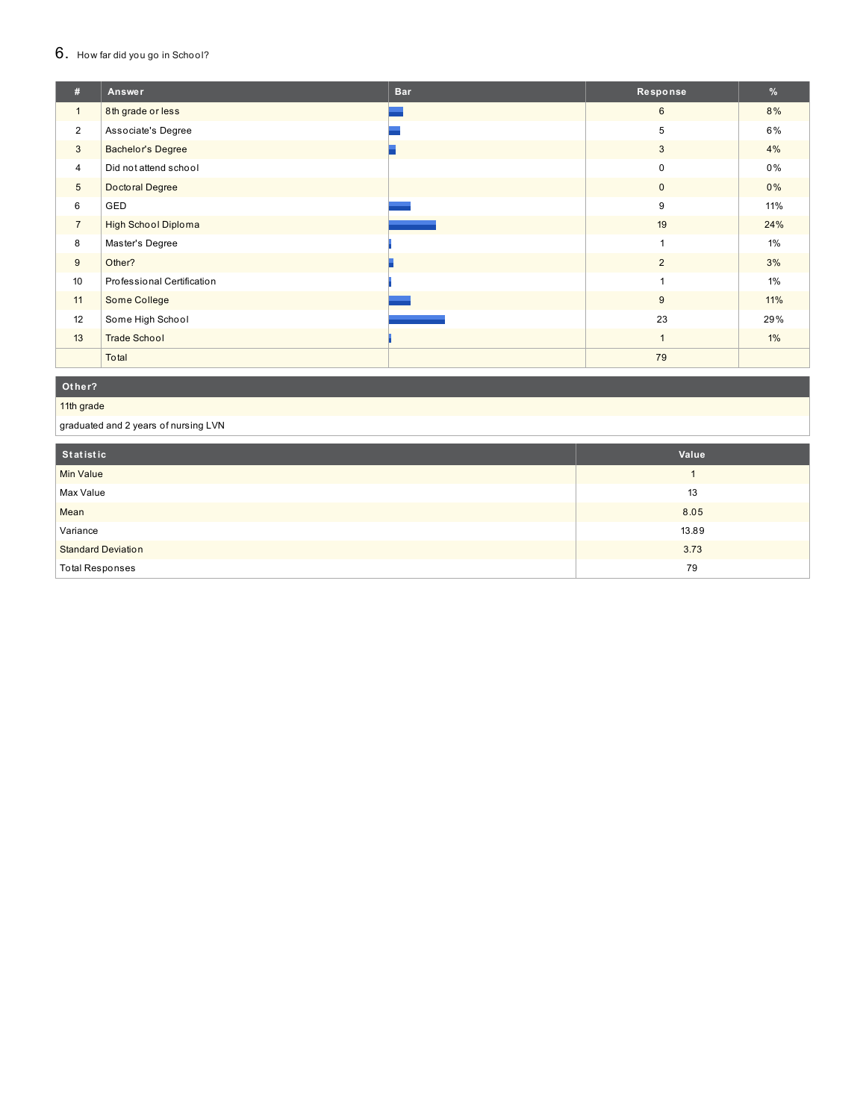#### $6.$  How far did you go in School?

| #               | Answer                     | <b>Bar</b> | Response       | %     |
|-----------------|----------------------------|------------|----------------|-------|
| $\mathbf{1}$    | 8th grade or less          |            | $6\phantom{1}$ | 8%    |
| $\overline{2}$  | Associate's Degree         |            | 5              | 6%    |
| 3               | <b>Bachelor's Degree</b>   |            | 3              | 4%    |
| 4               | Did not attend school      |            | 0              | $0\%$ |
| $5\phantom{.0}$ | Doctoral Degree            |            | 0              | $0\%$ |
| 6               | GED                        |            | 9              | 11%   |
| $\overline{7}$  | High School Diploma        |            | 19             | 24%   |
| 8               | Master's Degree            |            | $\mathbf{1}$   | 1%    |
| 9               | Other?                     |            | $\overline{2}$ | 3%    |
| 10              | Professional Certification |            | 1              | 1%    |
| 11              | Some College               |            | 9              | 11%   |
| 12              | Some High School           |            | 23             | 29%   |
| 13              | <b>Trade School</b>        |            | $\mathbf{1}$   | $1\%$ |
|                 | Total                      |            | 79             |       |

#### **O t h e r ?**

#### 11th grade

graduated and 2 years of nursing LVN

| Statistic                 | Value |
|---------------------------|-------|
| <b>Min Value</b>          |       |
| Max Value                 | 13    |
| Mean                      | 8.05  |
| Variance                  | 13.89 |
| <b>Standard Deviation</b> | 3.73  |
| <b>Total Responses</b>    | 79    |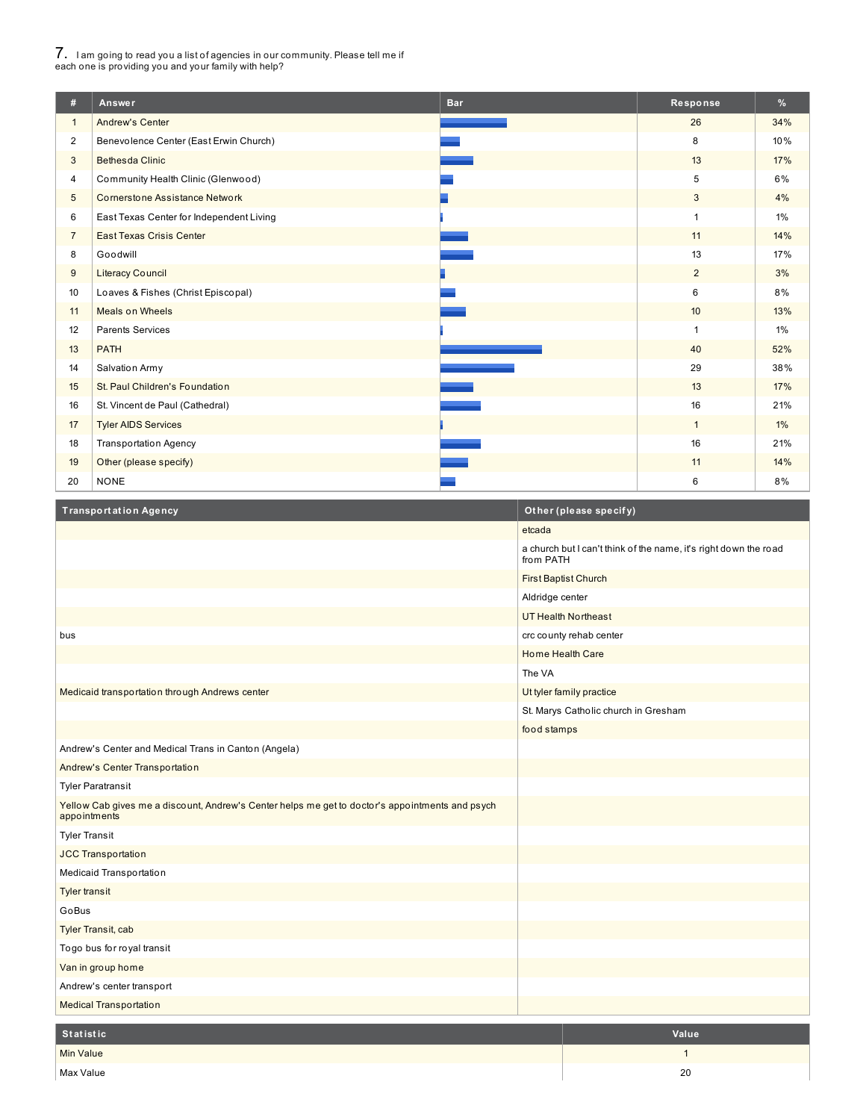# 7. <sup>I</sup> am going to read you <sup>a</sup> list of agencies in our community. Please tell me if each one is providing you and your family with help?

I

| #               | Answer                                   | <b>Bar</b> | Response       | $\frac{9}{6}$ |
|-----------------|------------------------------------------|------------|----------------|---------------|
| $\mathbf{1}$    | <b>Andrew's Center</b>                   |            | 26             | 34%           |
| $\overline{2}$  | Benevolence Center (East Erwin Church)   |            | 8              | 10%           |
| 3               | <b>Bethesda Clinic</b>                   |            | 13             | 17%           |
| 4               | Community Health Clinic (Glenwood)       |            | 5              | 6%            |
| $5\phantom{.0}$ | <b>Cornerstone Assistance Network</b>    |            | 3              | 4%            |
| 6               | East Texas Center for Independent Living |            | $\overline{1}$ | $1\%$         |
| $\overline{7}$  | <b>East Texas Crisis Center</b>          |            | 11             | 14%           |
| 8               | Goodwill                                 |            | 13             | 17%           |
| 9               | <b>Literacy Council</b>                  |            | $\overline{2}$ | 3%            |
| 10              | Loaves & Fishes (Christ Episcopal)       |            | 6              | 8%            |
| 11              | <b>Meals on Wheels</b>                   |            | 10             | 13%           |
| 12              | <b>Parents Services</b>                  |            | $\overline{1}$ | $1\%$         |
| 13              | <b>PATH</b>                              |            | 40             | 52%           |
| 14              | Salvation Army                           |            | 29             | 38%           |
| 15              | St. Paul Children's Foundation           |            | 13             | 17%           |
| 16              | St. Vincent de Paul (Cathedral)          |            | 16             | 21%           |
| 17              | <b>Tyler AIDS Services</b>               |            | $\mathbf{1}$   | $1\%$         |
| 18              | <b>Transportation Agency</b>             |            | 16             | 21%           |
| 19              | Other (please specify)                   |            | 11             | 14%           |
| 20              | <b>NONE</b>                              |            | 6              | 8%            |

| <b>Transportation Agency</b>                                                                                    |                             | Other (please specify)                                           |
|-----------------------------------------------------------------------------------------------------------------|-----------------------------|------------------------------------------------------------------|
|                                                                                                                 | etcada                      |                                                                  |
|                                                                                                                 | from PATH                   | a church but I can't think of the name, it's right down the road |
|                                                                                                                 | <b>First Baptist Church</b> |                                                                  |
|                                                                                                                 | Aldridge center             |                                                                  |
|                                                                                                                 |                             | <b>UT Health Northeast</b>                                       |
| bus                                                                                                             |                             | crc county rehab center                                          |
|                                                                                                                 | Home Health Care            |                                                                  |
|                                                                                                                 | The VA                      |                                                                  |
| Medicaid transportation through Andrews center                                                                  |                             | Ut tyler family practice                                         |
|                                                                                                                 |                             | St. Marys Catholic church in Gresham                             |
|                                                                                                                 | food stamps                 |                                                                  |
| Andrew's Center and Medical Trans in Canton (Angela)                                                            |                             |                                                                  |
| Andrew's Center Transportation                                                                                  |                             |                                                                  |
| <b>Tyler Paratransit</b>                                                                                        |                             |                                                                  |
| Yellow Cab gives me a discount, Andrew's Center helps me get to doctor's appointments and psych<br>appointments |                             |                                                                  |
| <b>Tyler Transit</b>                                                                                            |                             |                                                                  |
| <b>JCC Transportation</b>                                                                                       |                             |                                                                  |
| Medicaid Transportation                                                                                         |                             |                                                                  |
| <b>Tyler transit</b>                                                                                            |                             |                                                                  |
| GoBus                                                                                                           |                             |                                                                  |
| Tyler Transit, cab                                                                                              |                             |                                                                  |
| Togo bus for royal transit                                                                                      |                             |                                                                  |
| Van in group home                                                                                               |                             |                                                                  |
| Andrew's center transport                                                                                       |                             |                                                                  |
| <b>Medical Transportation</b>                                                                                   |                             |                                                                  |
| <b>Statistic</b>                                                                                                |                             | Value                                                            |
| Min Value                                                                                                       |                             | $\mathbf{1}$                                                     |
| Max Value                                                                                                       |                             | 20                                                               |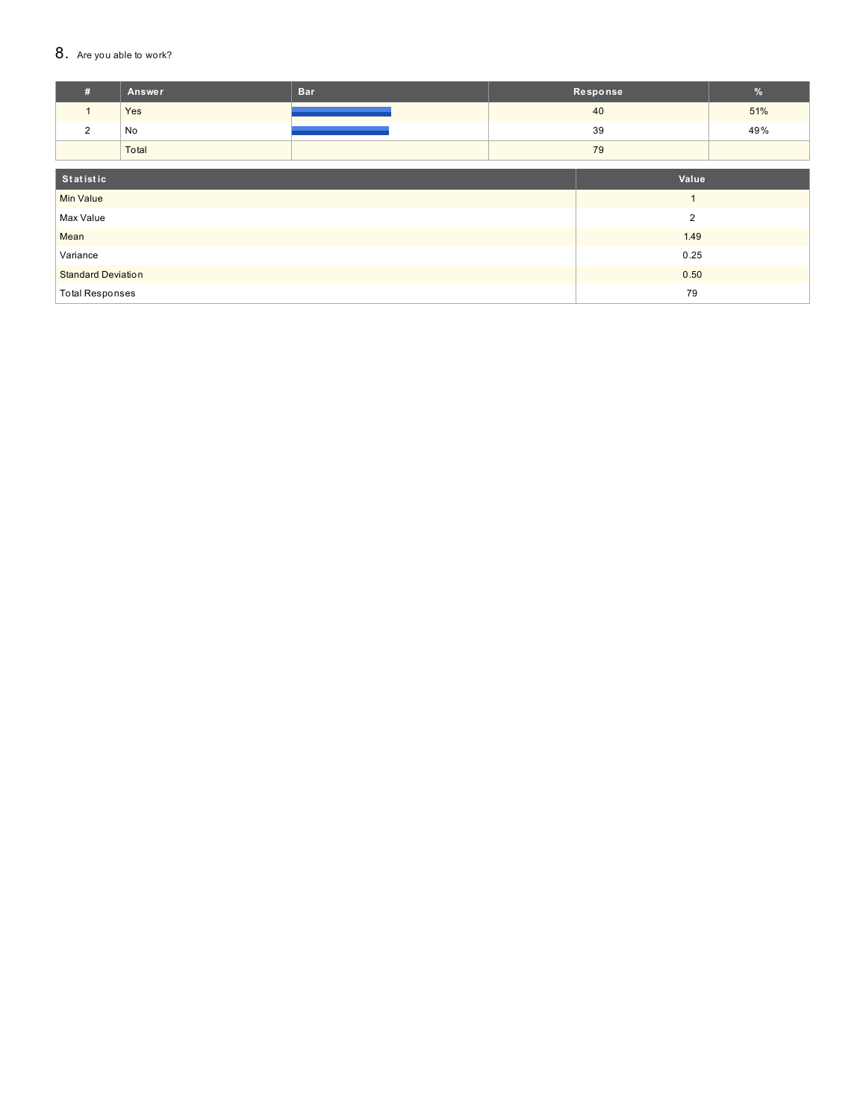### 8. Are you able to work?

| #                         | Answer | <b>Bar</b> |                | Response | %   |
|---------------------------|--------|------------|----------------|----------|-----|
| $\mathbf{1}$              | Yes    |            |                | 40       | 51% |
| 2                         | No     |            |                | 39       | 49% |
|                           | Total  |            |                | 79       |     |
|                           |        |            |                |          |     |
| Statistic                 |        |            | Value          |          |     |
| <b>Min Value</b>          |        |            |                |          |     |
| Max Value                 |        |            | $\overline{2}$ |          |     |
| Mean                      |        |            | 1.49           |          |     |
| Variance                  |        |            | 0.25           |          |     |
| <b>Standard Deviation</b> |        |            | 0.50           |          |     |
| <b>Total Responses</b>    |        |            | 79             |          |     |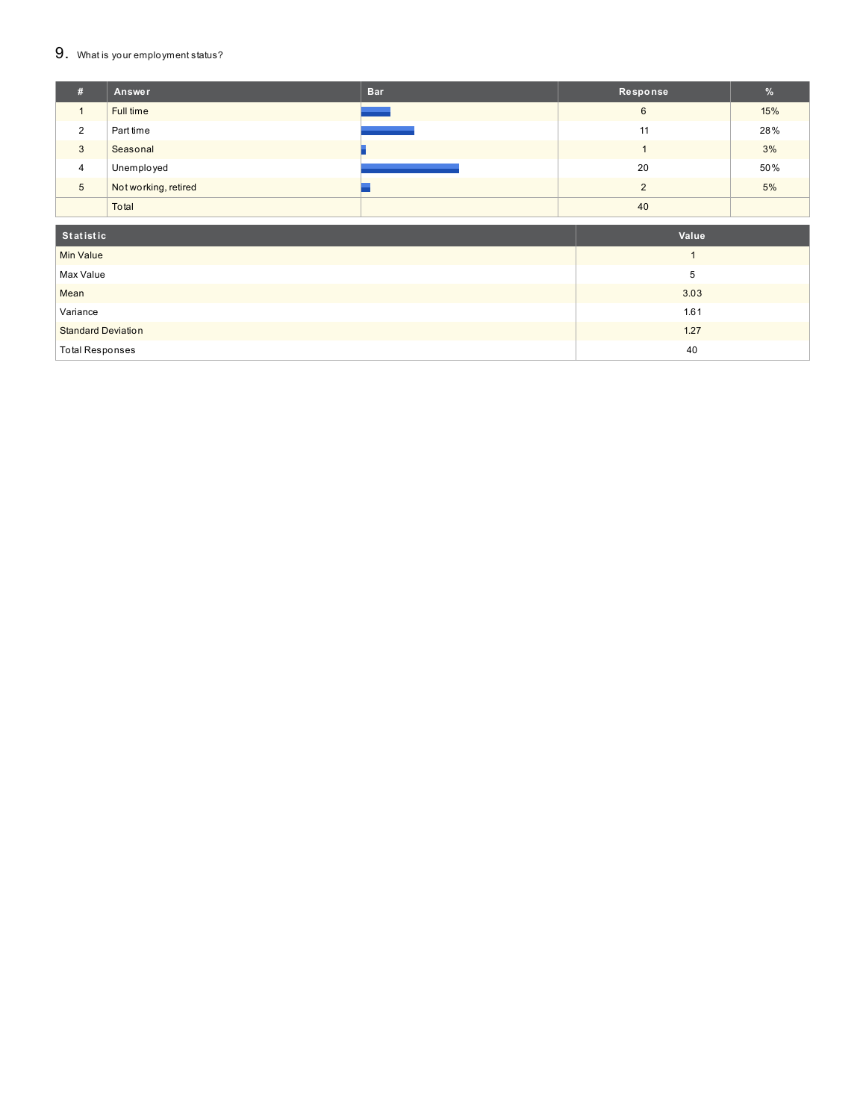### 9. What is your employment status?

| Ħ. | Answer               | <b>Bar</b> | Response | $\frac{9}{6}$ |
|----|----------------------|------------|----------|---------------|
|    | Full time            |            | 6        | 15%           |
| 2  | Part time            |            | 11       | 28%           |
| 3  | Seasonal             |            |          | 3%            |
| 4  | Unemployed           |            | 20       | 50%           |
| 5  | Not working, retired |            | っ        | 5%            |
|    | Total                |            | 40       |               |
|    |                      |            |          |               |

| Statistic                 | Value |
|---------------------------|-------|
| <b>Min Value</b>          |       |
| Max Value                 | b     |
| Mean                      | 3.03  |
| Variance                  | 1.61  |
| <b>Standard Deviation</b> | 1.27  |
| Total Responses           | 40    |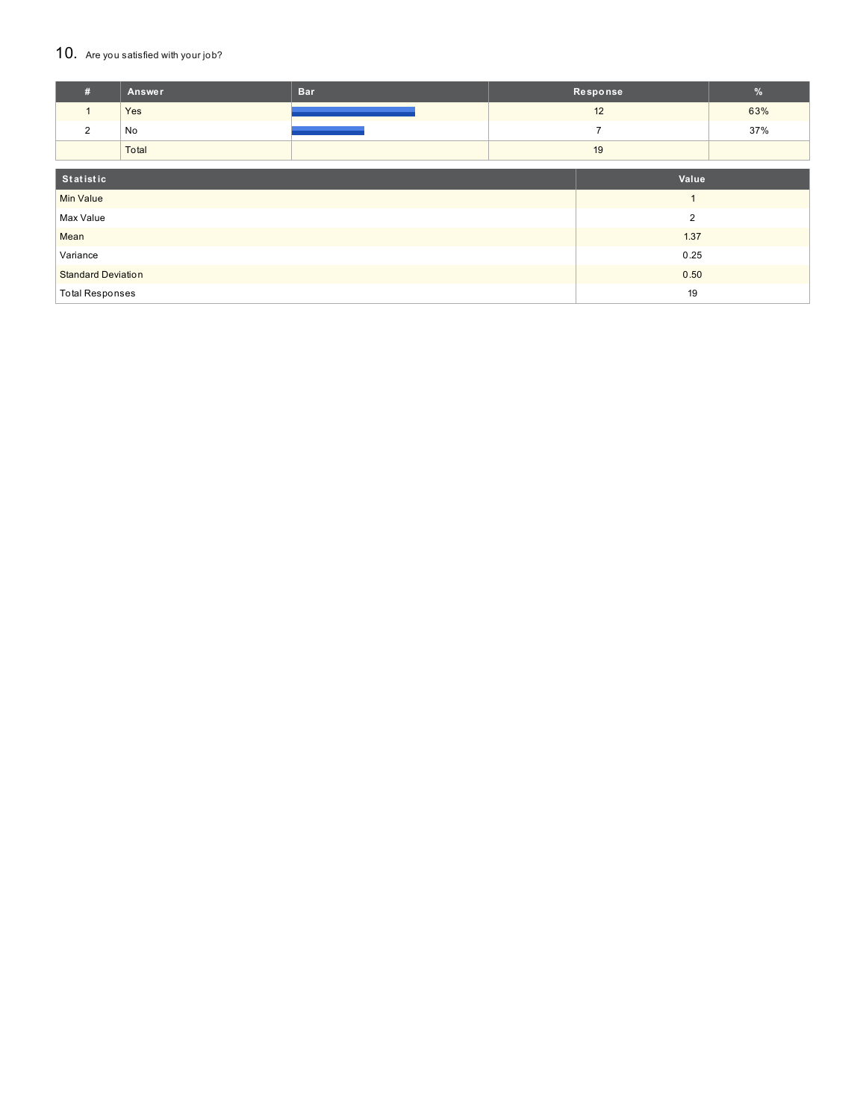### 10. Are you satisfied with your job?

| #                         | <b>Answer</b> | <b>Bar</b> |                | Response       | $\frac{9}{6}$ |
|---------------------------|---------------|------------|----------------|----------------|---------------|
| $\mathbf{1}$              | Yes           |            |                | 12             | 63%           |
| 2                         | No            |            |                | $\overline{7}$ | 37%           |
|                           | Total         |            |                | 19             |               |
|                           |               |            |                |                |               |
| Statistic                 |               |            | Value          |                |               |
| <b>Min Value</b>          |               |            |                |                |               |
| Max Value                 |               |            | $\overline{2}$ |                |               |
| Mean                      |               |            | 1.37           |                |               |
| Variance                  |               |            | 0.25           |                |               |
| <b>Standard Deviation</b> |               |            | 0.50           |                |               |
| <b>Total Responses</b>    |               |            | 19             |                |               |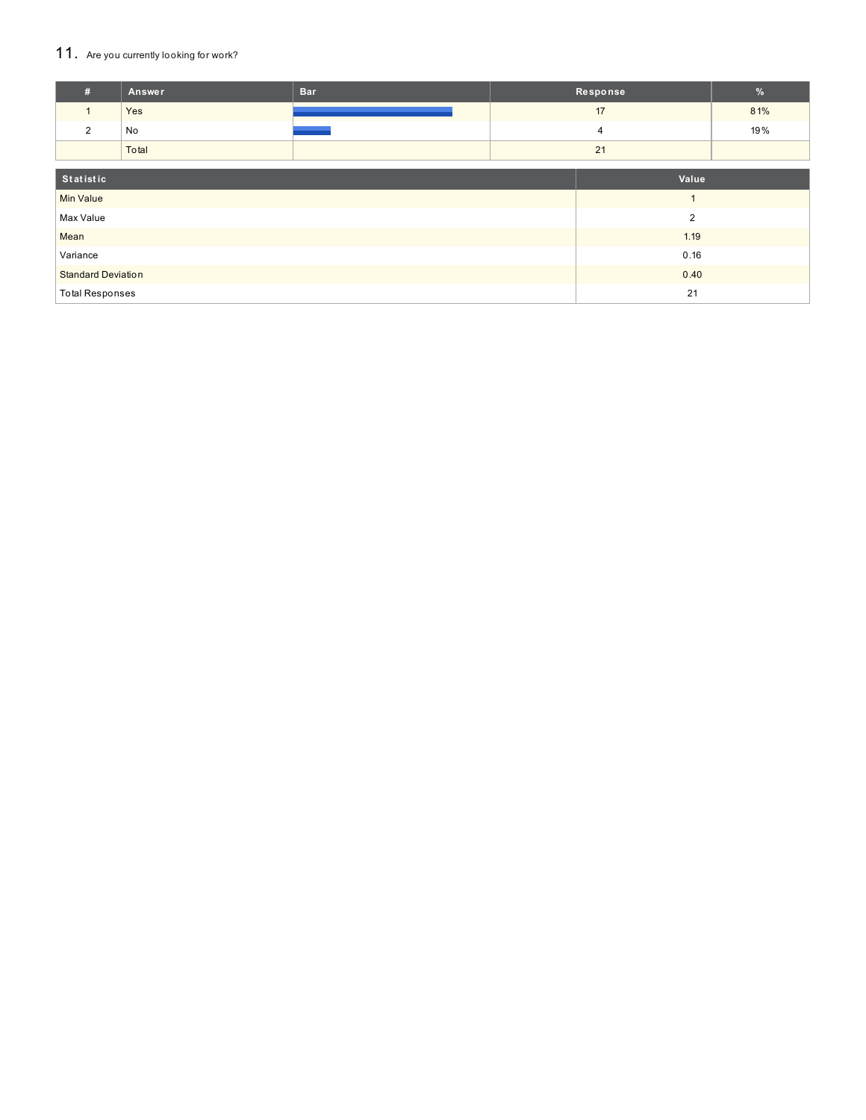### 11. Are you currently looking for work?

| #                         | Answer | <b>Bar</b>     |                | Response | $\%$ |
|---------------------------|--------|----------------|----------------|----------|------|
|                           | Yes    |                |                | 17       | 81%  |
| $\overline{2}$            | No     |                |                | 4        | 19%  |
|                           | Total  |                |                | 21       |      |
| Statistic                 |        |                | Value          |          |      |
| <b>Min Value</b>          |        | $\overline{A}$ |                |          |      |
| Max Value                 |        |                | $\overline{2}$ |          |      |
| Mean                      |        |                | 1.19           |          |      |
| Variance                  |        |                | 0.16           |          |      |
| <b>Standard Deviation</b> |        |                | 0.40           |          |      |
| <b>Total Responses</b>    |        |                | 21             |          |      |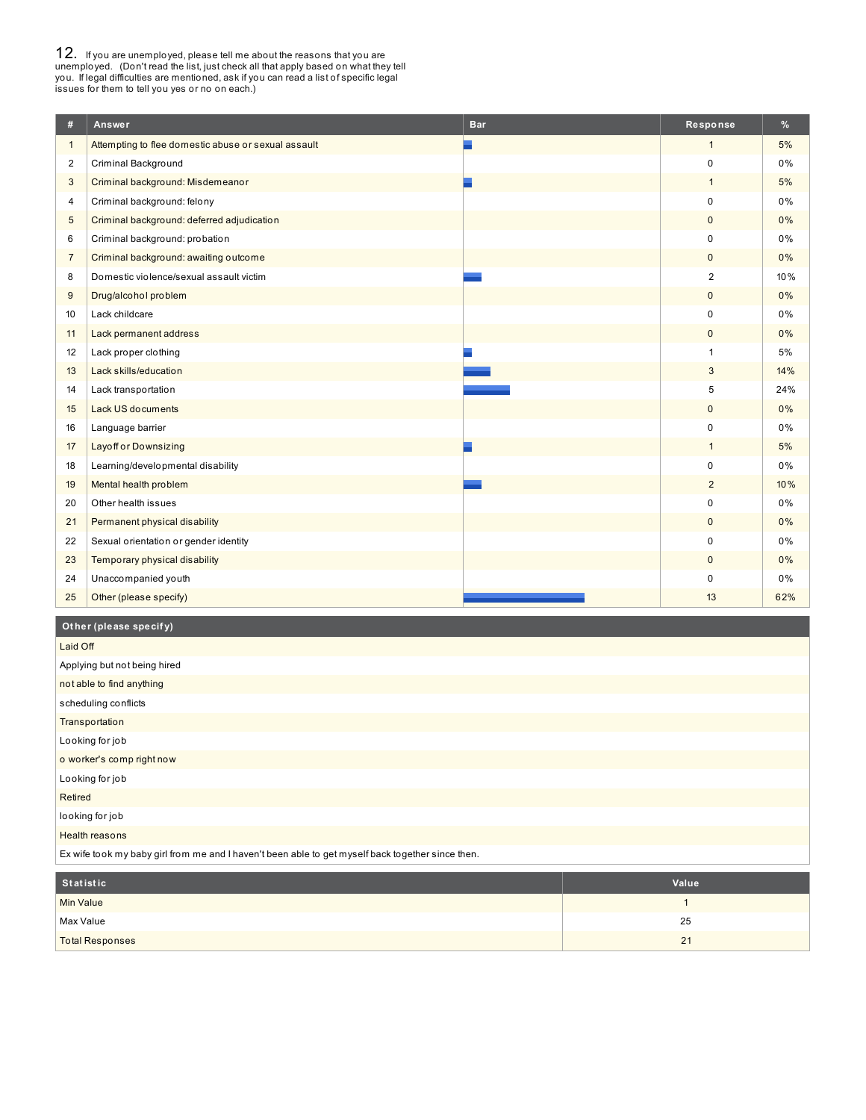**12.** If you are unemployed, please tell me about the reasons that you are unemployed. (Don't read the list, just check all that apply based on what they tell you. If legal difficulties are mentioned, ask if you can read a

| #              | Answer                                              | <b>Bar</b> | Response       | %     |
|----------------|-----------------------------------------------------|------------|----------------|-------|
| $\mathbf{1}$   | Attempting to flee domestic abuse or sexual assault |            | $\mathbf{1}$   | 5%    |
| 2              | Criminal Background                                 |            | 0              | 0%    |
| 3              | Criminal background: Misdemeanor                    |            | $\mathbf{1}$   | 5%    |
| 4              | Criminal background: felony                         |            | $\Omega$       | 0%    |
| 5              | Criminal background: deferred adjudication          |            | $\mathbf 0$    | 0%    |
| 6              | Criminal background: probation                      |            | 0              | 0%    |
| $\overline{7}$ | Criminal background: awaiting outcome               |            | $\mathbf{0}$   | 0%    |
| 8              | Domestic violence/sexual assault victim             |            | 2              | 10%   |
| 9              | Drug/alcohol problem                                |            | $\mathbf{0}$   | 0%    |
| 10             | Lack childcare                                      |            | $\Omega$       | $0\%$ |
| 11             | Lack permanent address                              |            | $\mathbf{0}$   | 0%    |
| 12             | Lack proper clothing                                |            | $\overline{1}$ | 5%    |
| 13             | Lack skills/education                               |            | 3              | 14%   |
| 14             | Lack transportation                                 |            | 5              | 24%   |
| 15             | <b>Lack US documents</b>                            |            | $\mathbf{0}$   | 0%    |
| 16             | Language barrier                                    |            | $\mathbf 0$    | 0%    |
| 17             | <b>Layoff or Downsizing</b>                         |            | $\mathbf{1}$   | 5%    |
| 18             | Learning/developmental disability                   |            | 0              | 0%    |
| 19             | Mental health problem                               |            | 2              | 10%   |
| 20             | Other health issues                                 |            | $\mathbf 0$    | 0%    |
| 21             | Permanent physical disability                       |            | $\mathbf{0}$   | 0%    |
| 22             | Sexual orientation or gender identity               |            | $\mathbf 0$    | 0%    |
| 23             | Temporary physical disability                       |            | $\mathbf{0}$   | 0%    |
| 24             | Unaccompanied youth                                 |            | $\mathbf 0$    | 0%    |
| 25             | Other (please specify)                              |            | 13             | 62%   |

#### **Ot her (please specif y)**

| Laid Off                     |  |  |  |  |
|------------------------------|--|--|--|--|
| Applying but not being hired |  |  |  |  |
| not able to find anything    |  |  |  |  |
| scheduling conflicts         |  |  |  |  |
| Transportation               |  |  |  |  |
| Looking for job              |  |  |  |  |
| o worker's comp right now    |  |  |  |  |
| Looking for job              |  |  |  |  |
| Retired                      |  |  |  |  |
| looking for job              |  |  |  |  |
| Health reasons               |  |  |  |  |

Ex wife took my baby girl from me and I haven't been able to get myself back together since then.

| Statistic              | Value |
|------------------------|-------|
| <b>Min Value</b>       |       |
| Max Value              | 25    |
| <b>Total Responses</b> | 21    |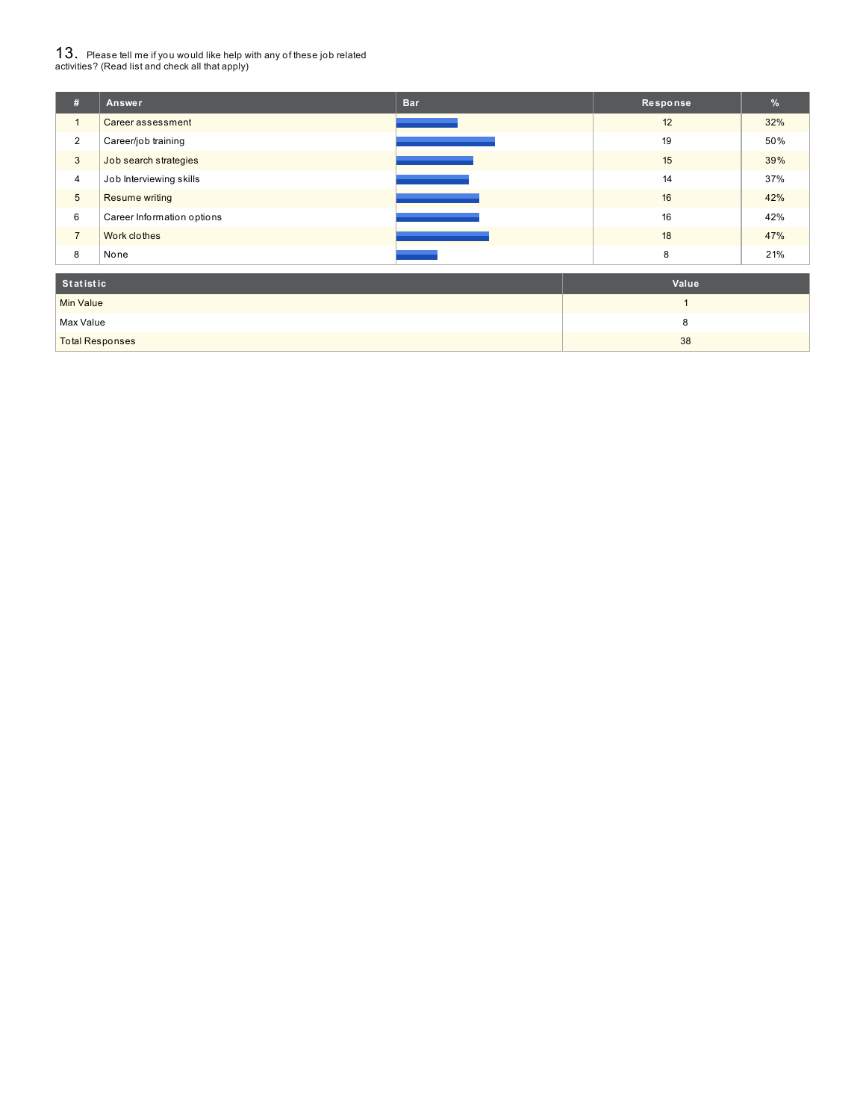# $13_\cdot$  Please tell me if you would like help with any of these job related<br>activities? (Read list and check all that apply)

| #                | Answer                     | <b>Bar</b> | Response | %   |
|------------------|----------------------------|------------|----------|-----|
| $\overline{1}$   | Career assessment          |            | 12       | 32% |
| $\overline{2}$   | Career/job training        |            | 19       | 50% |
| 3                | Job search strategies      |            | 15       | 39% |
| 4                | Job Interviewing skills    |            | 14       | 37% |
| 5                | <b>Resume writing</b>      |            | 16       | 42% |
| 6                | Career Information options |            | 16       | 42% |
| $\overline{7}$   | Work clothes               |            | 18       | 47% |
| 8                | None                       |            | 8        | 21% |
| <b>Statistic</b> |                            |            | Value    |     |

| otatistic              | value |
|------------------------|-------|
| <b>Min Value</b>       |       |
| Max Value              |       |
| <b>Total Responses</b> | 38    |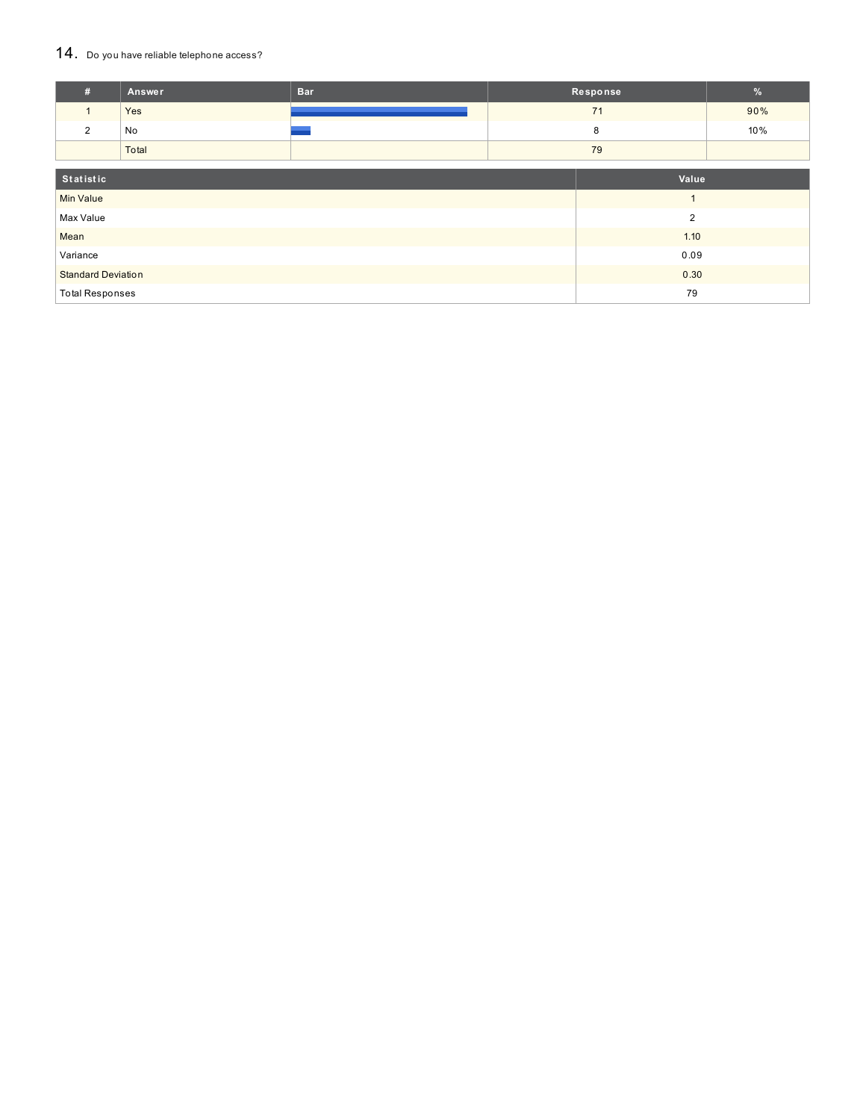### 14. Do you have reliable telephone access?

| #                         | Answer | <b>Bar</b>     |       | Response | $\%$ |
|---------------------------|--------|----------------|-------|----------|------|
| $\mathbf{1}$              | Yes    |                |       | 71       | 90%  |
| 2                         | No     |                |       | 8        | 10%  |
|                           | Total  |                |       | 79       |      |
|                           |        |                |       |          |      |
| Statistic                 |        |                | Value |          |      |
| <b>Min Value</b>          |        | $\overline{A}$ |       |          |      |
| Max Value                 |        | $\overline{2}$ |       |          |      |
| Mean                      |        | 1.10           |       |          |      |
| Variance                  |        |                | 0.09  |          |      |
| <b>Standard Deviation</b> |        |                | 0.30  |          |      |
| <b>Total Responses</b>    |        |                | 79    |          |      |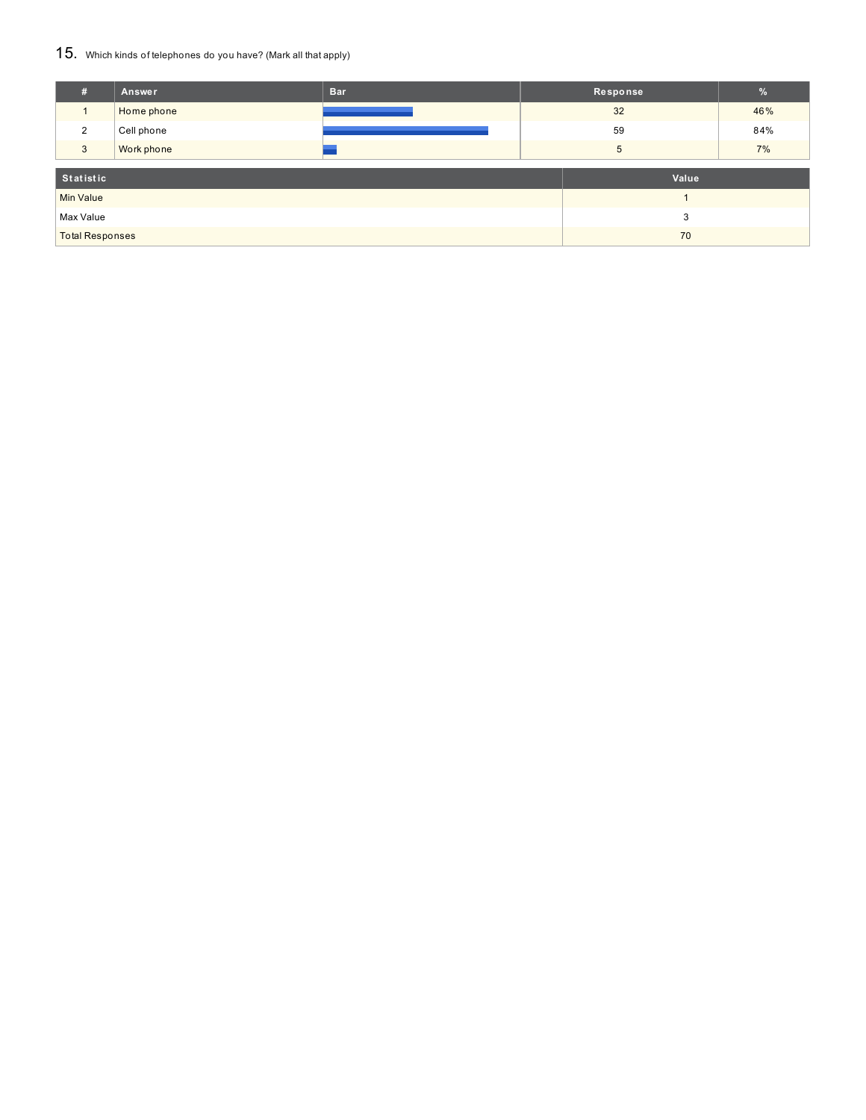### 15. Which kinds of telephones do you have? (Mark all that apply)

| #                      | Answer     | <b>Bar</b> |   | Response | $\frac{9}{6}$ |
|------------------------|------------|------------|---|----------|---------------|
|                        | Home phone |            |   | 32       | 46%           |
| 2                      | Cell phone |            |   | 59       | 84%           |
| 3                      | Work phone |            |   | 5        | 7%            |
| Statistic<br>Value     |            |            |   |          |               |
| <b>Min Value</b>       |            |            |   |          |               |
| Max Value              |            |            | 3 |          |               |
| <b>Total Responses</b> |            |            |   | 70       |               |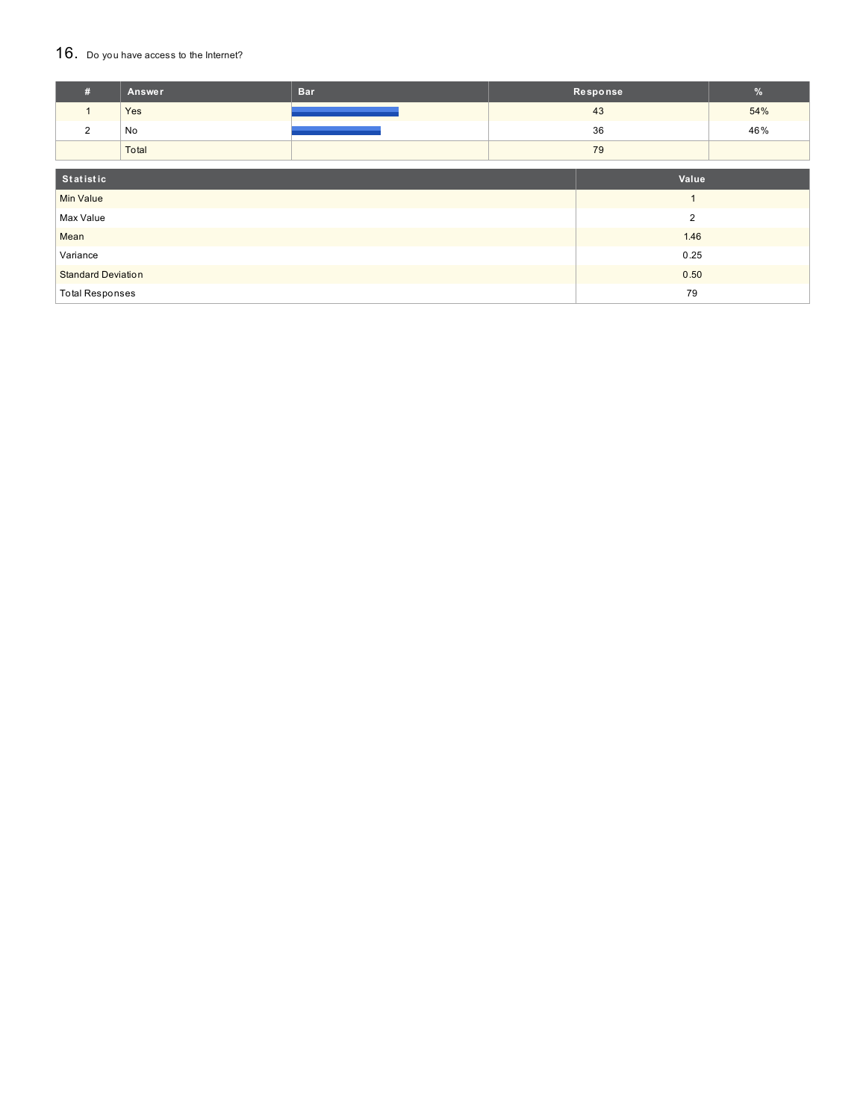### 16. Do you have access to the Internet?

| #                         | <b>Answer</b> | <b>Bar</b> |                | Response | $\frac{9}{6}$ |
|---------------------------|---------------|------------|----------------|----------|---------------|
| $\mathbf{1}$              | Yes           |            |                | 43       | 54%           |
| $\overline{2}$            | No            |            |                | 36       | 46%           |
|                           | Total         |            |                | 79       |               |
| Statistic                 |               |            |                | Value    |               |
| <b>Min Value</b>          |               |            | $\overline{ }$ |          |               |
| Max Value                 |               |            | $\overline{2}$ |          |               |
| Mean                      |               | 1.46       |                |          |               |
| Variance                  |               |            | 0.25           |          |               |
| <b>Standard Deviation</b> |               |            |                | 0.50     |               |
| <b>Total Responses</b>    |               |            |                | 79       |               |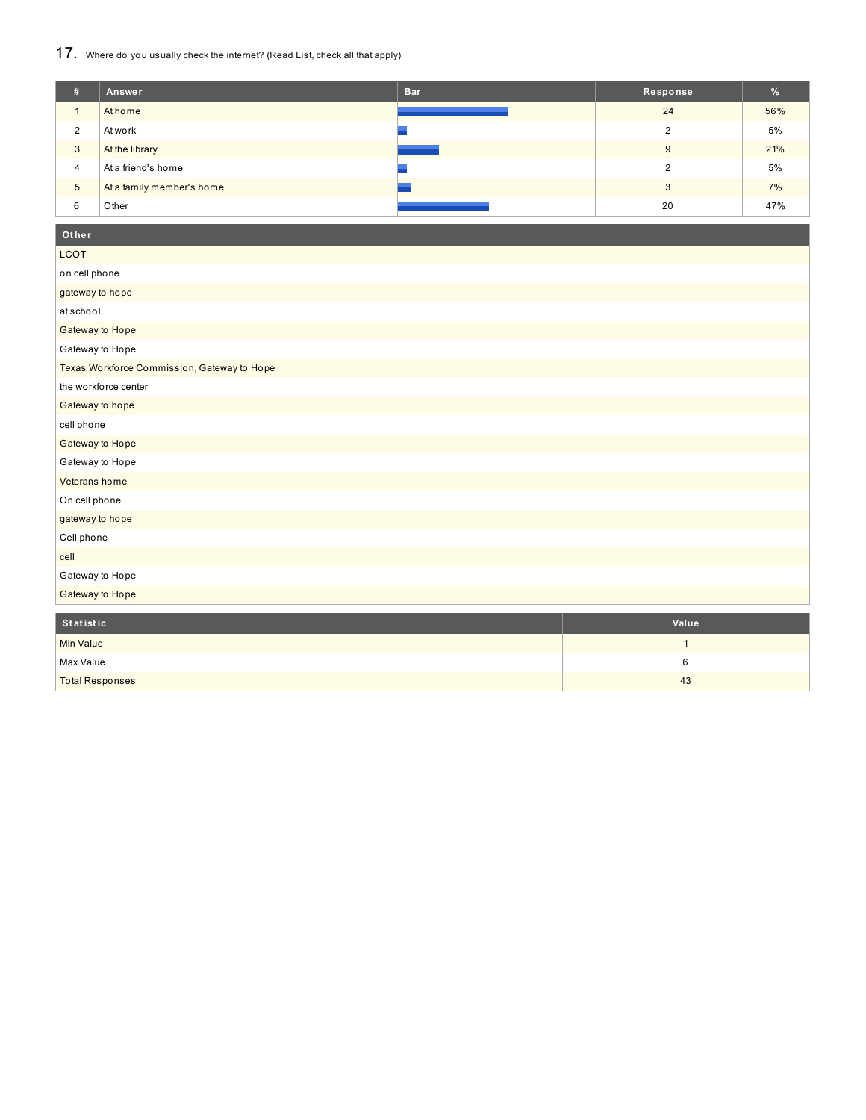### 17. Where do you usually check the internet? (Read List, check all that apply)

| #              | Answer                    | <b>Bar</b> | Response | %   |
|----------------|---------------------------|------------|----------|-----|
|                | At home                   |            | 24       | 56% |
| 2              | At work                   |            |          | 5%  |
| 3              | At the library            |            | 9        | 21% |
| $\overline{4}$ | At a friend's home        |            |          | 5%  |
| $\sqrt{5}$     | At a family member's home |            |          | 7%  |
| 6              | Other                     |            | 20       | 47% |

## **Ot her**

| <b>LCOT</b>                                 |              |
|---------------------------------------------|--------------|
| on cell phone                               |              |
| gateway to hope                             |              |
| atschool                                    |              |
| Gateway to Hope                             |              |
| Gateway to Hope                             |              |
| Texas Workforce Commission, Gateway to Hope |              |
| the workforce center                        |              |
| Gateway to hope                             |              |
| cell phone                                  |              |
| Gateway to Hope                             |              |
| Gateway to Hope                             |              |
| Veterans home                               |              |
| On cell phone                               |              |
| gateway to hope                             |              |
| Cell phone                                  |              |
| cell                                        |              |
| Gateway to Hope                             |              |
| Gateway to Hope                             |              |
| Statistic                                   | Value        |
| <b>Min Value</b>                            | $\mathbf{1}$ |

 $\blacksquare$ Max Value 6 Total Responses 43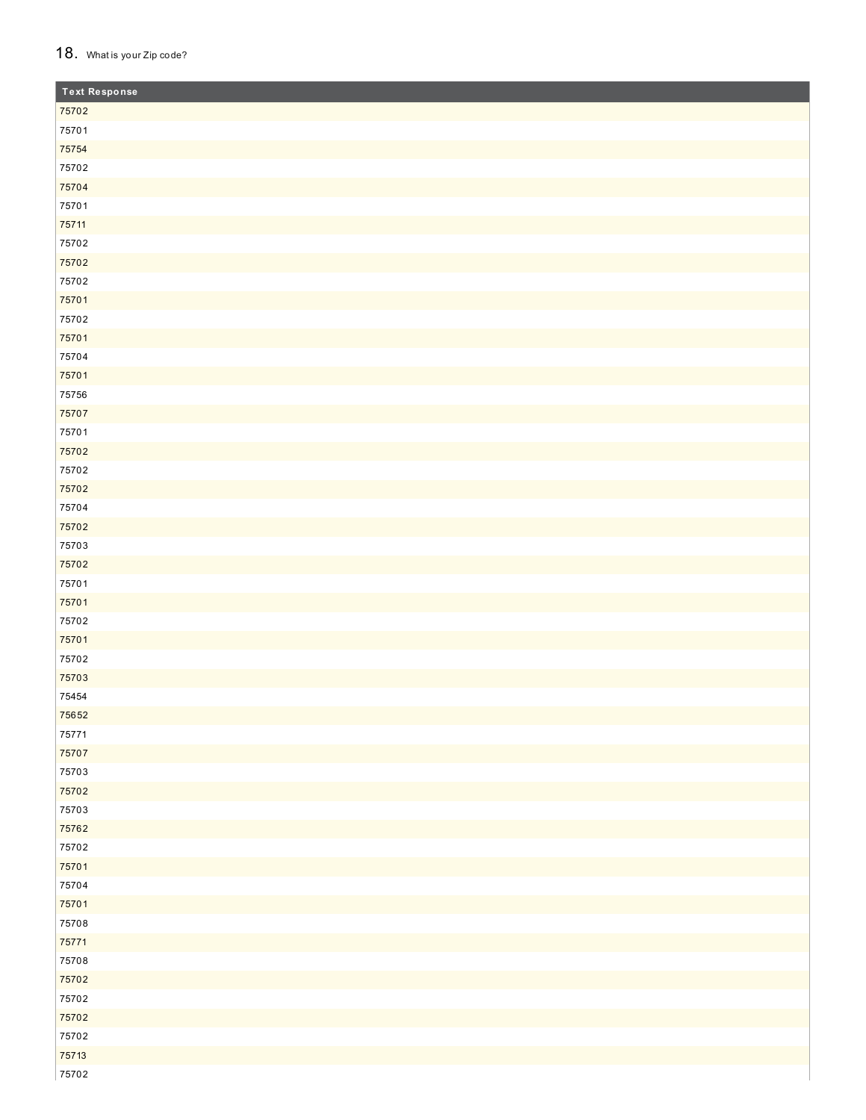### 18. What is your Zip code?

| <b>Text Response</b> |  |
|----------------------|--|
| 75702                |  |
| 75701                |  |
| 75754                |  |
| 75702                |  |
| 75704                |  |
| 75701                |  |
| 75711                |  |
| 75702                |  |
| 75702                |  |
| 75702                |  |
| 75701                |  |
| 75702                |  |
| 75701                |  |
| 75704                |  |
| 75701                |  |
| 75756                |  |
| 75707                |  |
| 75701                |  |
| 75702                |  |
| 75702                |  |
| 75702                |  |
| 75704                |  |
| 75702                |  |
| 75703                |  |
| 75702                |  |
| 75701                |  |
| 75701                |  |
| 75702                |  |
| 75701                |  |
| 75702                |  |
| 75703                |  |
| 75454                |  |
| 75652                |  |
| 75771                |  |
| 75707                |  |
| 75703                |  |
| 75702                |  |
| 75703                |  |
| 75762                |  |
| 75702                |  |
| 75701                |  |
| 75704                |  |
| 75701                |  |
| 75708                |  |
| 75771                |  |
| 75708                |  |
| 75702                |  |
| 75702                |  |
| 75702                |  |
| 75702                |  |
| 75713                |  |
| 75702                |  |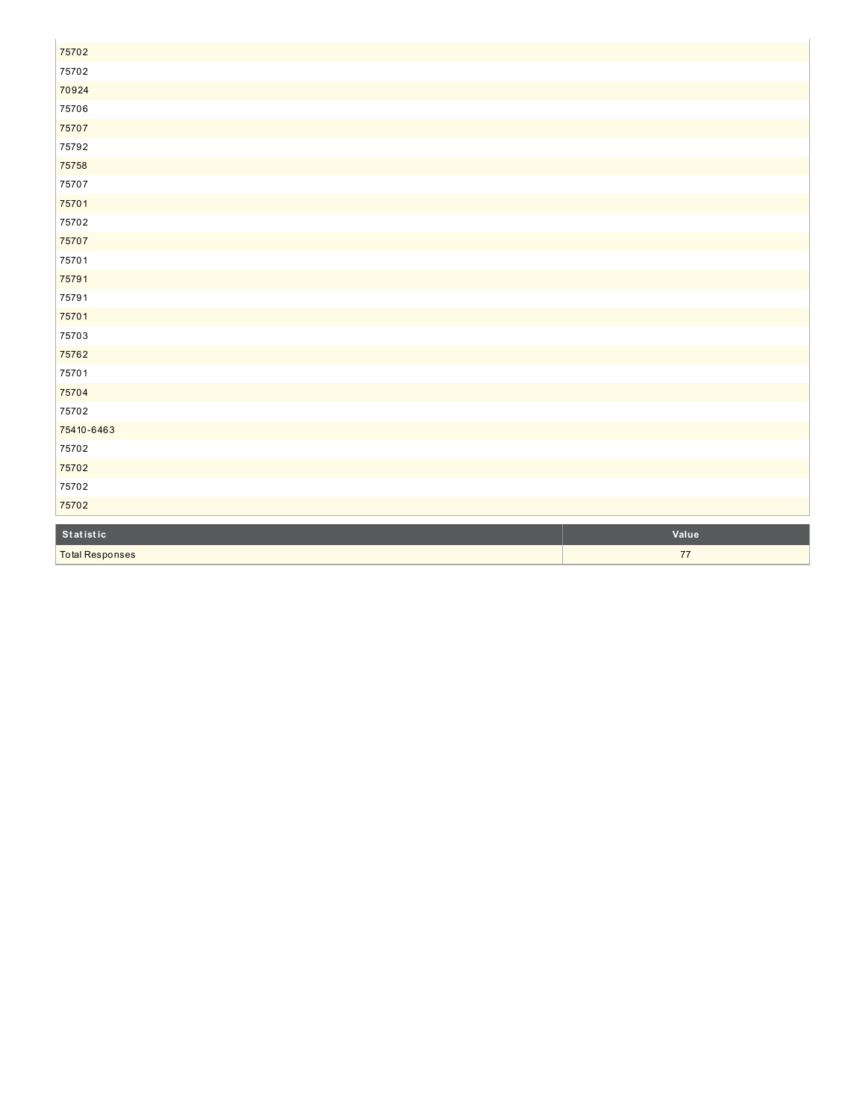| 75702                  |       |
|------------------------|-------|
| 75702                  |       |
| 70924                  |       |
| 75706                  |       |
| 75707                  |       |
| 75792                  |       |
| 75758                  |       |
| 75707                  |       |
| 75701                  |       |
| 75702                  |       |
| 75707                  |       |
| 75701                  |       |
| 75791                  |       |
| 75791                  |       |
| 75701                  |       |
| 75703                  |       |
| 75762                  |       |
| 75701                  |       |
| 75704                  |       |
| 75702                  |       |
| 75410-6463             |       |
| 75702                  |       |
| 75702                  |       |
| 75702                  |       |
| 75702                  |       |
|                        |       |
| Statistic              | Value |
| <b>Total Responses</b> | $77$  |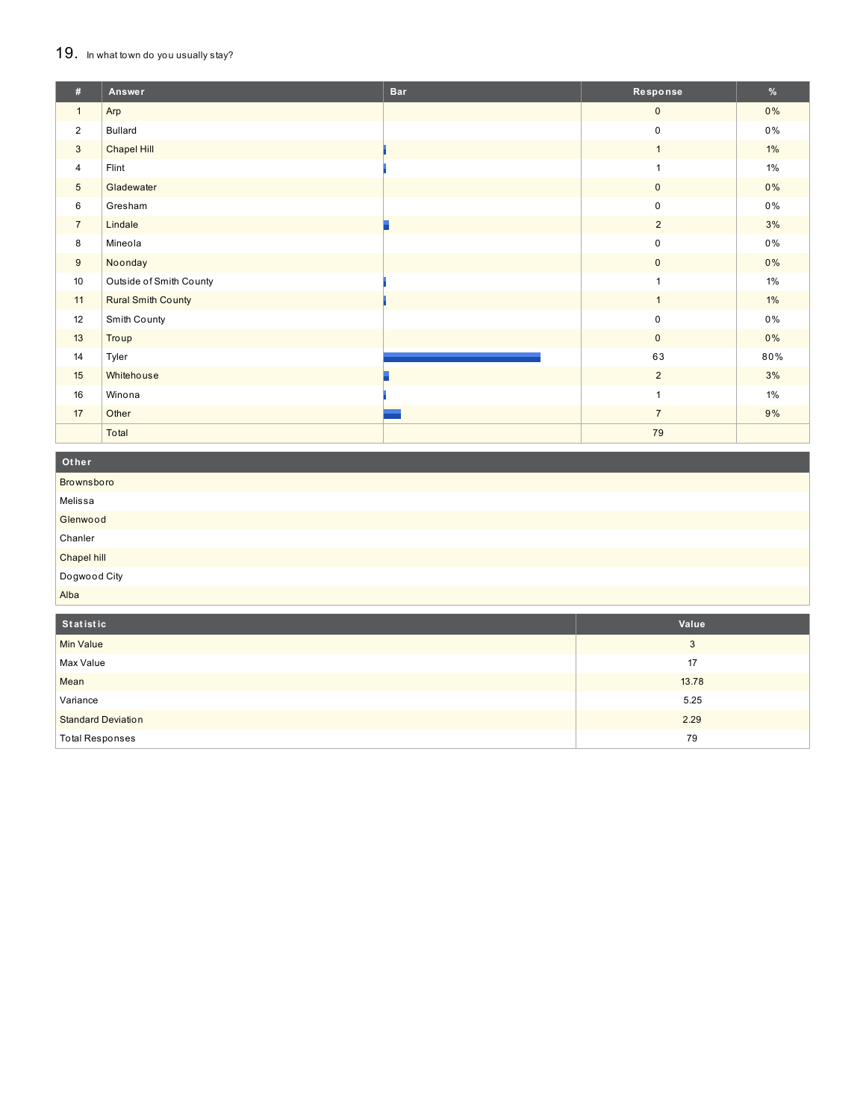### 19. In what town do you usually stay?

| #               | Answer                    | <b>Bar</b> | Response       | %        |
|-----------------|---------------------------|------------|----------------|----------|
| $\mathbf{1}$    | Arp                       |            | $\mathbf 0$    | 0%       |
| $\overline{2}$  | <b>Bullard</b>            |            | $\pmb{0}$      | 0%       |
| 3               | <b>Chapel Hill</b>        |            | $\mathbf{1}$   | $1\%$    |
| $\overline{4}$  | Flint                     |            | $\mathbf{1}$   | 1%       |
| $5\phantom{.0}$ | Gladewater                |            | $\mathbf 0$    | $0\%$    |
| 6               | Gresham                   |            | $\mathbf 0$    | 0%       |
| $7\overline{ }$ | Lindale                   |            | $\overline{2}$ | 3%       |
| 8               | Mineola                   |            | $\mathbf 0$    | 0%       |
| 9               | Noonday                   |            | $\mathbf 0$    | $0\%$    |
| 10              | Outside of Smith County   |            | $\mathbf{1}$   | $1\%$    |
| 11              | <b>Rural Smith County</b> |            | $\overline{1}$ | $1\%$    |
| 12              | Smith County              |            | $\mathbf 0$    | $0\%$    |
| 13              | Troup                     |            | $\mathbf{0}$   | 0%       |
| 14              | Tyler                     |            | 63             | $80\,\%$ |
| 15              | Whitehouse                |            | $\overline{2}$ | 3%       |
| 16              | Winona                    |            | $\overline{1}$ | 1%       |
| 17              | Other                     |            | $\overline{7}$ | 9%       |
|                 | Total                     |            | 79             |          |

| Other        |       |
|--------------|-------|
| Brownsboro   |       |
| Melissa      |       |
| Glenwood     |       |
| Chanler      |       |
| Chapel hill  |       |
| Dogwood City |       |
| Alba         |       |
|              |       |
| Statistic    | Value |
| Min Value    | 3     |
| Max Value    | 17    |

| Mean                      | 13.78 |
|---------------------------|-------|
| Variance                  | 5.25  |
| <b>Standard Deviation</b> | 2.29  |
| <b>Total Responses</b>    | 79    |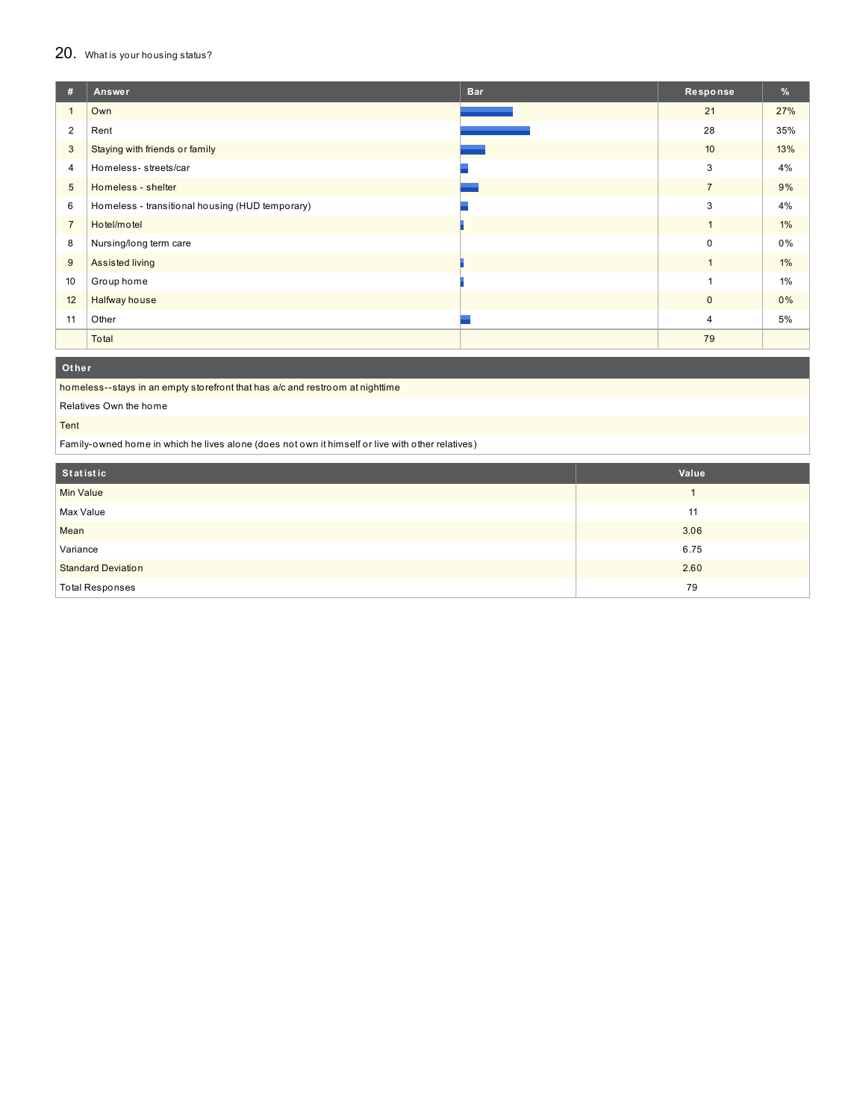### 20. What is your housing status?

| #               | Answer                                          | <b>Bar</b> | Response       | %     |
|-----------------|-------------------------------------------------|------------|----------------|-------|
|                 | Own                                             |            | 21             | 27%   |
| 2               | Rent                                            |            | 28             | 35%   |
| 3               | Staying with friends or family                  |            | 10             | 13%   |
| 4               | Homeless-streets/car                            |            | 3              | 4%    |
| $5\phantom{.0}$ | Homeless - shelter                              |            | $\overline{7}$ | 9%    |
| 6               | Homeless - transitional housing (HUD temporary) |            | 3              | 4%    |
| $\overline{7}$  | Hotel/motel                                     |            | $\mathbf{1}$   | 1%    |
| 8               | Nursing/long term care                          |            | $\Omega$       | 0%    |
| 9               | Assisted living                                 |            | $\overline{1}$ | $1\%$ |
| 10              | Group home                                      |            |                | $1\%$ |
| 12              | Halfway house                                   |            | $\mathbf{0}$   | 0%    |
| 11              | Other                                           |            | $\overline{4}$ | 5%    |
|                 | Total                                           |            | 79             |       |

**Ot her**

homeless--stays in an empty storefront that has a/c and restroom at nighttime

Relatives Own the home

Tent

Family-owned home in which he lives alone (does not own it himself or live with other relatives)

| Statistic                 | Value |
|---------------------------|-------|
| <b>Min Value</b>          |       |
| Max Value                 | 11    |
| Mean                      | 3.06  |
| Variance                  | 6.75  |
| <b>Standard Deviation</b> | 2.60  |
| <b>Total Responses</b>    | 79    |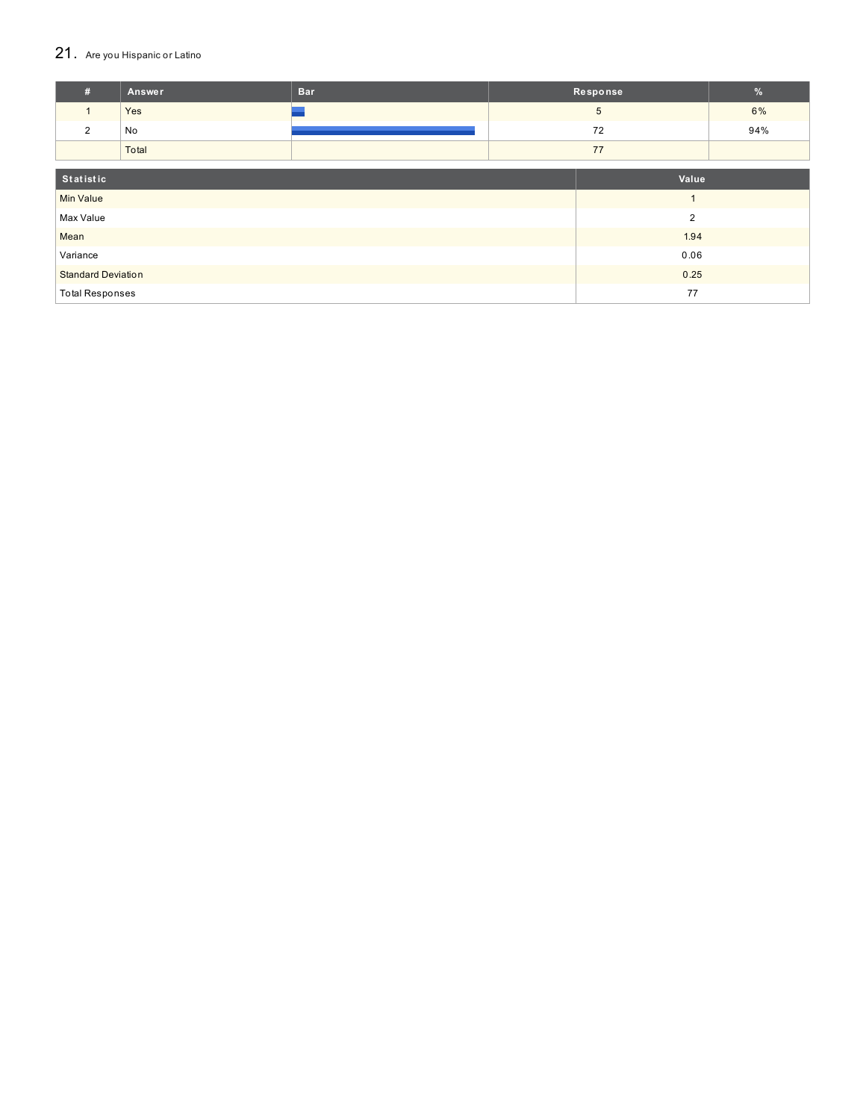### 21. Are you Hispanic or Latino

| #                         | <b>Answer</b> | <b>Bar</b> |                | Response       | $\frac{9}{6}$ |
|---------------------------|---------------|------------|----------------|----------------|---------------|
| $\mathbf{1}$              | Yes           |            |                | 5 <sup>5</sup> | 6%            |
| 2                         | No            |            |                | 72             | 94%           |
|                           | Total         |            |                | 77             |               |
| Statistic                 |               |            |                | Value          |               |
| <b>Min Value</b>          |               |            |                | $\overline{ }$ |               |
| Max Value                 |               |            | $\overline{2}$ |                |               |
| Mean                      |               |            | 1.94           |                |               |
| Variance                  |               |            | 0.06           |                |               |
| <b>Standard Deviation</b> |               |            |                | 0.25           |               |
| <b>Total Responses</b>    |               |            |                | 77             |               |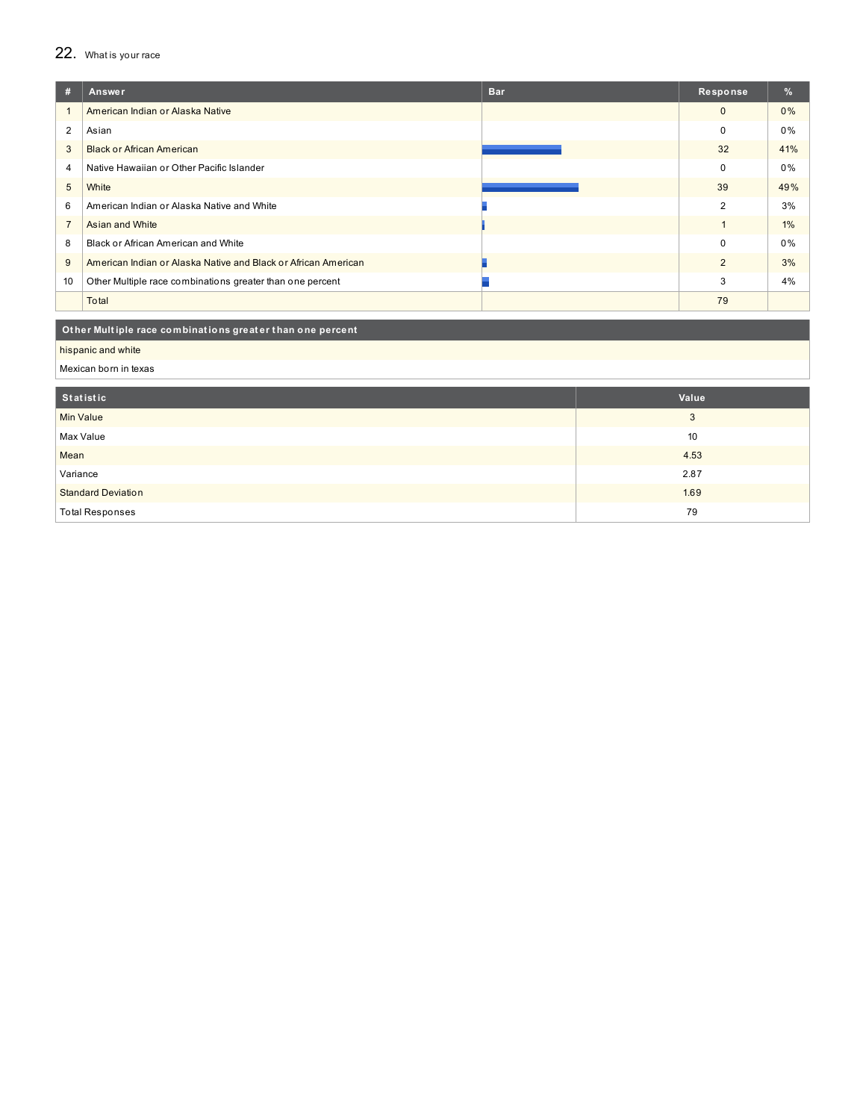### 22. What is your race

| #              | Answer                                                         | <b>Bar</b> | Response       | $\%$  |
|----------------|----------------------------------------------------------------|------------|----------------|-------|
|                | American Indian or Alaska Native                               |            | $\mathbf{0}$   | 0%    |
| 2              | Asian                                                          |            | $\mathbf 0$    | $0\%$ |
| 3              | <b>Black or African American</b>                               |            | 32             | 41%   |
| 4              | Native Hawaiian or Other Pacific Islander                      |            | $\mathbf 0$    | 0%    |
| 5              | White                                                          |            | 39             | 49%   |
| 6              | American Indian or Alaska Native and White                     |            | $\overline{2}$ | 3%    |
| $\overline{7}$ | Asian and White                                                |            |                | $1\%$ |
| 8              | Black or African American and White                            |            | $\mathbf 0$    | 0%    |
| 9              | American Indian or Alaska Native and Black or African American |            | $\overline{2}$ | 3%    |
| 10             | Other Multiple race combinations greater than one percent      |            | 3              | 4%    |
|                | Total                                                          |            | 79             |       |

### Other Multiple race combinations greater than one percent

hispanic and white

Mexican born in texas

| Statistic                 | Value |
|---------------------------|-------|
| <b>Min Value</b>          | 3     |
| Max Value                 | 10    |
| Mean                      | 4.53  |
| Variance                  | 2.87  |
| <b>Standard Deviation</b> | 1.69  |
| <b>Total Responses</b>    | 79    |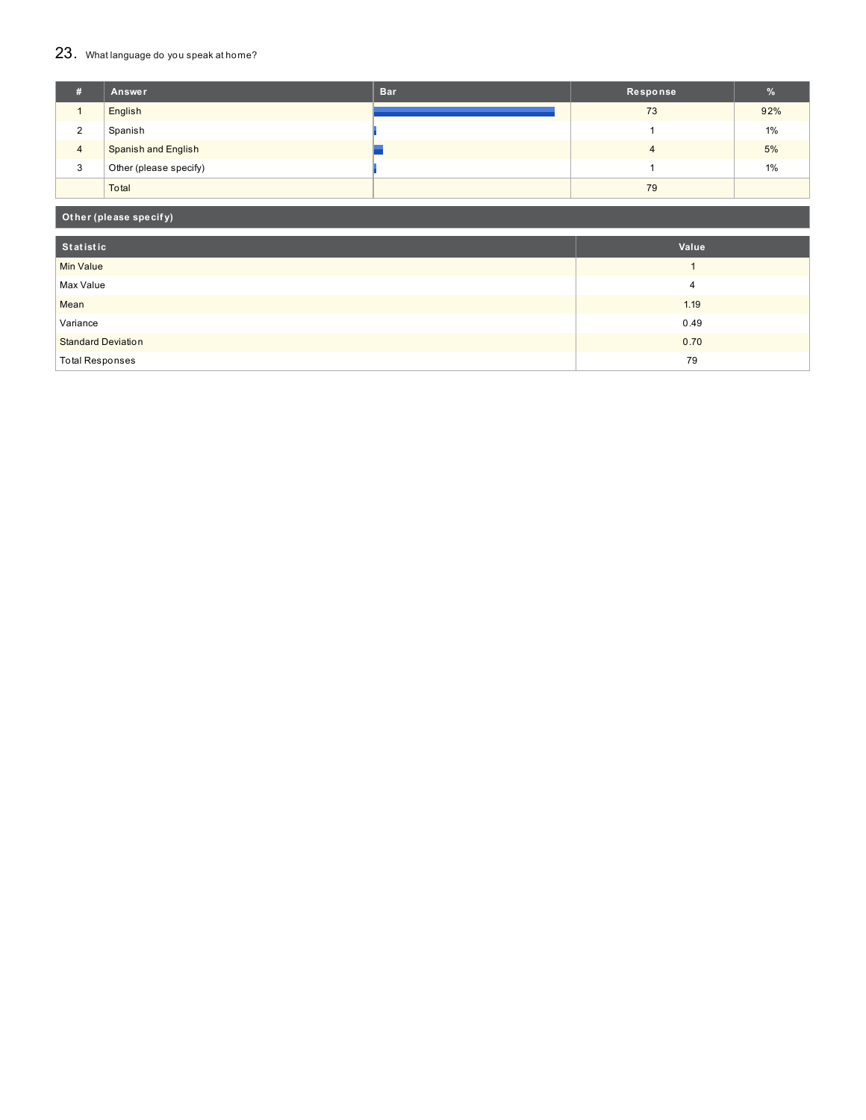## 23. What language do you speak at home?

| #                        | Answer                     | <b>Bar</b> | Response |       |
|--------------------------|----------------------------|------------|----------|-------|
|                          | English                    |            | 73       | 92%   |
| $\sqrt{2}$<br>$\epsilon$ | Spanish                    |            |          | 1%    |
| $\overline{4}$           | <b>Spanish and English</b> |            |          | 5%    |
| 3                        | Other (please specify)     |            |          | $1\%$ |
|                          | Total                      |            | 79       |       |

### **Ot her (please specif y)**

| Statistic                 | Value |
|---------------------------|-------|
| <b>Min Value</b>          |       |
| Max Value                 | 4     |
| Mean                      | 1.19  |
| Variance                  | 0.49  |
| <b>Standard Deviation</b> | 0.70  |
| <b>Total Responses</b>    | 79    |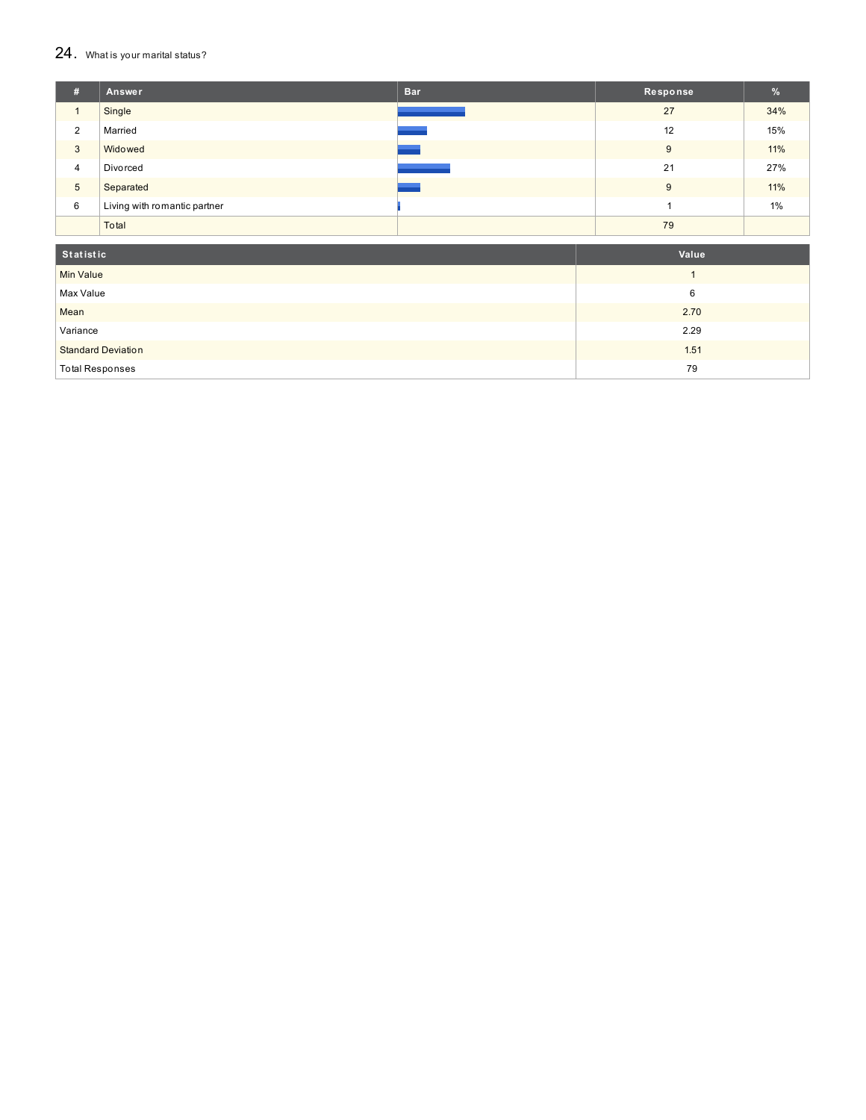#### $24.$  What is your marital status?

| # | Answer                       | <b>Bar</b> | Response | $\frac{9}{6}$ |
|---|------------------------------|------------|----------|---------------|
|   | Single                       |            | 27       | 34%           |
| 2 | Married                      |            | 12       | 15%           |
| 3 | Widowed                      |            | 9        | 11%           |
| 4 | Divorced                     |            | 21       | 27%           |
| 5 | Separated                    |            | 9        | 11%           |
| 6 | Living with romantic partner |            |          | 1%            |
|   | Total                        |            | 79       |               |

| Statistic                 | Value |
|---------------------------|-------|
| <b>Min Value</b>          |       |
| Max Value                 | 6     |
| Mean                      | 2.70  |
| Variance                  | 2.29  |
| <b>Standard Deviation</b> | 1.51  |
| <b>Total Responses</b>    | 79    |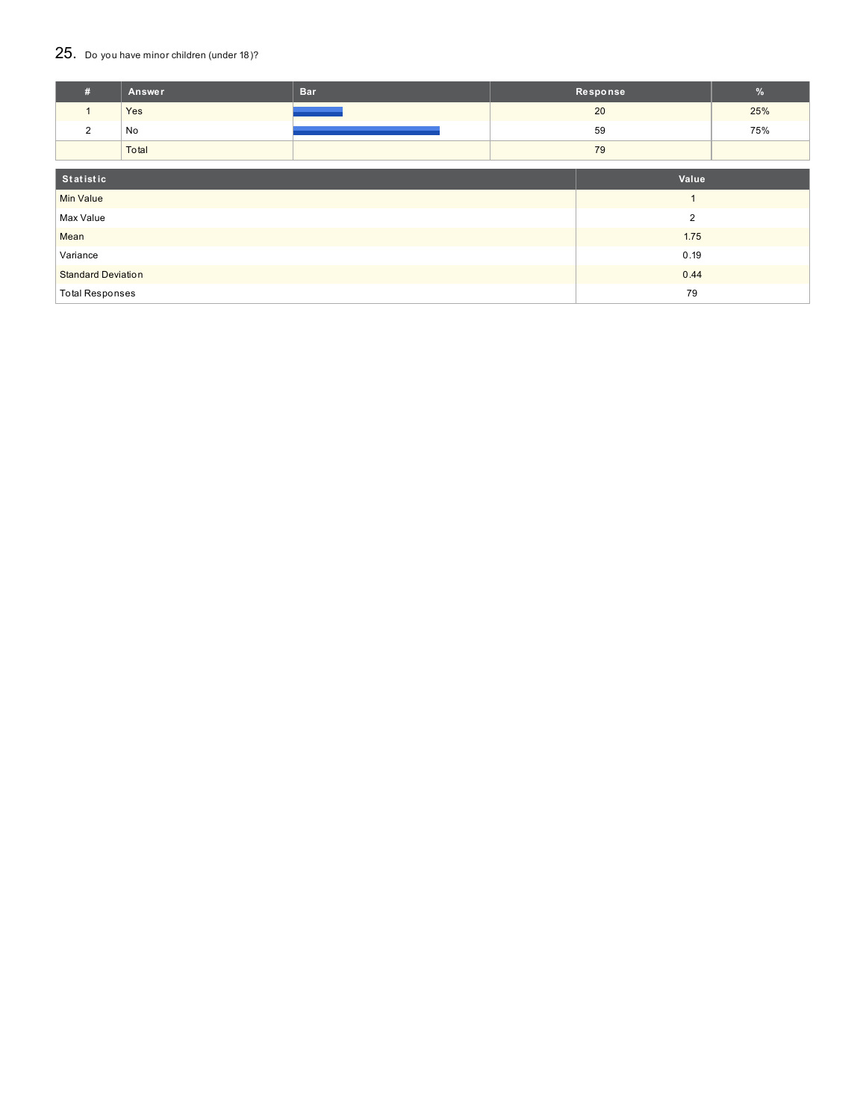### 25. Do you have minor children (under 18)?

| #                         | Answer | <b>Bar</b> | Response       | %   |
|---------------------------|--------|------------|----------------|-----|
| $\mathbf{1}$              | Yes    |            | 20             | 25% |
| $\overline{2}$            | No     |            | 59             | 75% |
|                           | Total  |            | 79             |     |
| Statistic                 |        |            | Value          |     |
| <b>Min Value</b>          |        |            | $\overline{1}$ |     |
| Max Value                 |        |            | $\overline{2}$ |     |
| Mean                      |        | 1.75       |                |     |
| Variance                  |        |            | 0.19           |     |
| <b>Standard Deviation</b> |        |            | 0.44           |     |
| <b>Total Responses</b>    |        |            | 79             |     |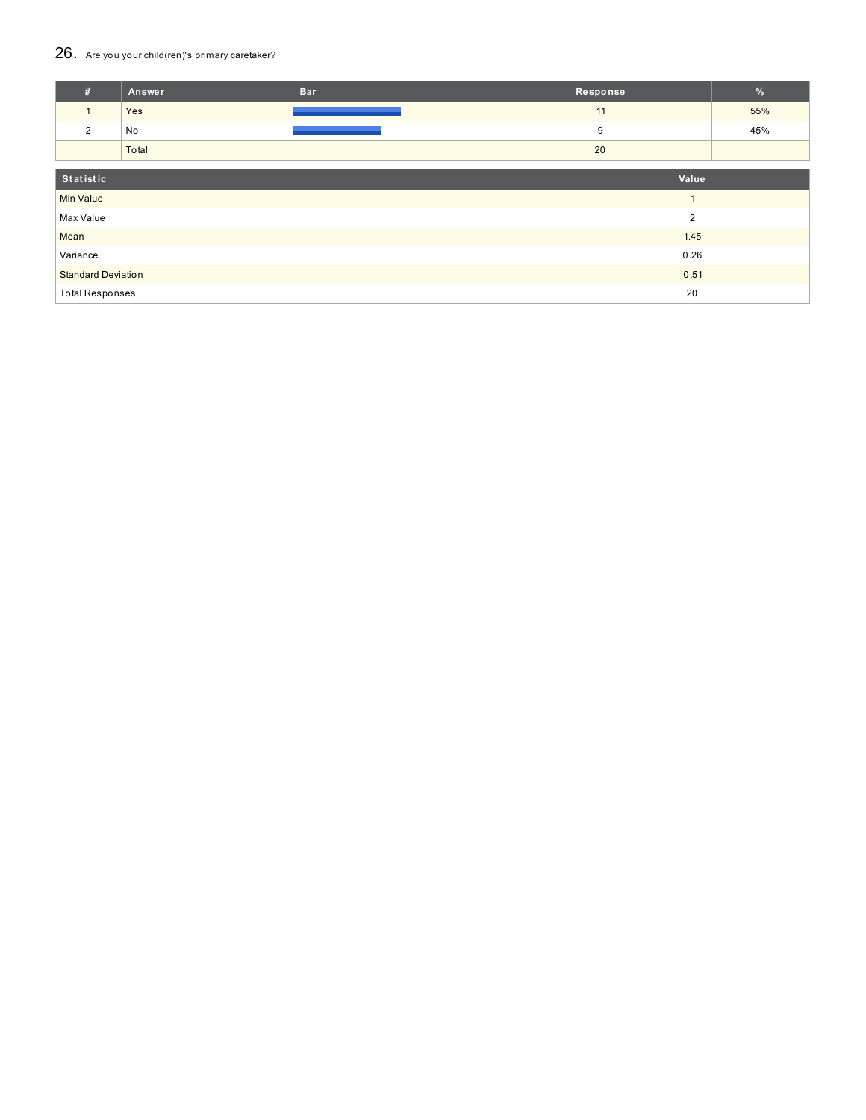### 26. Are you your child(ren)'s primary caretaker?

| #                         | Answer | <b>Bar</b> |                | Response       | $\%$ |
|---------------------------|--------|------------|----------------|----------------|------|
| $\mathbf{1}$              | Yes    |            |                | 11             | 55%  |
| $\overline{2}$            | No     |            |                | 9              | 45%  |
|                           | Total  |            |                | 20             |      |
| Statistic                 |        |            | Value          |                |      |
| <b>Min Value</b>          |        |            |                | $\overline{A}$ |      |
| Max Value                 |        |            | $\overline{2}$ |                |      |
| Mean                      |        |            | 1.45           |                |      |
| Variance                  |        |            | 0.26           |                |      |
| <b>Standard Deviation</b> |        |            |                | 0.51           |      |
| <b>Total Responses</b>    |        |            |                | 20             |      |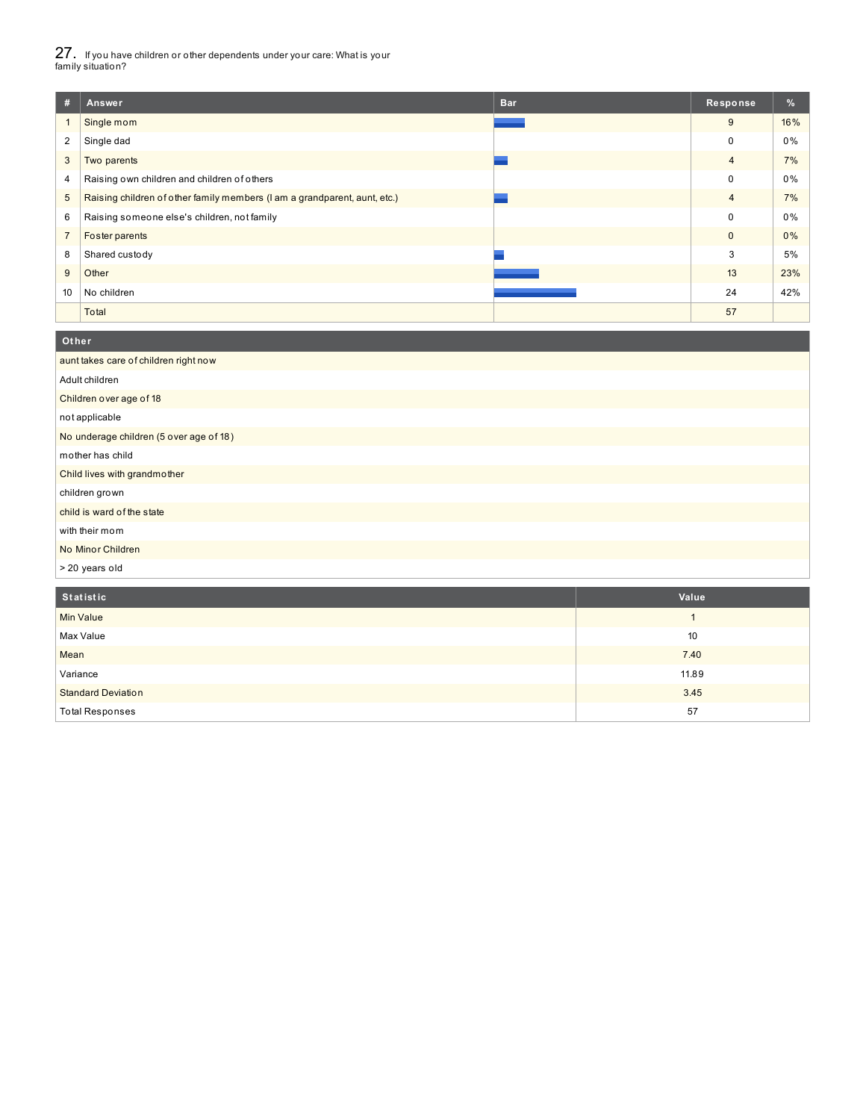27. If you have children or other dependents under your care: What is your family situation?

| #              | Answer                                                                    | <b>Bar</b> | Response       | $\frac{9}{6}$ |
|----------------|---------------------------------------------------------------------------|------------|----------------|---------------|
|                | Single mom                                                                |            | 9              | 16%           |
| 2              | Single dad                                                                |            | 0              | 0%            |
| 3              | Two parents                                                               |            | $\overline{4}$ | 7%            |
| 4              | Raising own children and children of others                               |            | 0              | 0%            |
| 5              | Raising children of other family members (I am a grandparent, aunt, etc.) |            | $\overline{4}$ | 7%            |
| 6              | Raising someone else's children, not family                               |            | $\Omega$       | 0%            |
| $\overline{7}$ | Foster parents                                                            |            | $\mathbf{0}$   | 0%            |
| 8              | Shared custody                                                            |            | 3              | 5%            |
| 9              | Other                                                                     |            | 13             | 23%           |
| 10             | No children                                                               |            | 24             | 42%           |
|                | Total                                                                     |            | 57             |               |

### aunt takes care of children right now Adult children Children over age of 18 not applicable No underage children (5 over age of 18) mother has child Child lives with grandmother children grown child is ward of the state with their mom No Minor Children > 20 years old **Ot her**

| Statistic                 | Value |
|---------------------------|-------|
| <b>Min Value</b>          |       |
| Max Value                 | 10    |
| Mean                      | 7.40  |
| Variance                  | 11.89 |
| <b>Standard Deviation</b> | 3.45  |
| <b>Total Responses</b>    | 57    |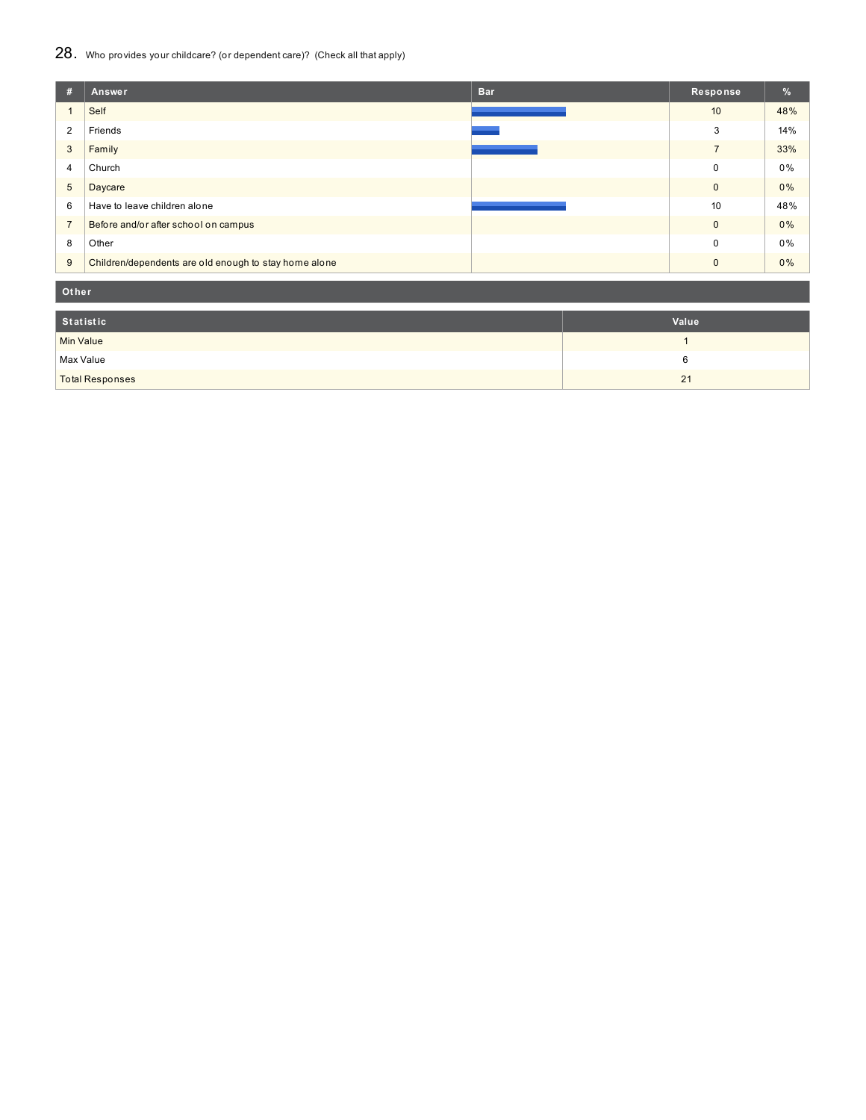### 28. Who provides your childcare? (or dependent care)? (Check all that apply)

| #               | <b>Bar</b><br>Answer                                  | Response     | $\frac{9}{6}$ |
|-----------------|-------------------------------------------------------|--------------|---------------|
|                 | Self                                                  | 10           | 48%           |
| $\overline{2}$  | Friends                                               | 3            | 14%           |
| 3               | Family                                                | 7            | 33%           |
| 4               | Church                                                | $\Omega$     | 0%            |
| $5\phantom{.0}$ | Daycare                                               | $\mathbf{0}$ | 0%            |
| 6               | Have to leave children alone                          | 10           | 48%           |
| $\overline{7}$  | Before and/or after school on campus                  | $\Omega$     | 0%            |
| 8               | Other                                                 | $\Omega$     | 0%            |
| 9               | Children/dependents are old enough to stay home alone | $\Omega$     | 0%            |

**Ot her**

| Statistic              | Value |
|------------------------|-------|
| <b>Min Value</b>       |       |
| Max Value              |       |
| <b>Total Responses</b> | 21    |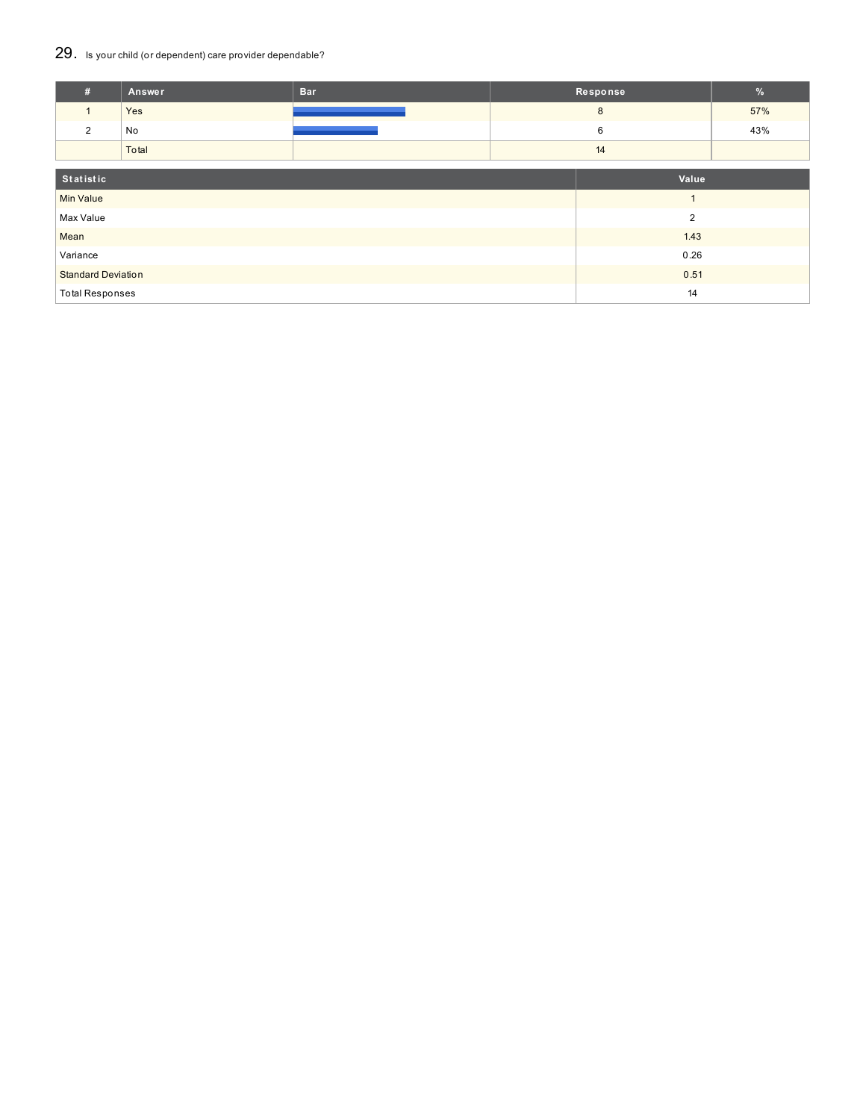### 29. Is your child (or dependent) care provider dependable?

| #                         | Answer | <b>Bar</b> |                | Response | $\%$ |
|---------------------------|--------|------------|----------------|----------|------|
|                           | Yes    |            | 8              |          | 57%  |
| $\overline{2}$            | No     |            | 6              |          | 43%  |
|                           | Total  |            | 14             |          |      |
| Statistic                 |        | Value      |                |          |      |
| <b>Min Value</b>          |        |            | $\overline{A}$ |          |      |
| Max Value                 |        |            | $\overline{2}$ |          |      |
| Mean                      |        |            | 1.43           |          |      |
| Variance                  |        | 0.26       |                |          |      |
| <b>Standard Deviation</b> |        |            | 0.51           |          |      |
| <b>Total Responses</b>    |        |            | 14             |          |      |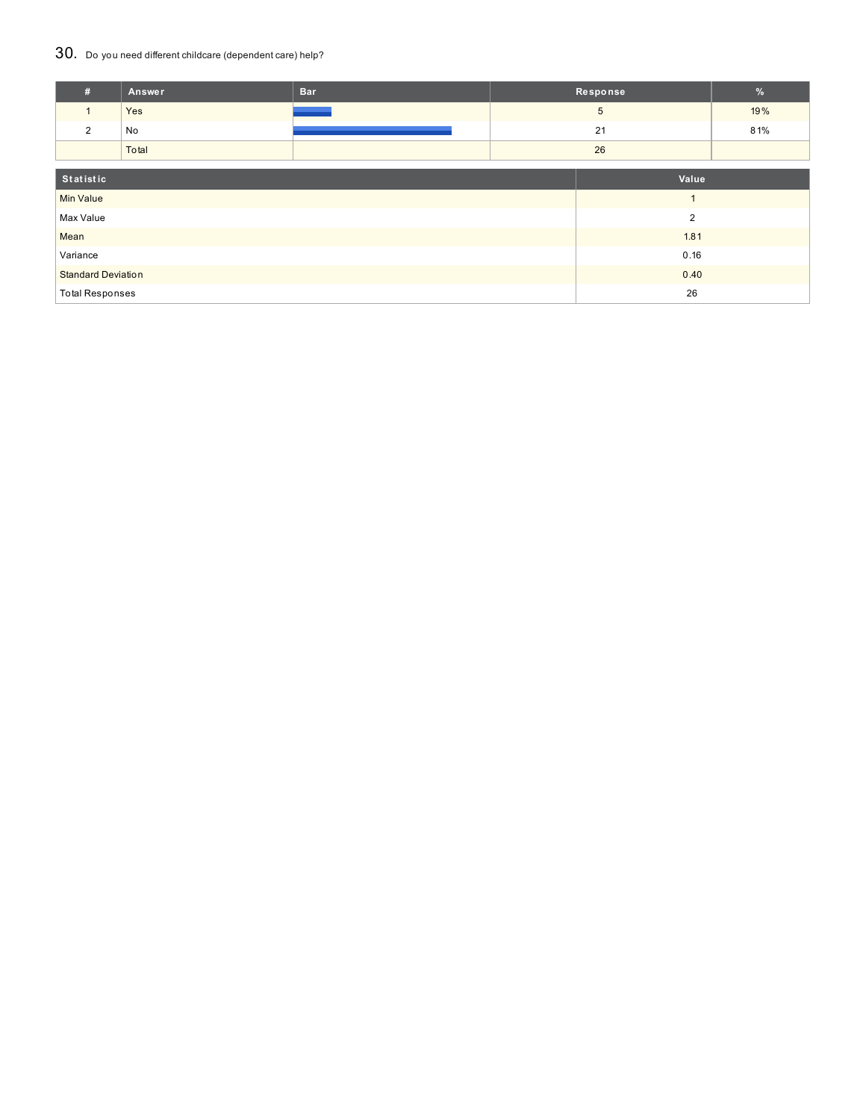### 30. Do you need different childcare (dependent care) help?

| #                         | Answer | <b>Bar</b> |                | Response | $\%$ |
|---------------------------|--------|------------|----------------|----------|------|
| $\mathbf{1}$              | Yes    |            |                | 5        | 19%  |
| $\overline{2}$            | No     |            | 21<br>26       |          | 81%  |
|                           | Total  |            |                |          |      |
|                           |        |            |                |          |      |
| Statistic                 |        |            | Value          |          |      |
| <b>Min Value</b>          |        |            |                |          |      |
| Max Value                 |        |            | $\overline{2}$ |          |      |
| Mean                      |        |            | 1.81           |          |      |
| Variance                  |        | 0.16       |                |          |      |
| <b>Standard Deviation</b> |        | 0.40       |                |          |      |
| <b>Total Responses</b>    |        |            | 26             |          |      |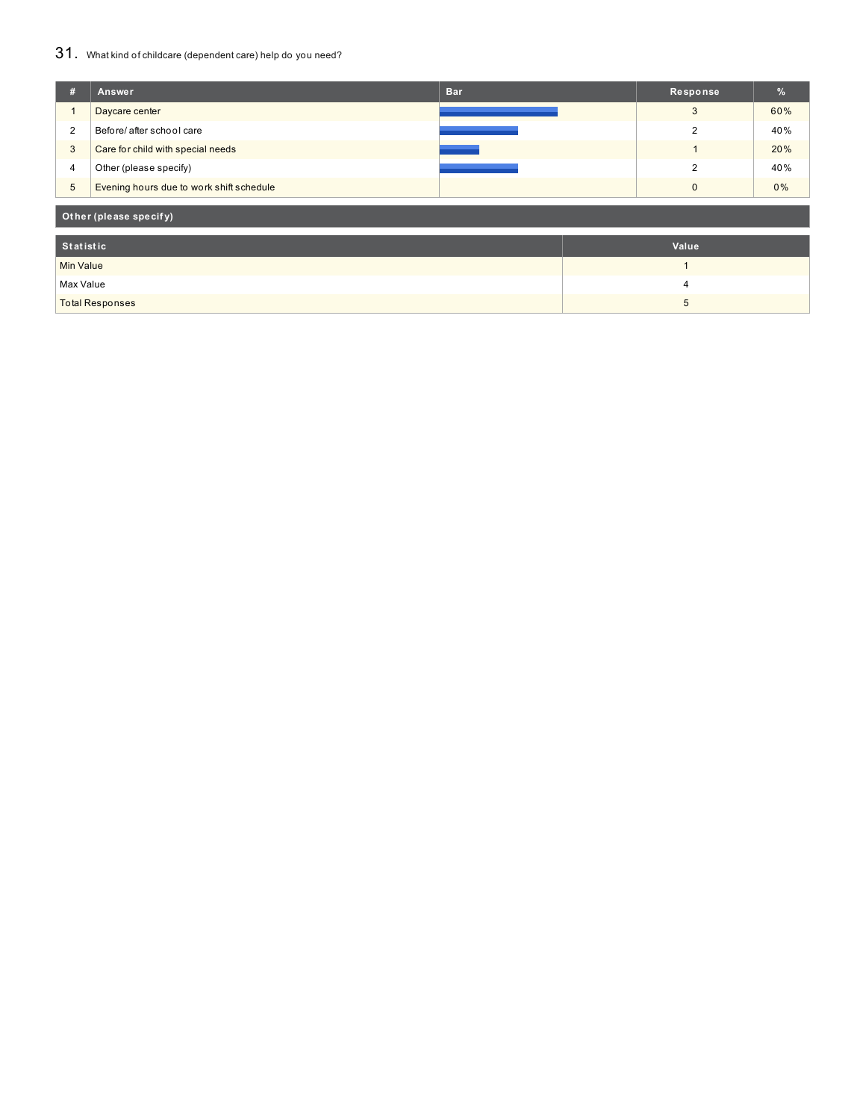### 31. What kind of childcare (dependent care) help do you need?

| #                      | Answer                                   | <b>Bar</b> | Response     | %   |  |
|------------------------|------------------------------------------|------------|--------------|-----|--|
|                        | Daycare center                           |            | 3            | 60% |  |
| 2                      | Before/ after school care                |            | 2            | 40% |  |
| 3                      | Care for child with special needs        |            |              | 20% |  |
| $\overline{4}$         | Other (please specify)                   |            | 2            | 40% |  |
| $\overline{5}$         | Evening hours due to work shift schedule |            | $\mathbf{0}$ | 0%  |  |
| Other (please specify) |                                          |            |              |     |  |
| <b>Statistic</b>       |                                          |            | Value        |     |  |
| <b>Min Value</b>       |                                          |            | 1            |     |  |
| Max Value              |                                          |            | 4            |     |  |
| <b>Total Responses</b> |                                          |            | 5            |     |  |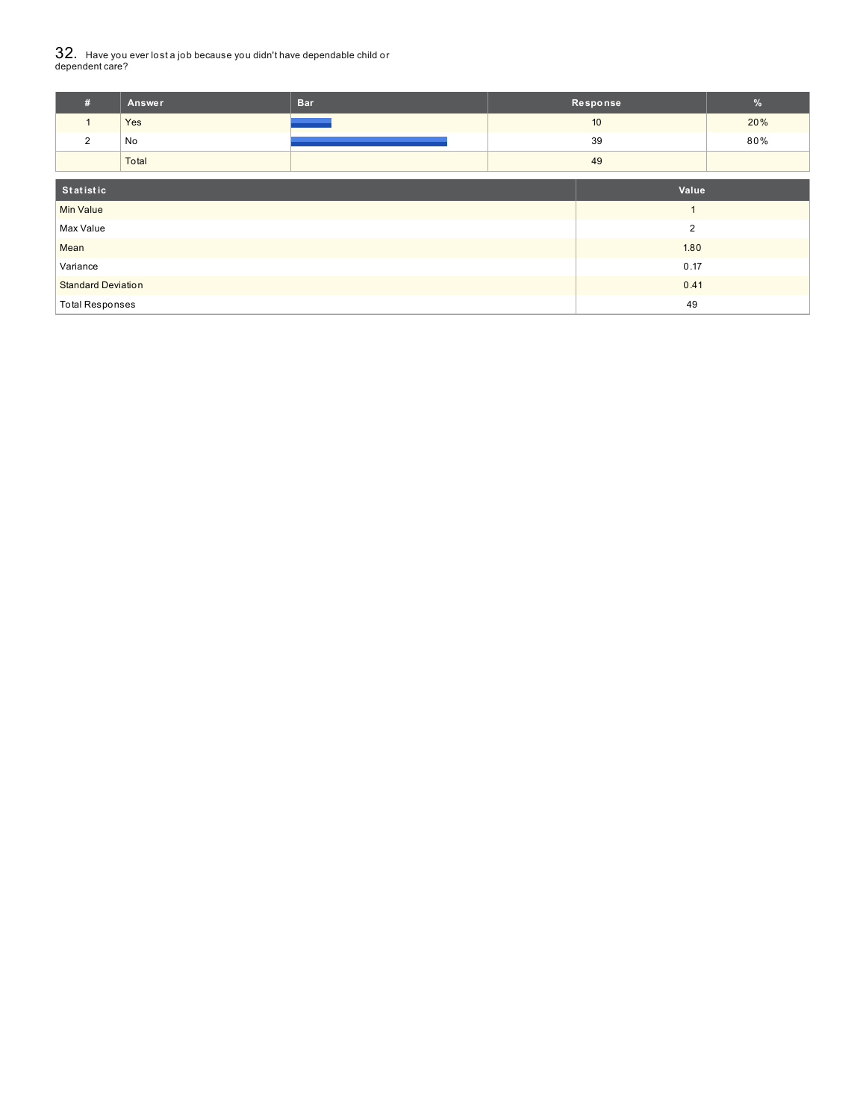# $32_\cdot\,$  Have you ever lost a job because you didn't have dependable child or<br>dependent care?

| #                | Answer | <b>Bar</b> | Response       | $\frac{9}{6}$ |
|------------------|--------|------------|----------------|---------------|
|                  | Yes    |            | 10             | 20%           |
| 2                | No     |            | 39             | 80%           |
|                  | Total  |            | 49             |               |
| Statistic        |        |            | Value          |               |
| <b>Min Value</b> |        |            |                |               |
| Max Value        |        |            | $\overline{2}$ |               |
| Mean             |        |            | 1.80           |               |
| Variance         |        |            | 0.17           |               |

**Standard Deviation 0.41 Contract Contract Contract Contract Contract Contract Contract Contract Contract Contract Contract Contract Contract Contract Contract Contract Contract Contract Contract Contract Contract Contra** Total Responses 49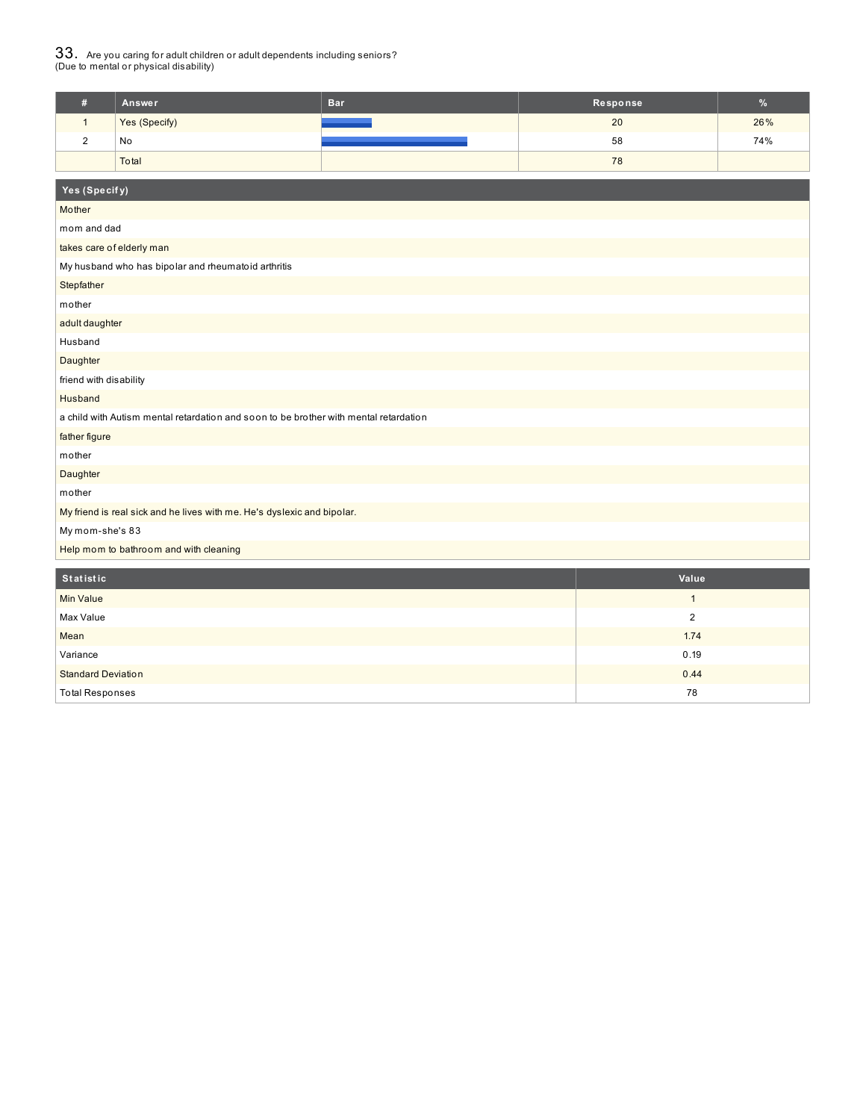# $33_\cdot$  Are you caring for adult children or adult dependents including seniors?<br>(Due to mental or physical disability)

| #          | Answer        | <b>Bar</b>        | Response | $\frac{9}{6}$ |  |  |
|------------|---------------|-------------------|----------|---------------|--|--|
|            | Yes (Specify) | <b>STATISTICS</b> | 20       | 26%           |  |  |
| $\sqrt{2}$ | No            |                   | 58       | 74%           |  |  |
|            | Total         |                   | 78       |               |  |  |
|            |               |                   |          |               |  |  |
|            | Yes (Specify) |                   |          |               |  |  |

| Mother                                                                                |                |
|---------------------------------------------------------------------------------------|----------------|
| mom and dad                                                                           |                |
| takes care of elderly man                                                             |                |
| My husband who has bipolar and rheumatoid arthritis                                   |                |
| Stepfather                                                                            |                |
| mother                                                                                |                |
| adult daughter                                                                        |                |
| Husband                                                                               |                |
| Daughter                                                                              |                |
| friend with disability                                                                |                |
| Husband                                                                               |                |
| a child with Autism mental retardation and soon to be brother with mental retardation |                |
| father figure                                                                         |                |
| mother                                                                                |                |
| Daughter                                                                              |                |
| mother                                                                                |                |
| My friend is real sick and he lives with me. He's dyslexic and bipolar.               |                |
| My mom-she's 83                                                                       |                |
| Help mom to bathroom and with cleaning                                                |                |
| Statistic                                                                             | Value          |
| <b>Min Value</b>                                                                      | $\mathbf{1}$   |
| Max Value                                                                             | $\overline{2}$ |
| Mean                                                                                  | 1.74           |
| Variance                                                                              | 0.19           |
| <b>Standard Deviation</b>                                                             | 0.44           |
| <b>Total Responses</b>                                                                | 78             |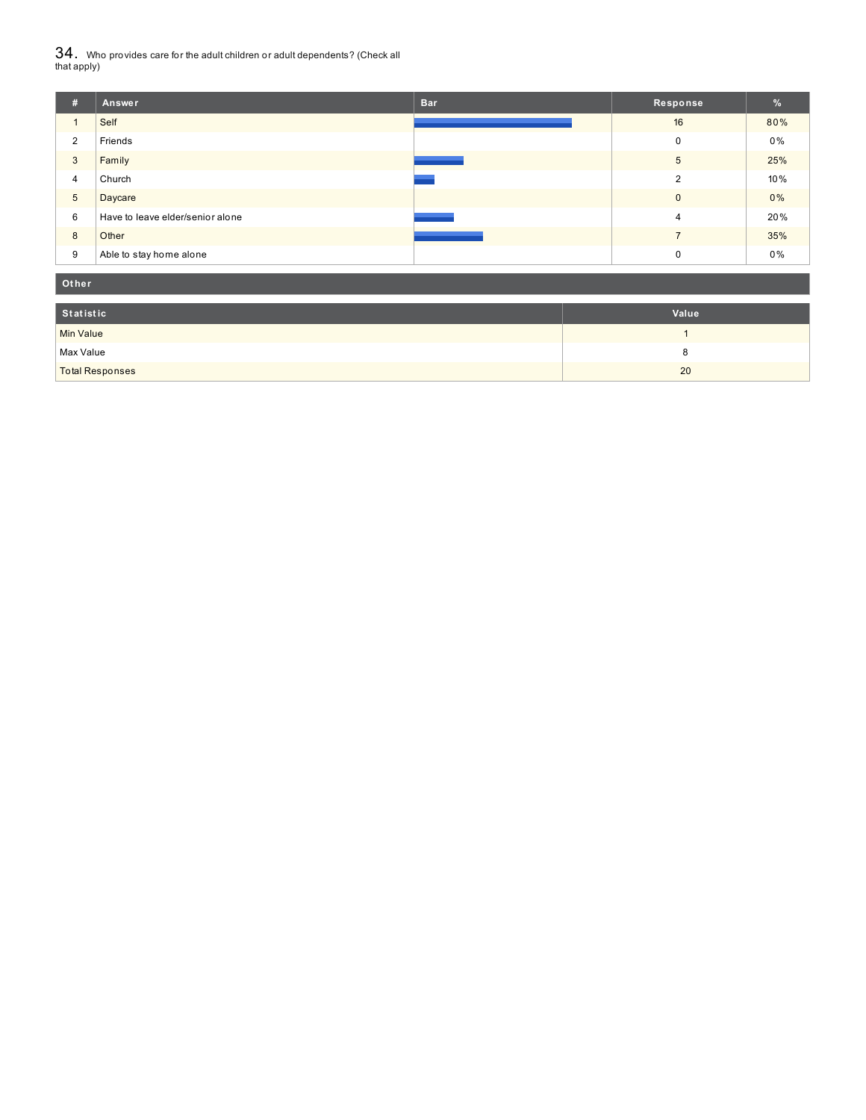${\bf 34}$  . Who provides care for the adult children or adult dependents? (Check all<br>that apply)

| #               | Answer                           | <b>Bar</b> | Response       | $\frac{9}{6}$ |
|-----------------|----------------------------------|------------|----------------|---------------|
|                 | Self                             |            | 16             | 80%           |
| 2               | Friends                          |            | 0              | $0\%$         |
| 3               | Family                           |            | 5              | 25%           |
| 4               | Church                           |            | 2              | 10%           |
| $5\phantom{.0}$ | Daycare                          |            | $\mathbf{0}$   | 0%            |
| 6               | Have to leave elder/senior alone |            | $\overline{4}$ | 20%           |
| 8               | Other                            |            |                | 35%           |
| 9               | Able to stay home alone          |            | 0              | $0\%$         |

| Other                  |       |
|------------------------|-------|
| Statistic              | Value |
| <b>Min Value</b>       |       |
| Max Value              |       |
| <b>Total Responses</b> | 20    |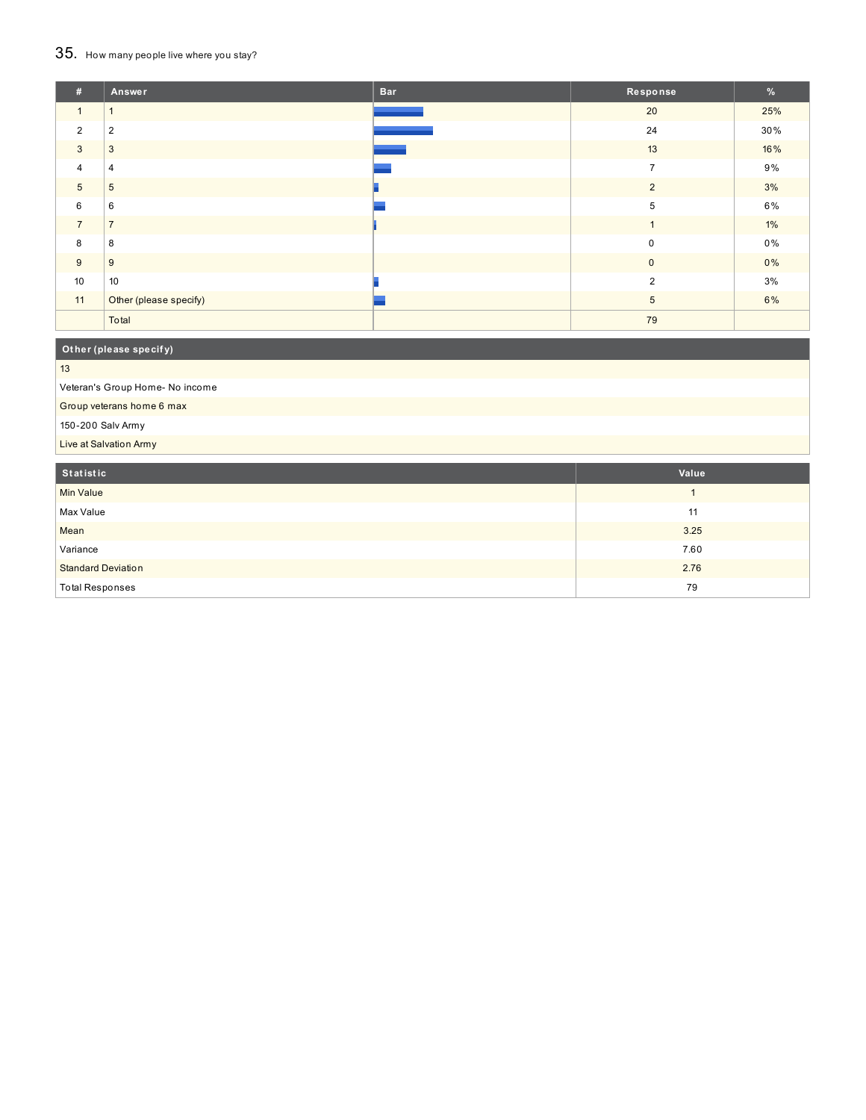## 35. How many people live where you stay?

| #              | Answer                 | <b>Bar</b> | Response       | $\frac{9}{6}$ |
|----------------|------------------------|------------|----------------|---------------|
| $\mathbf{1}$   | 1                      |            | 20             | 25%           |
| $\overline{2}$ | $\overline{2}$         |            | 24             | 30%           |
| 3              | $\mathbf{3}$           |            | 13             | 16%           |
| $\overline{4}$ | $\overline{4}$         |            | $\overline{ }$ | 9%            |
| $\overline{5}$ | 5                      |            | 2              | 3%            |
| 6              | 6                      |            | 5              | 6%            |
| $\overline{7}$ | $\overline{z}$         |            |                | $1\%$         |
| 8              | 8                      |            | $\mathbf 0$    | 0%            |
| 9              | 9                      |            | $\pmb{0}$      | $0\%$         |
| 10             | 10                     |            | 2              | 3%            |
| 11             | Other (please specify) |            | 5              | 6%            |
|                | Total                  |            | 79             |               |

## **Ot her (please specif y)**

13

Veteran's Group Home- No income

Group veterans home 6 max

150-200 Salv Army

Live at Salvation Army

| Statistic                 | Value |
|---------------------------|-------|
| Min Value                 |       |
| Max Value                 | 11    |
| Mean                      | 3.25  |
| Variance                  | 7.60  |
| <b>Standard Deviation</b> | 2.76  |
| <b>Total Responses</b>    | 79    |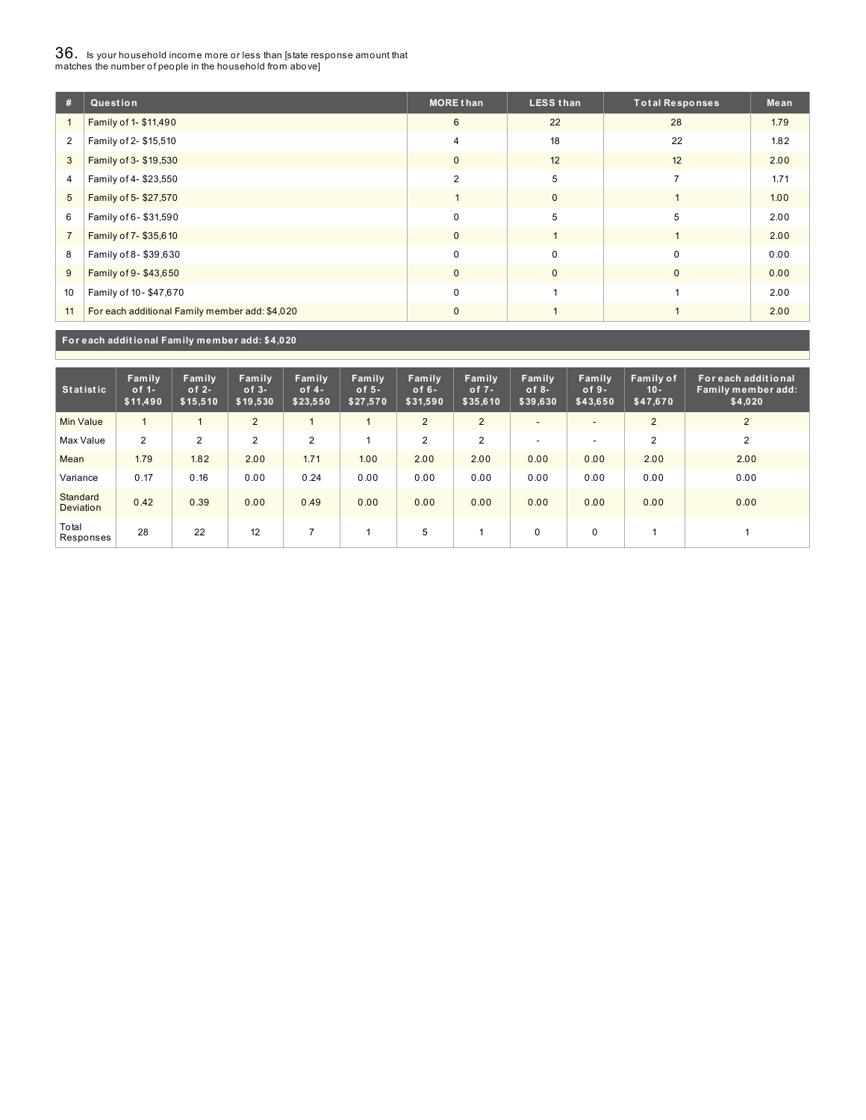## $36_\cdot$  is your household income more or less than [state response amount that<br>matches the number of people in the household from above]

| #              | Question                                       | <b>MORE than</b> | <b>LESS than</b> | <b>Total Responses</b> | Mean |
|----------------|------------------------------------------------|------------------|------------------|------------------------|------|
|                | Family of 1- \$11,490                          | 6                | 22               | 28                     | 1.79 |
| $\overline{2}$ | Family of 2- \$15,510                          | $\overline{4}$   | 18               | 22                     | 1.82 |
| 3              | Family of 3- \$19,530                          | $\mathbf{0}$     | 12               | 12                     | 2.00 |
| 4              | Family of 4-\$23,550                           | $\overline{2}$   | 5                | 7                      | 1.71 |
| 5              | Family of 5-\$27,570                           |                  | $\mathbf{0}$     |                        | 1.00 |
| 6              | Family of 6-\$31,590                           | 0                | 5                | 5                      | 2.00 |
| $\overline{7}$ | Family of 7-\$35,610                           | $\mathbf{0}$     |                  |                        | 2.00 |
| 8              | Family of 8-\$39,630                           | $\Omega$         | $\mathbf 0$      | $\Omega$               | 0.00 |
| 9              | Family of 9-\$43,650                           | $\mathbf{0}$     | $\mathbf{0}$     | $\mathbf{0}$           | 0.00 |
| 10             | Family of 10-\$47,670                          | 0                |                  |                        | 2.00 |
| 11             | For each additional Family member add: \$4,020 | $\mathbf{0}$     |                  |                        | 2.00 |

**For each addit ional Family member add: \$4,020**

| <b>Statistic</b>             | Family<br>of $1-$<br>\$11,490 | Family<br>of $2-$<br>\$15,510 | Family<br>$of 3-$<br>\$19,530 | Family<br>of $4-$<br>\$23,550 | Family<br>of $5-$<br>\$27,570 | Family<br>of $6-$<br>\$31,590 | Family<br>of $7 -$<br>\$35,610 | Family<br>of $8-$<br>\$39,630 | Family<br>$of 9-$<br>\$43,650 | Family of<br>$10 -$<br>\$47,670 | For each additional<br>Family member add:<br>\$4,020 |
|------------------------------|-------------------------------|-------------------------------|-------------------------------|-------------------------------|-------------------------------|-------------------------------|--------------------------------|-------------------------------|-------------------------------|---------------------------------|------------------------------------------------------|
| <b>Min Value</b>             |                               |                               | 2                             |                               |                               | 2                             | $\overline{2}$                 |                               | $\overline{\phantom{a}}$      | 2                               | 2                                                    |
| Max Value                    | 2                             | $\overline{2}$                | $\overline{2}$                | 2                             |                               | $\overline{2}$                | $\overline{2}$                 | -                             | $\overline{\phantom{a}}$      | $\overline{2}$                  | 2                                                    |
| Mean                         | 1.79                          | 1.82                          | 2.00                          | 1.71                          | 1.00                          | 2.00                          | 2.00                           | 0.00                          | 0.00                          | 2.00                            | 2.00                                                 |
| Variance                     | 0.17                          | 0.16                          | 0.00                          | 0.24                          | 0.00                          | 0.00                          | 0.00                           | 0.00                          | 0.00                          | 0.00                            | 0.00                                                 |
| Standard<br><b>Deviation</b> | 0.42                          | 0.39                          | 0.00                          | 0.49                          | 0.00                          | 0.00                          | 0.00                           | 0.00                          | 0.00                          | 0.00                            | 0.00                                                 |
| Total<br>Responses           | 28                            | 22                            | 12                            | ∍                             |                               | 5                             |                                | $\Omega$                      | $\mathbf 0$                   |                                 |                                                      |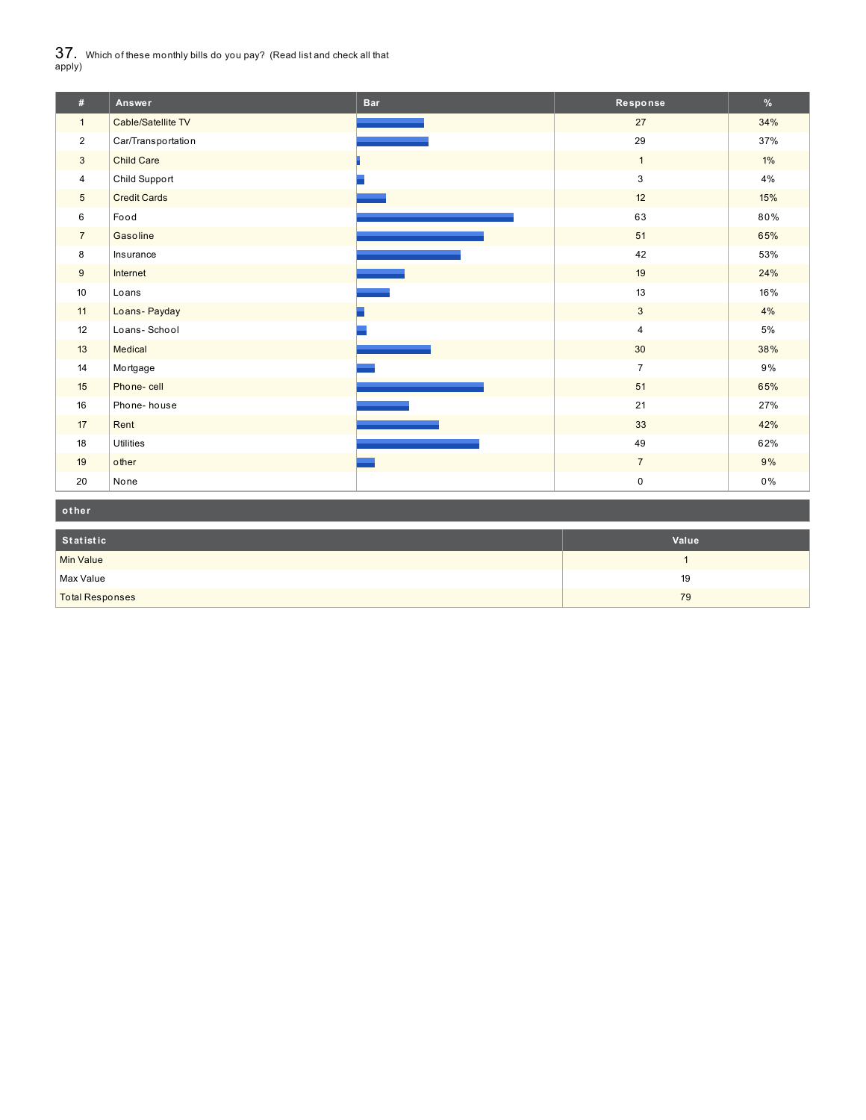$37_\cdot$  Which of these monthly bills do you pay? (Read list and check all that apply)

| #               | Answer              | <b>Bar</b> | Response       | $\%$  |
|-----------------|---------------------|------------|----------------|-------|
| $\mathbf{1}$    | Cable/Satellite TV  |            | 27             | 34%   |
| $\overline{2}$  | Car/Transportation  |            | 29             | 37%   |
| $\mathbf{3}$    | <b>Child Care</b>   |            | $\mathbf{1}$   | $1\%$ |
| 4               | Child Support       |            | 3              | 4%    |
| $5\overline{)}$ | <b>Credit Cards</b> |            | 12             | 15%   |
| 6               | Food                |            | 63             | 80%   |
| $\overline{7}$  | Gasoline            |            | 51             | 65%   |
| 8               | Insurance           |            | 42             | 53%   |
| 9               | Internet            |            | 19             | 24%   |
| 10              | Loans               |            | 13             | 16%   |
| 11              | Loans- Payday       |            | $\mathbf{3}$   | 4%    |
| 12              | Loans-School        |            | $\overline{4}$ | 5%    |
| 13              | Medical             |            | 30             | 38%   |
| 14              | Mortgage            |            | $\overline{7}$ | 9%    |
| 15              | Phone-cell          |            | 51             | 65%   |
| 16              | Phone-house         |            | 21             | 27%   |
| 17              | Rent                |            | 33             | 42%   |
| 18              | <b>Utilities</b>    |            | 49             | 62%   |
| 19              | other               |            | $\overline{7}$ | 9%    |
| 20              | None                |            | $\pmb{0}$      | 0%    |

| other                  |       |
|------------------------|-------|
| Statistic              | Value |
| Min Value              |       |
| Max Value              | 19    |
| <b>Total Responses</b> | 79    |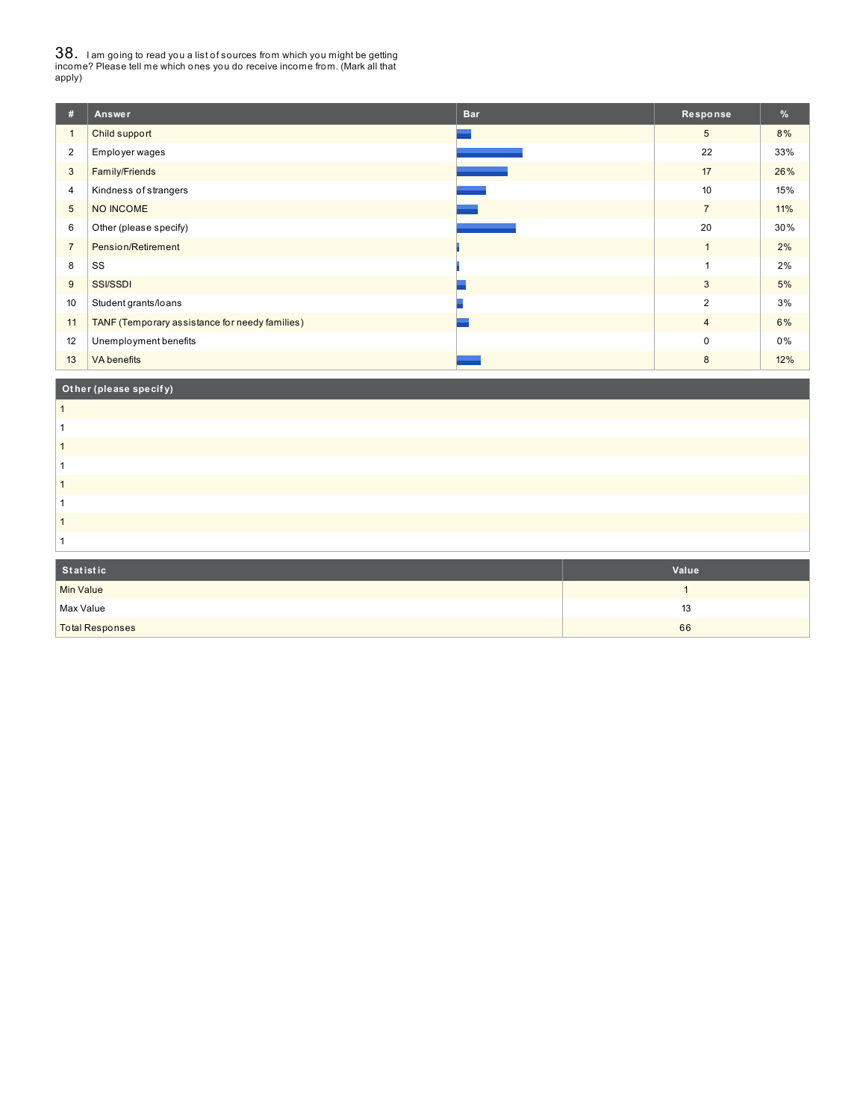38. <sup>I</sup> am going to read you <sup>a</sup> list of sources from which you might be getting income? Please tell me which ones you do receive income from. (Mark all that apply)

| #              | Answer                                         | <b>Bar</b> | Response       | $\frac{9}{6}$ |
|----------------|------------------------------------------------|------------|----------------|---------------|
| $\mathbf{1}$   | Child support                                  |            | 5              | 8%            |
| $\overline{2}$ | Employer wages                                 |            | 22             | 33%           |
| 3              | Family/Friends                                 |            | 17             | 26%           |
| $\overline{4}$ | Kindness of strangers                          |            | 10             | 15%           |
| $\overline{5}$ | NO INCOME                                      |            | $\overline{7}$ | 11%           |
| 6              | Other (please specify)                         |            | 20             | 30%           |
| $\overline{7}$ | Pension/Retirement                             |            | $\overline{1}$ | 2%            |
| 8              | SS                                             |            |                | 2%            |
| 9              | <b>SSI/SSDI</b>                                |            | $\mathbf{3}$   | 5%            |
| 10             | Student grants/loans                           |            | $\overline{2}$ | 3%            |
| 11             | TANF (Temporary assistance for needy families) |            | $\overline{4}$ | 6%            |
| 12             | Unemployment benefits                          |            | $\mathbf 0$    | 0%            |
| 13             | <b>VA</b> benefits                             |            | 8              | 12%           |
|                | Other (please specify)                         |            |                |               |

| Statistic | Value |
|-----------|-------|
| Min Value |       |

 $\blacksquare$ Max Value 13  $\blacksquare$ total Responses 66 and the set of the set of the set of the set of the set of the set of the set of the set of the set of the set of the set of the set of the set of the set of the set of the set of the set of the set of t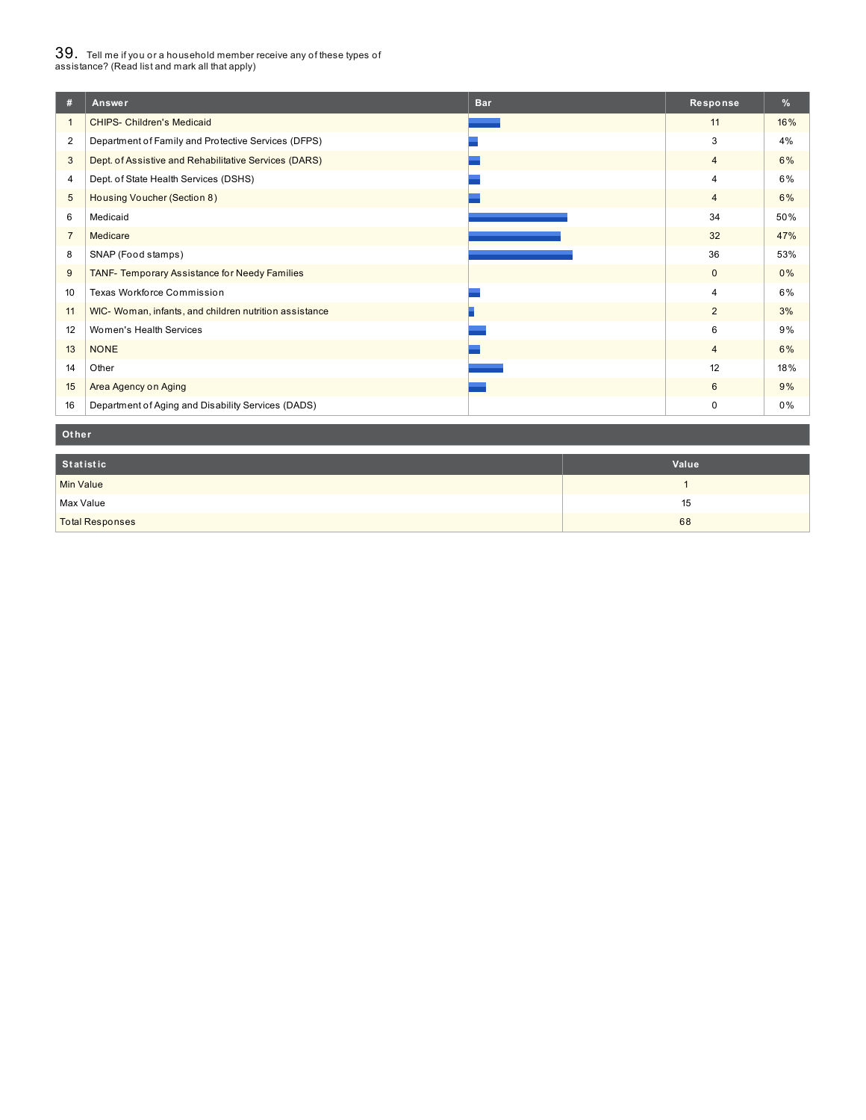## $39_\cdot$  Tell me if you or a household member receive any of these types of<br>assistance? (Read list and mark all that apply)

| #              | Answer                                                 | <b>Bar</b> | Response       | $\%$  |
|----------------|--------------------------------------------------------|------------|----------------|-------|
|                | <b>CHIPS- Children's Medicaid</b>                      |            | 11             | 16%   |
| $\overline{2}$ | Department of Family and Protective Services (DFPS)    |            | 3              | 4%    |
| 3              | Dept. of Assistive and Rehabilitative Services (DARS)  |            | $\overline{4}$ | 6%    |
| $\overline{4}$ | Dept. of State Health Services (DSHS)                  |            | 4              | 6%    |
| 5              | Housing Voucher (Section 8)                            |            | $\overline{4}$ | 6%    |
| 6              | Medicaid                                               |            | 34             | 50%   |
| $\overline{7}$ | Medicare                                               |            | 32             | 47%   |
| 8              | SNAP (Food stamps)                                     |            | 36             | 53%   |
| 9              | TANF- Temporary Assistance for Needy Families          |            | $\mathbf{0}$   | $0\%$ |
| 10             | Texas Workforce Commission                             |            | $\overline{4}$ | 6%    |
| 11             | WIC- Woman, infants, and children nutrition assistance |            | $\overline{2}$ | 3%    |
| 12             | Women's Health Services                                |            | 6              | 9%    |
| 13             | <b>NONE</b>                                            |            | $\overline{4}$ | 6%    |
| 14             | Other                                                  |            | 12             | 18%   |
| 15             | Area Agency on Aging                                   |            | 6              | 9%    |
| 16             | Department of Aging and Disability Services (DADS)     |            | 0              | 0%    |

#### **Ot her**

| Statistic              | Value |
|------------------------|-------|
| <b>Min Value</b>       |       |
| Max Value              | 15    |
| <b>Total Responses</b> | 68    |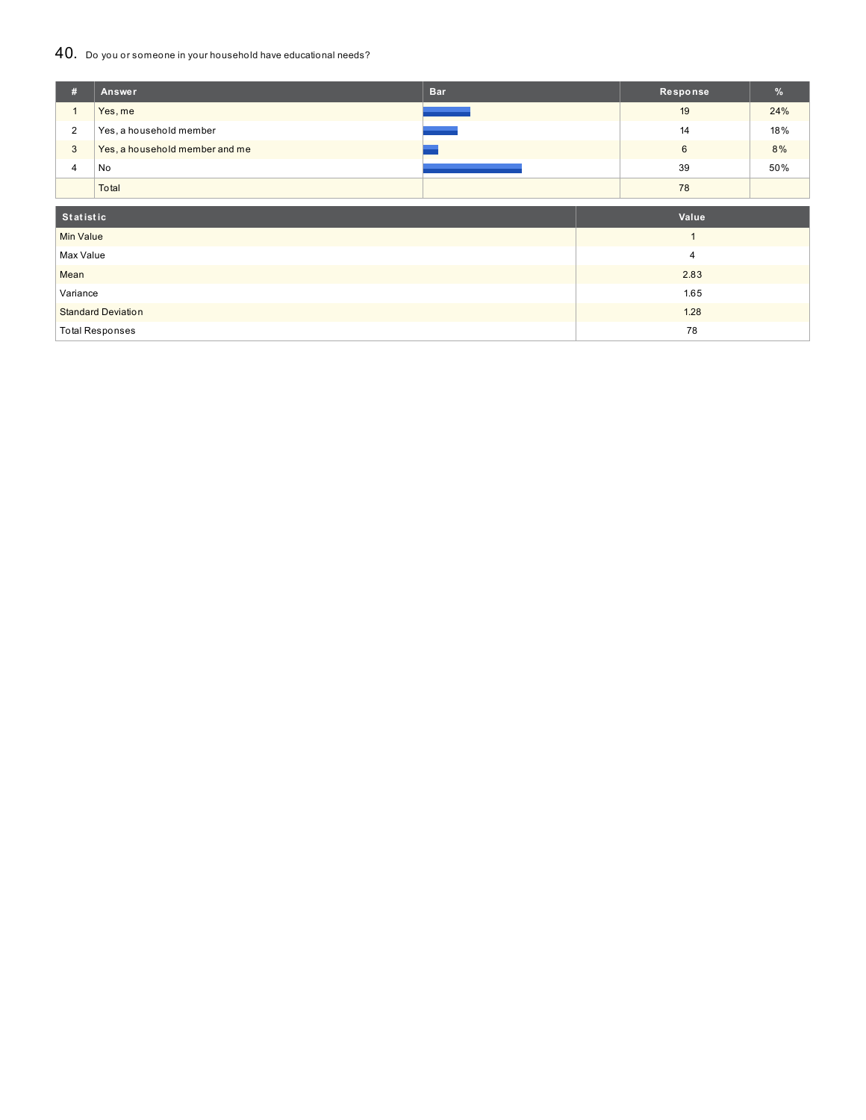### 40. Do you or someone in your household have educational needs?

| #                | Answer                         | <b>Bar</b> | Response       | %   |
|------------------|--------------------------------|------------|----------------|-----|
| $\mathbf{1}$     | Yes, me                        |            | 19             | 24% |
| $\overline{2}$   | Yes, a household member        |            | 14             | 18% |
| 3                | Yes, a household member and me |            | $6\phantom{1}$ | 8%  |
| 4                | No                             |            | 39             | 50% |
|                  | Total                          |            | 78             |     |
|                  |                                |            |                |     |
| Statistic        |                                |            | Value          |     |
| <b>Min Value</b> |                                |            | $\mathbf{1}$   |     |
| Max Value        |                                |            | 4              |     |
| Mean             |                                |            | 2.83           |     |
| Variance         |                                |            | 1.65           |     |
|                  | <b>Standard Deviation</b>      |            | 1.28           |     |
|                  | <b>Total Responses</b>         |            | 78             |     |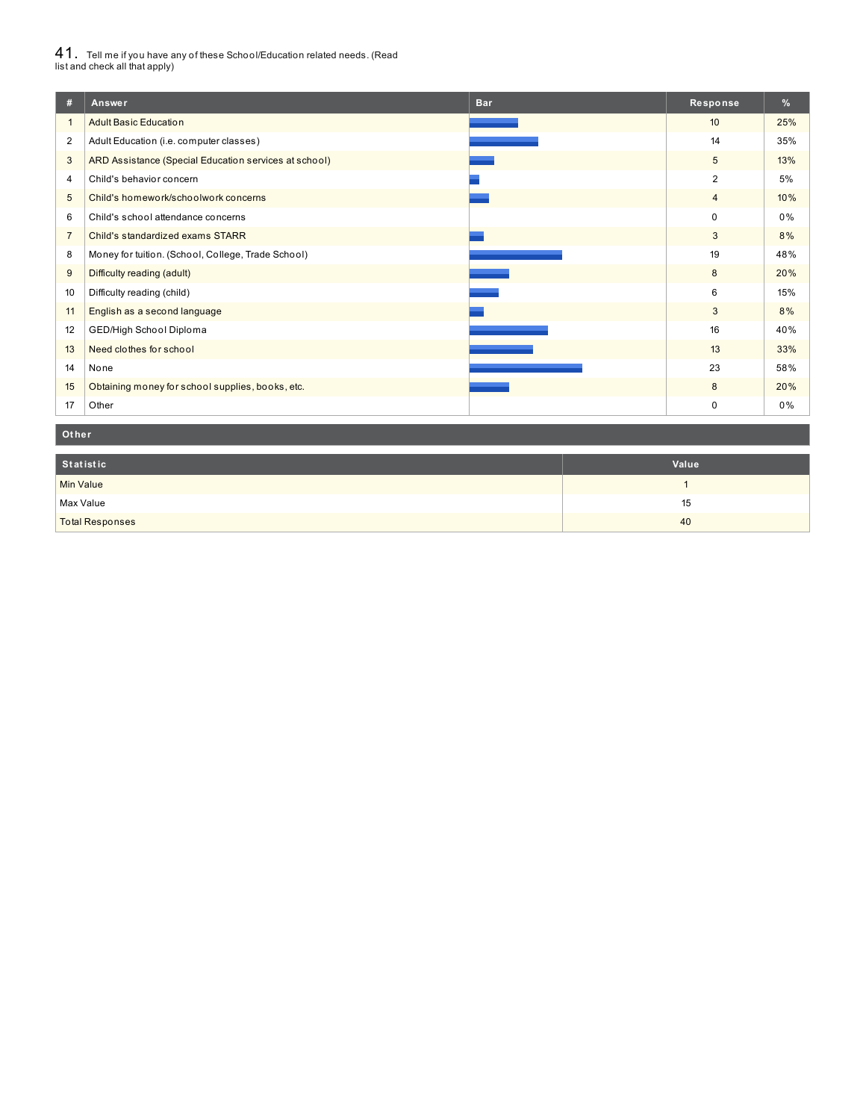# $41_\cdot$  Tell me if you have any of these School/Education related needs. (Read<br>list and check all that apply)

| #                | <b>Bar</b><br>Answer                                  | Response       | %   |
|------------------|-------------------------------------------------------|----------------|-----|
|                  | <b>Adult Basic Education</b>                          | 10             | 25% |
| $\overline{2}$   | Adult Education (i.e. computer classes)               | 14             | 35% |
| 3                | ARD Assistance (Special Education services at school) | 5              | 13% |
| 4                | Child's behavior concern                              | $\overline{2}$ | 5%  |
| 5                | Child's homework/schoolwork concerns                  | $\overline{4}$ | 10% |
| 6                | Child's school attendance concerns                    | $\Omega$       | 0%  |
| $\overline{7}$   | Child's standardized exams STARR                      | 3              | 8%  |
| 8                | Money for tuition. (School, College, Trade School)    | 19             | 48% |
| 9                | Difficulty reading (adult)                            | 8              | 20% |
| 10 <sup>10</sup> | Difficulty reading (child)                            | 6              | 15% |
| 11               | English as a second language                          | 3              | 8%  |
| 12               | GED/High School Diploma                               | 16             | 40% |
| 13               | Need clothes for school                               | 13             | 33% |
| 14               | None                                                  | 23             | 58% |
| 15               | Obtaining money for school supplies, books, etc.      | 8              | 20% |
| 17               | Other                                                 | $\mathbf 0$    | 0%  |

#### **Ot her**

| Statistic              | Value |
|------------------------|-------|
| Min Value              |       |
| Max Value              | 15    |
| <b>Total Responses</b> | 40    |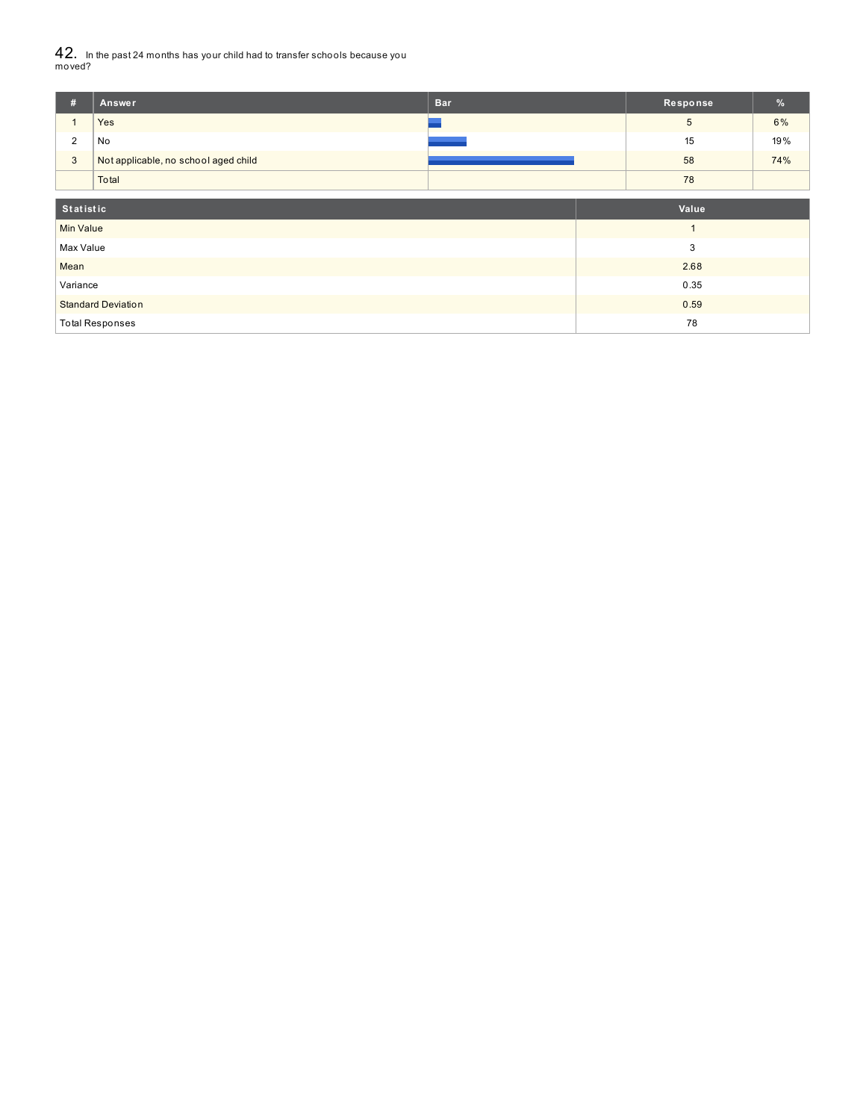$42_\cdot$  In the past 24 months has your child had to transfer schools because you<br>moved?

| #                         | Answer                               | <b>Bar</b> | Response        | %   |
|---------------------------|--------------------------------------|------------|-----------------|-----|
|                           | Yes                                  |            | $5\phantom{.0}$ | 6%  |
| $\overline{\mathbf{c}}$   | No                                   |            | 15              | 19% |
| $\mathbf{3}$              | Not applicable, no school aged child |            | 58              | 74% |
|                           | Total                                |            | 78              |     |
| Statistic                 |                                      |            | Value           |     |
|                           |                                      |            |                 |     |
| <b>Min Value</b>          |                                      |            |                 |     |
| Max Value                 |                                      |            | 3               |     |
| Mean                      |                                      |            | 2.68            |     |
| Variance                  |                                      |            | 0.35            |     |
| <b>Standard Deviation</b> |                                      |            | 0.59            |     |
| <b>Total Responses</b>    |                                      |            | 78              |     |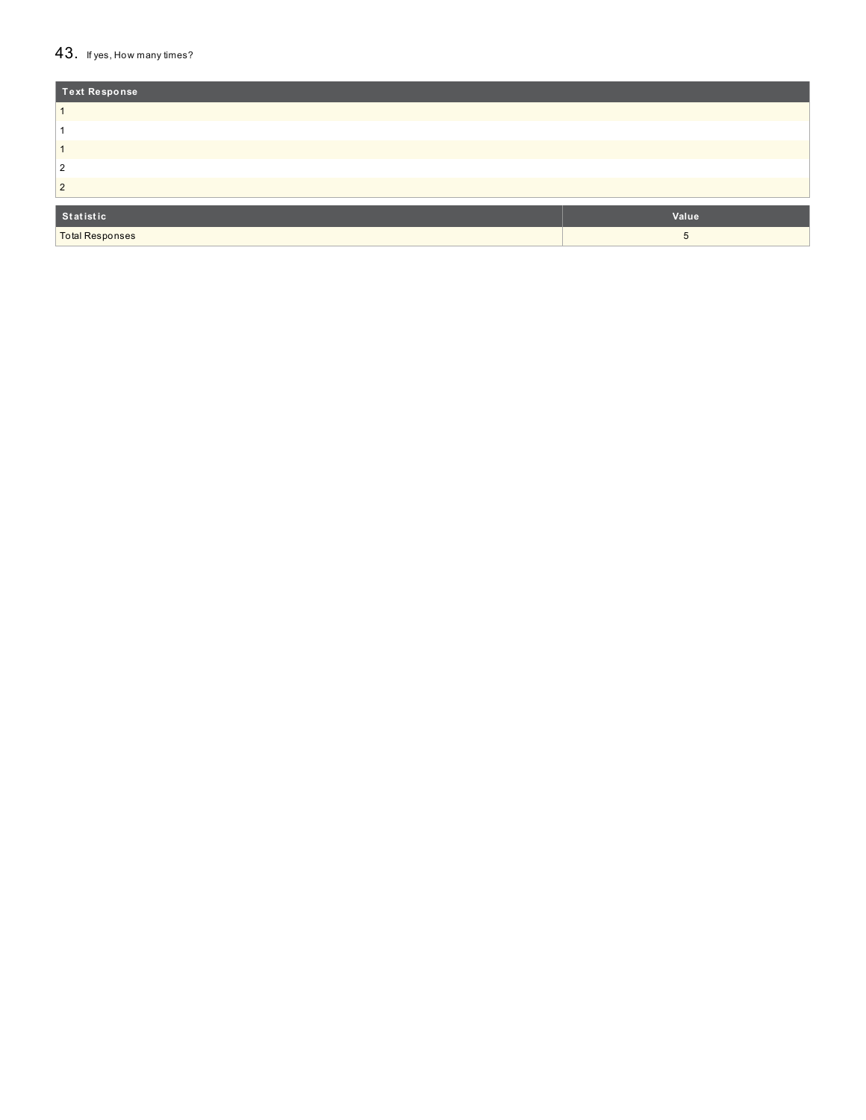#### $43.$  If yes, How many times?

| <b>Text Response</b>   |       |
|------------------------|-------|
|                        |       |
|                        |       |
|                        |       |
| 2                      |       |
| 2                      |       |
|                        |       |
| Statistic              | Value |
| <b>Total Responses</b> | 5     |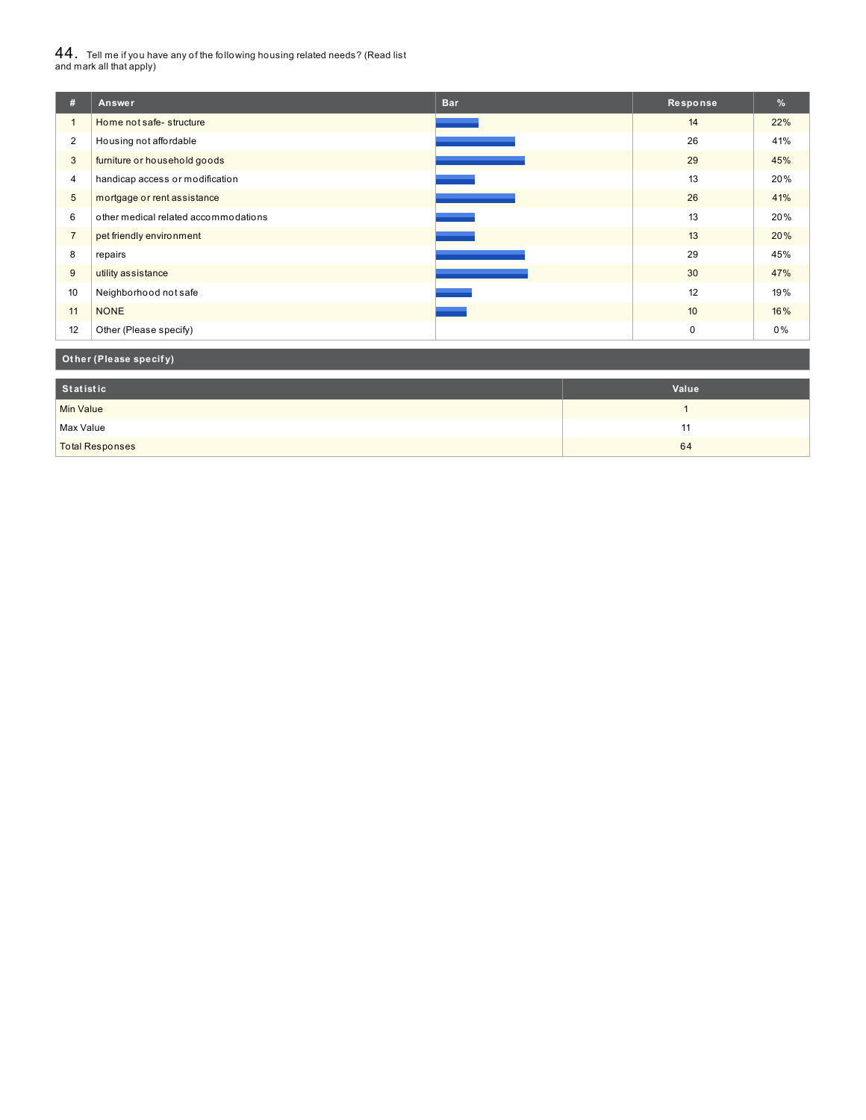# $44_\cdot$  Tell me if you have any of the following housing related needs? (Read list<br>and mark all that apply)

| #              | Answer                               | <b>Bar</b> | Response         | %   |
|----------------|--------------------------------------|------------|------------------|-----|
| $\mathbf{1}$   | Home not safe-structure              |            | 14               | 22% |
| $\overline{2}$ | Housing not affordable               |            | 26               | 41% |
| 3              | furniture or household goods         |            | 29               | 45% |
| 4              | handicap access or modification      |            | 13               | 20% |
| 5              | mortgage or rent assistance          |            | 26               | 41% |
| 6              | other medical related accommodations |            | 13               | 20% |
| $\overline{7}$ | pet friendly environment             |            | 13               | 20% |
| 8              | repairs                              |            | 29               | 45% |
| 9              | utility assistance                   |            | 30               | 47% |
| 10             | Neighborhood not safe                |            | 12               | 19% |
| 11             | <b>NONE</b>                          |            | 10 <sup>10</sup> | 16% |
| 12             | Other (Please specify)               |            | $\mathbf 0$      | 0%  |

## **Ot her (Please specif y)**

| Statistic              | Value |
|------------------------|-------|
| <b>Min Value</b>       |       |
| Max Value              | . .   |
| <b>Total Responses</b> | 64    |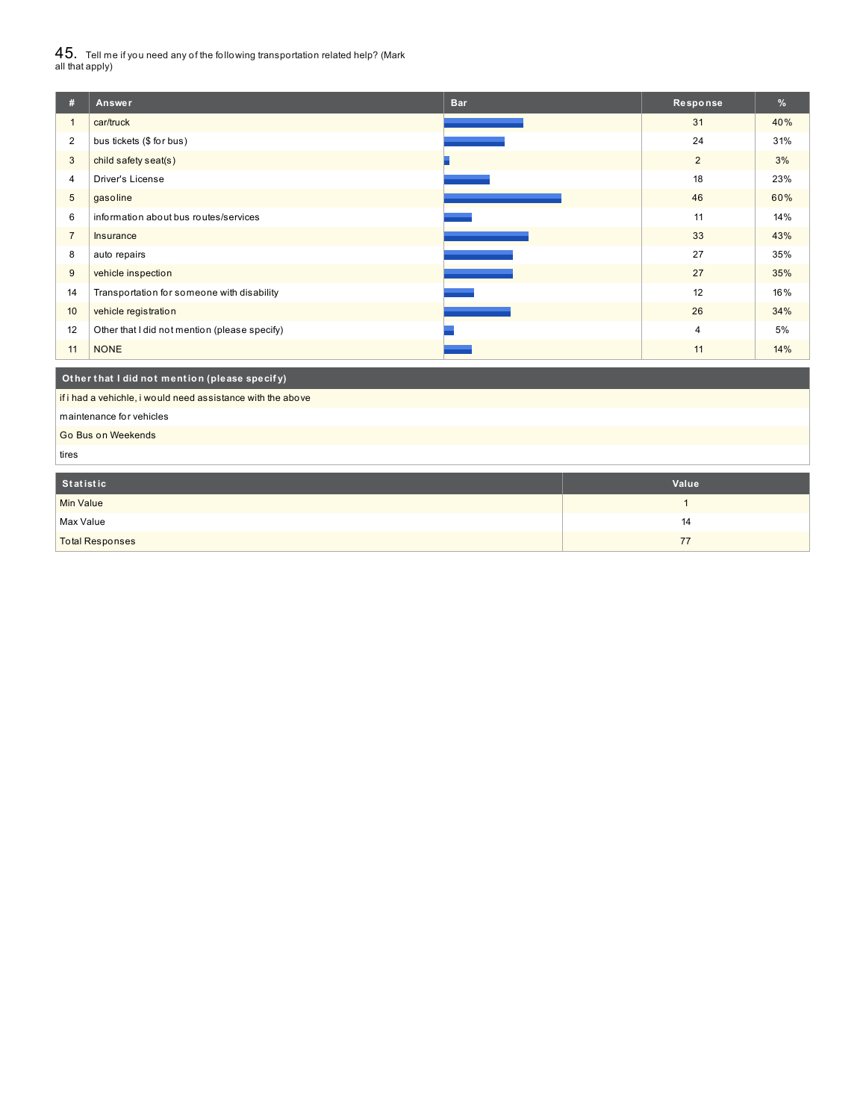$45_\cdot$  Tell me if you need any of the following transportation related help? (Mark<br>all that apply)

| #                         | Answer                                                      | <b>Bar</b> | Response     | %   |  |
|---------------------------|-------------------------------------------------------------|------------|--------------|-----|--|
| $\mathbf{1}$              | car/truck                                                   |            | 31           | 40% |  |
| $\overline{2}$            | bus tickets (\$ for bus)                                    |            | 24           | 31% |  |
| 3                         | child safety seat(s)                                        |            | 2            | 3%  |  |
| 4                         | Driver's License                                            |            | 18           | 23% |  |
| 5                         | gasoline                                                    |            | 46           | 60% |  |
| 6                         | information about bus routes/services                       |            | 11           | 14% |  |
| $\overline{7}$            | Insurance                                                   |            | 33           | 43% |  |
| 8                         | auto repairs                                                |            | 27           | 35% |  |
| 9                         | vehicle inspection                                          |            | 27           | 35% |  |
| 14                        | Transportation for someone with disability                  |            | 12           | 16% |  |
| 10                        | vehicle registration                                        |            | 26           | 34% |  |
| 12                        | Other that I did not mention (please specify)               |            | 4            | 5%  |  |
| 11                        | <b>NONE</b>                                                 |            | 11           | 14% |  |
|                           | Other that I did not mention (please specify)               |            |              |     |  |
|                           |                                                             |            |              |     |  |
|                           | if i had a vehichle, i would need assistance with the above |            |              |     |  |
|                           | maintenance for vehicles                                    |            |              |     |  |
| Go Bus on Weekends        |                                                             |            |              |     |  |
| tires                     |                                                             |            |              |     |  |
| <b>Statistic</b><br>Value |                                                             |            |              |     |  |
| <b>Min Value</b>          |                                                             |            | $\mathbf{1}$ |     |  |

| <b>Total Responses</b> |    |
|------------------------|----|
| Max Value              | 14 |
| ivilli valuu           |    |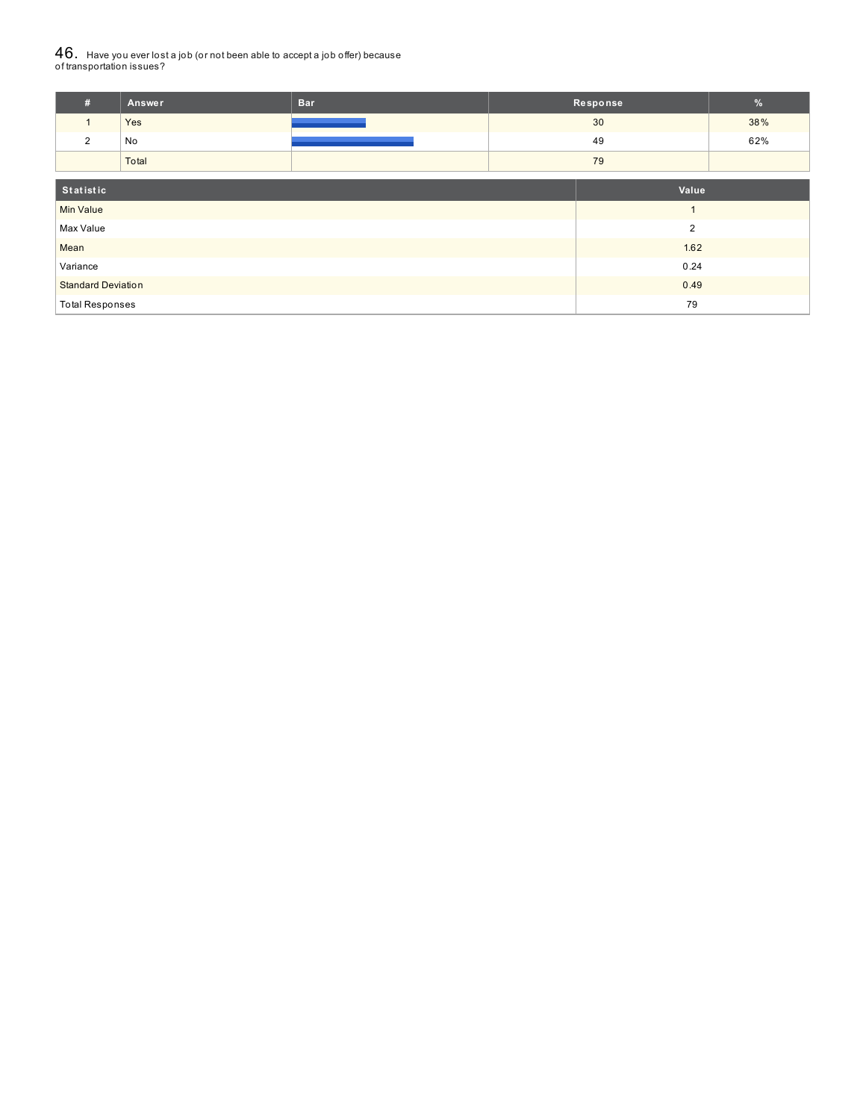# ${\bf 46}_{\cdot}\,$  Have you ever lost a job (or not been able to accept a job offer) because<br>of transportation issues?

| #                         | <b>Answer</b> | <b>Bar</b> |      | Response       | $\%$ |
|---------------------------|---------------|------------|------|----------------|------|
| $\mathbf{1}$              | Yes           |            |      | 30             | 38%  |
| $\overline{2}$            | No            |            | 49   |                | 62%  |
|                           | Total         |            |      | 79             |      |
| Statistic<br>Value        |               |            |      |                |      |
| <b>Min Value</b>          |               |            |      | $\overline{A}$ |      |
| Max Value                 |               |            |      | $\overline{2}$ |      |
| Mean                      |               |            |      | 1.62           |      |
| Variance                  |               |            | 0.24 |                |      |
| <b>Standard Deviation</b> |               |            | 0.49 |                |      |
| <b>Total Responses</b>    |               |            |      | 79             |      |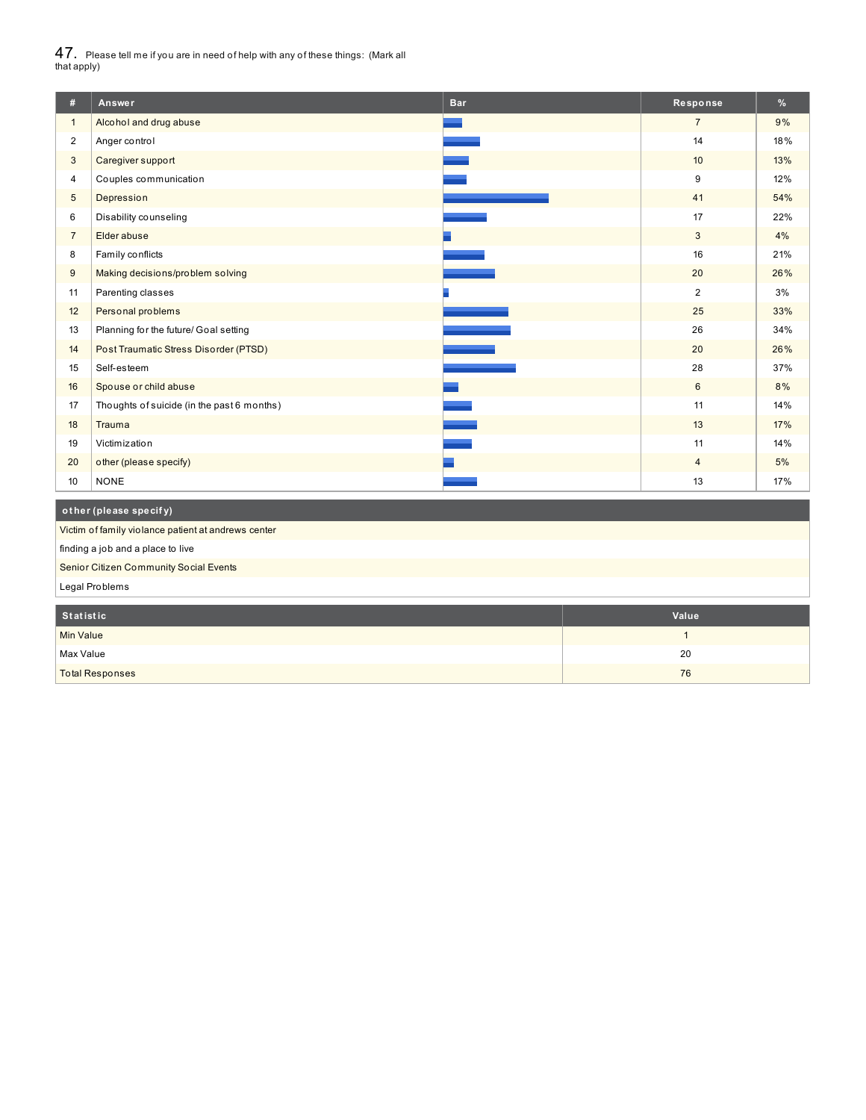$47_\cdot$  Please tell me if you are in need of help with any of these things: (Mark all<br>that apply)

| #                       | Answer                                              | <b>Bar</b> | Response       | $\%$ |  |
|-------------------------|-----------------------------------------------------|------------|----------------|------|--|
| $\mathbf{1}$            | Alcohol and drug abuse                              |            | $\overline{7}$ | 9%   |  |
| $\overline{\mathbf{c}}$ | Anger control                                       |            | 14             | 18%  |  |
| 3                       | Caregiver support                                   |            | 10             | 13%  |  |
| 4                       | Couples communication                               |            | 9              | 12%  |  |
| 5                       | Depression                                          |            | 41             | 54%  |  |
| 6                       | Disability counseling                               |            | 17             | 22%  |  |
| $\overline{7}$          | Elder abuse                                         |            | 3              | 4%   |  |
| 8                       | Family conflicts                                    |            | 16             | 21%  |  |
| 9                       | Making decisions/problem solving                    |            | 20             | 26%  |  |
| 11                      | Parenting classes                                   |            | $\overline{2}$ | 3%   |  |
| 12                      | Personal problems                                   |            | 25             | 33%  |  |
| 13                      | Planning for the future/ Goal setting               |            | 26             | 34%  |  |
| 14                      | Post Traumatic Stress Disorder (PTSD)               |            | 20             | 26%  |  |
| 15                      | Self-esteem                                         |            | 28             | 37%  |  |
| 16                      | Spouse or child abuse                               |            | 6              | 8%   |  |
| 17                      | Thoughts of suicide (in the past 6 months)          |            | 11             | 14%  |  |
| 18                      | <b>Trauma</b>                                       |            | 13             | 17%  |  |
| 19                      | Victimization                                       |            | 11             | 14%  |  |
| 20                      | other (please specify)                              |            | $\overline{4}$ | 5%   |  |
| 10                      | <b>NONE</b>                                         |            | 13             | 17%  |  |
|                         | other (please specify)                              |            |                |      |  |
|                         | Victim of family violance patient at andrews center |            |                |      |  |
|                         | finding a job and a place to live                   |            |                |      |  |

Senior Citizen Community Social Events

Legal Problems

| Statistic              | Value |
|------------------------|-------|
| <b>Min Value</b>       |       |
| Max Value              | 20    |
| <b>Total Responses</b> | 76    |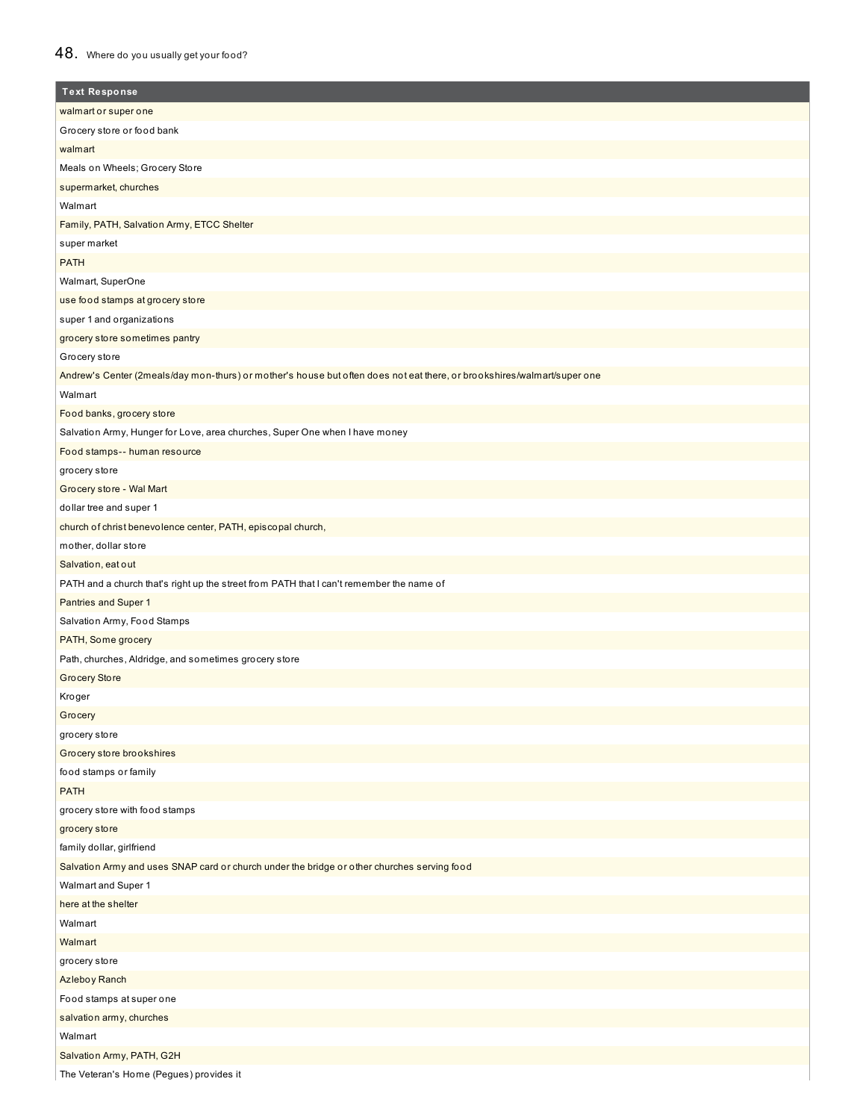## 48. Where do you usually get your food?

| <b>Text Response</b>                                                                                                    |
|-------------------------------------------------------------------------------------------------------------------------|
| walmart or super one                                                                                                    |
| Grocery store or food bank                                                                                              |
| walmart                                                                                                                 |
| Meals on Wheels; Grocery Store                                                                                          |
| supermarket, churches                                                                                                   |
| Walmart                                                                                                                 |
| Family, PATH, Salvation Army, ETCC Shelter                                                                              |
| super market                                                                                                            |
| <b>PATH</b>                                                                                                             |
| Walmart, SuperOne                                                                                                       |
| use food stamps at grocery store                                                                                        |
| super 1 and organizations                                                                                               |
| grocery store sometimes pantry                                                                                          |
| Grocery store                                                                                                           |
| Andrew's Center (2meals/day mon-thurs) or mother's house but often does not eat there, or brookshires/walmart/super one |
| Walmart                                                                                                                 |
| Food banks, grocery store                                                                                               |
| Salvation Army, Hunger for Love, area churches, Super One when I have money                                             |
| Food stamps-- human resource                                                                                            |
| grocery store                                                                                                           |
| Grocery store - Wal Mart                                                                                                |
| dollar tree and super 1                                                                                                 |
| church of christ benevolence center, PATH, episcopal church,                                                            |
| mother, dollar store                                                                                                    |
| Salvation, eat out                                                                                                      |
| PATH and a church that's right up the street from PATH that I can't remember the name of                                |
| Pantries and Super 1                                                                                                    |
| Salvation Army, Food Stamps                                                                                             |
| PATH, Some grocery                                                                                                      |
| Path, churches, Aldridge, and sometimes grocery store                                                                   |
| <b>Grocery Store</b>                                                                                                    |
| Kroger                                                                                                                  |
| Grocery                                                                                                                 |
| grocery store                                                                                                           |
| Grocery store brookshires                                                                                               |
| food stamps or family                                                                                                   |
| <b>PATH</b>                                                                                                             |
| grocery store with food stamps                                                                                          |
| grocery store                                                                                                           |
| family dollar, girlfriend                                                                                               |
| Salvation Army and uses SNAP card or church under the bridge or other churches serving food                             |
| Walmart and Super 1                                                                                                     |
| here at the shelter                                                                                                     |
| Walmart                                                                                                                 |
| Walmart                                                                                                                 |
| grocery store                                                                                                           |
| <b>Azleboy Ranch</b>                                                                                                    |
| Food stamps at super one                                                                                                |
| salvation army, churches                                                                                                |
| Walmart                                                                                                                 |
| Salvation Army, PATH, G2H                                                                                               |
| The Veteran's Home (Pegues) provides it                                                                                 |
|                                                                                                                         |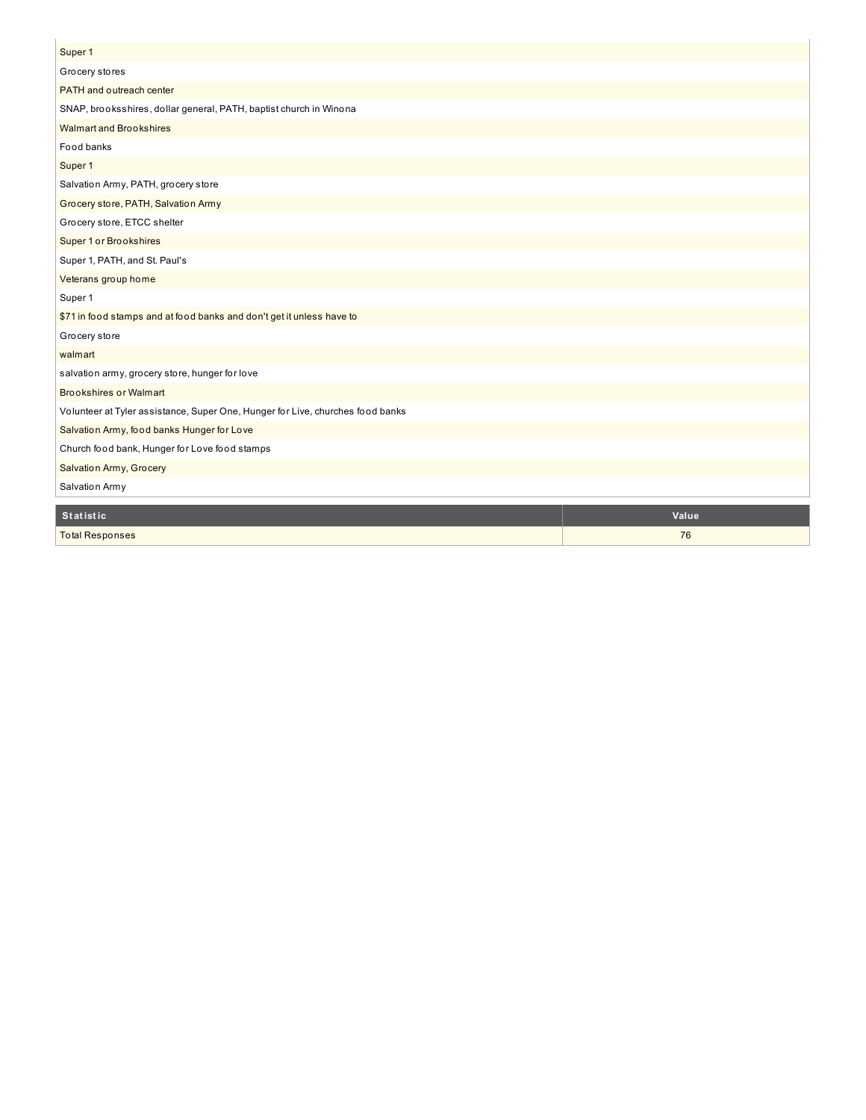| Super 1<br>Grocery stores                                                      |
|--------------------------------------------------------------------------------|
|                                                                                |
|                                                                                |
| PATH and outreach center                                                       |
| SNAP, brooksshires, dollar general, PATH, baptist church in Winona             |
| <b>Walmart and Brookshires</b>                                                 |
| Food banks                                                                     |
| Super 1                                                                        |
| Salvation Army, PATH, grocery store                                            |
| Grocery store, PATH, Salvation Army                                            |
| Grocery store, ETCC shelter                                                    |
| <b>Super 1 or Brookshires</b>                                                  |
| Super 1, PATH, and St. Paul's                                                  |
| Veterans group home                                                            |
| Super 1                                                                        |
| \$71 in food stamps and at food banks and don't get it unless have to          |
| Grocery store                                                                  |
| walmart                                                                        |
| salvation army, grocery store, hunger for love                                 |
| <b>Brookshires or Walmart</b>                                                  |
| Volunteer at Tyler assistance, Super One, Hunger for Live, churches food banks |
| Salvation Army, food banks Hunger for Love                                     |
| Church food bank, Hunger for Love food stamps                                  |
| Salvation Army, Grocery                                                        |
| Salvation Army                                                                 |
| <b>Statistic</b><br>Value                                                      |

Total Responses 2008 and 2008 and 2008 and 2008 and 2008 and 2008 and 2008 and 2008 and 2008 and 2008 and 2008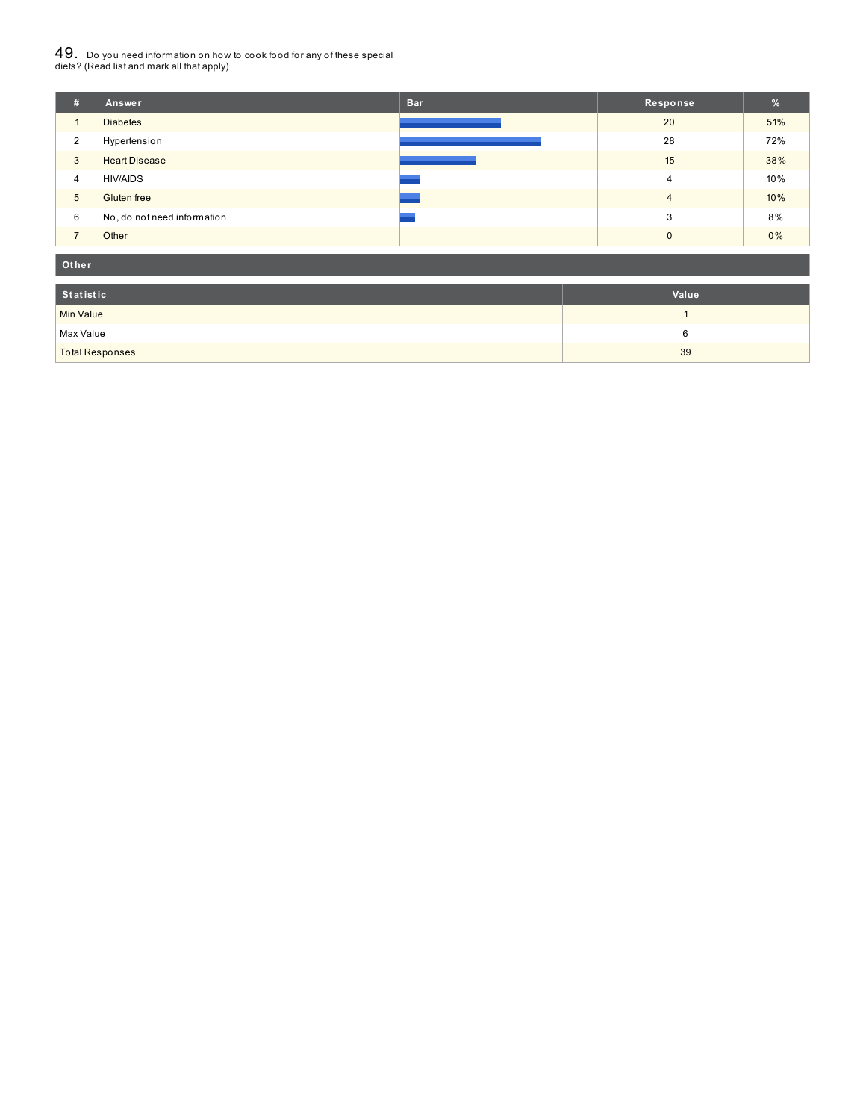# $49_\cdot$  Do you need information on how to cook food for any of these special<br>diets? (Read list and mark all that apply)

| #              | Answer                      | <b>Bar</b> | Response       | %     |
|----------------|-----------------------------|------------|----------------|-------|
| $\mathbf{1}$   | <b>Diabetes</b>             |            | 20             | 51%   |
| 2              | Hypertension                |            | 28             | 72%   |
| 3              | <b>Heart Disease</b>        |            | 15             | 38%   |
| $\overline{4}$ | <b>HIV/AIDS</b>             |            | 4              | 10%   |
| 5              | <b>Gluten</b> free          |            | $\overline{4}$ | 10%   |
| 6              | No, do not need information |            | 3              | 8%    |
| $\overline{ }$ | Other                       |            | $\Omega$       | $0\%$ |

#### **Ot her**

| Statistic              | Value |
|------------------------|-------|
| <b>Min Value</b>       |       |
| Max Value              |       |
| <b>Total Responses</b> | 39    |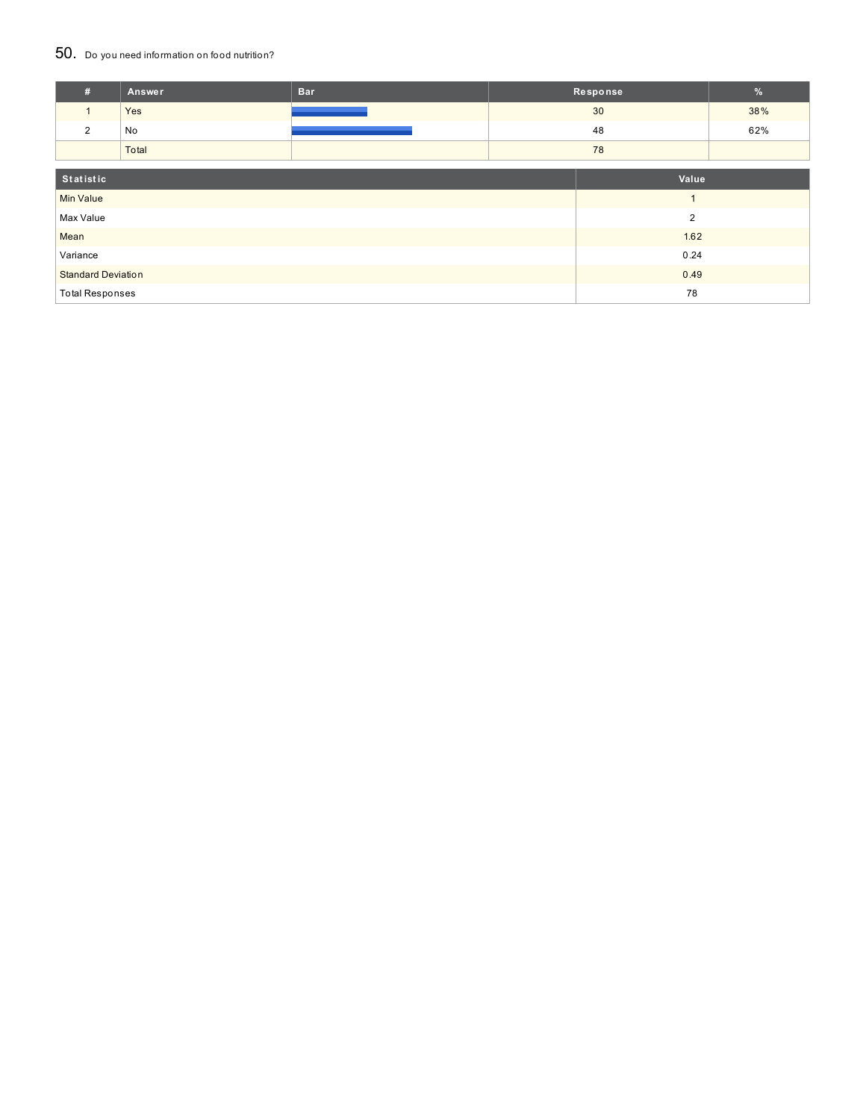### 50. Do you need information on food nutrition?

| #                         | Answer | <b>Bar</b> |                | Response | $\%$ |
|---------------------------|--------|------------|----------------|----------|------|
| $\mathbf{1}$              | Yes    |            |                | 30       | 38%  |
| 2                         | No     |            |                | 48       | 62%  |
|                           | Total  |            |                | 78       |      |
| Statistic<br>Value        |        |            |                |          |      |
| <b>Min Value</b>          |        |            | $\overline{ }$ |          |      |
| Max Value                 |        |            | $\overline{2}$ |          |      |
| Mean                      |        |            | 1.62           |          |      |
| Variance                  |        |            |                | 0.24     |      |
| <b>Standard Deviation</b> |        |            |                | 0.49     |      |
| <b>Total Responses</b>    |        |            |                | 78       |      |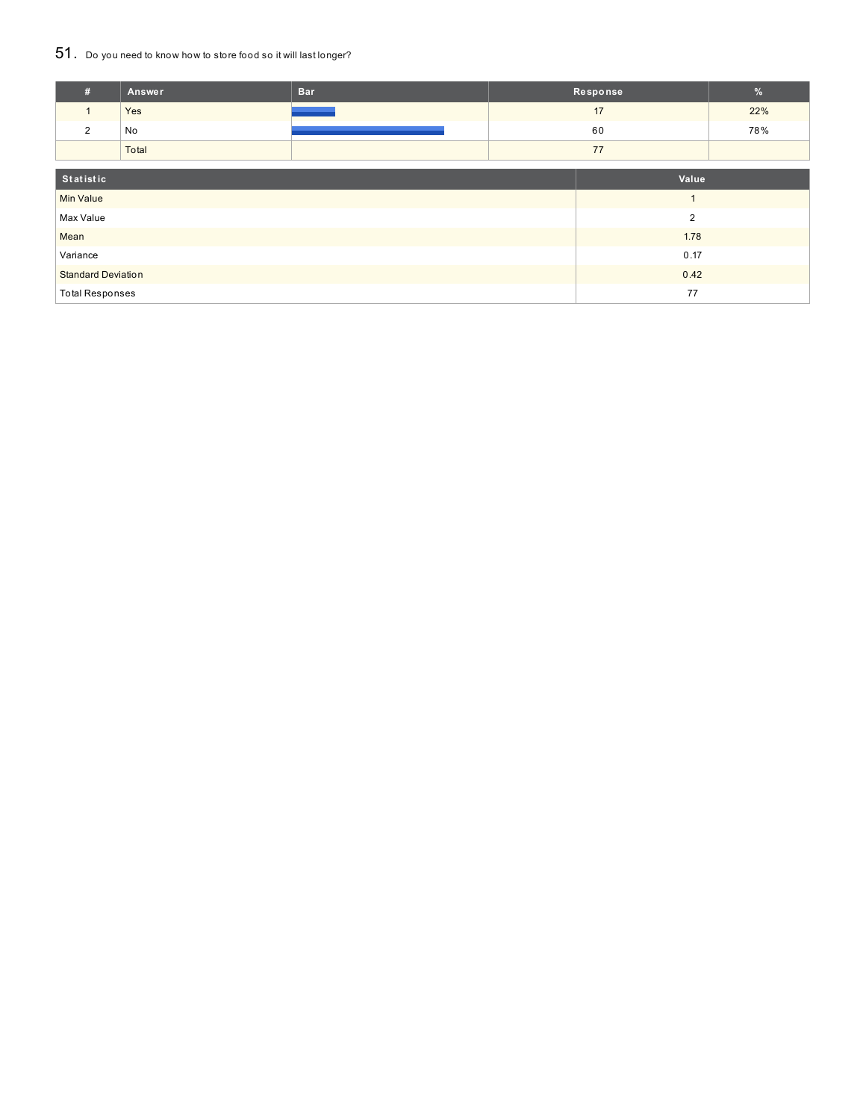## 51. Do you need to know how to store food so it will last longer?

| #                         | <b>Answer</b> | <b>Bar</b> |                | Response | %   |
|---------------------------|---------------|------------|----------------|----------|-----|
|                           | Yes           |            | 17             |          | 22% |
| 2                         | No            |            |                | 60       | 78% |
|                           | Total         |            |                | 77       |     |
| Statistic<br>Value        |               |            |                |          |     |
| <b>Min Value</b>          |               |            | $\overline{A}$ |          |     |
| Max Value                 |               |            | $\overline{2}$ |          |     |
| Mean                      |               |            |                | 1.78     |     |
| Variance                  |               |            | 0.17           |          |     |
| <b>Standard Deviation</b> |               |            |                | 0.42     |     |
| <b>Total Responses</b>    |               |            |                | 77       |     |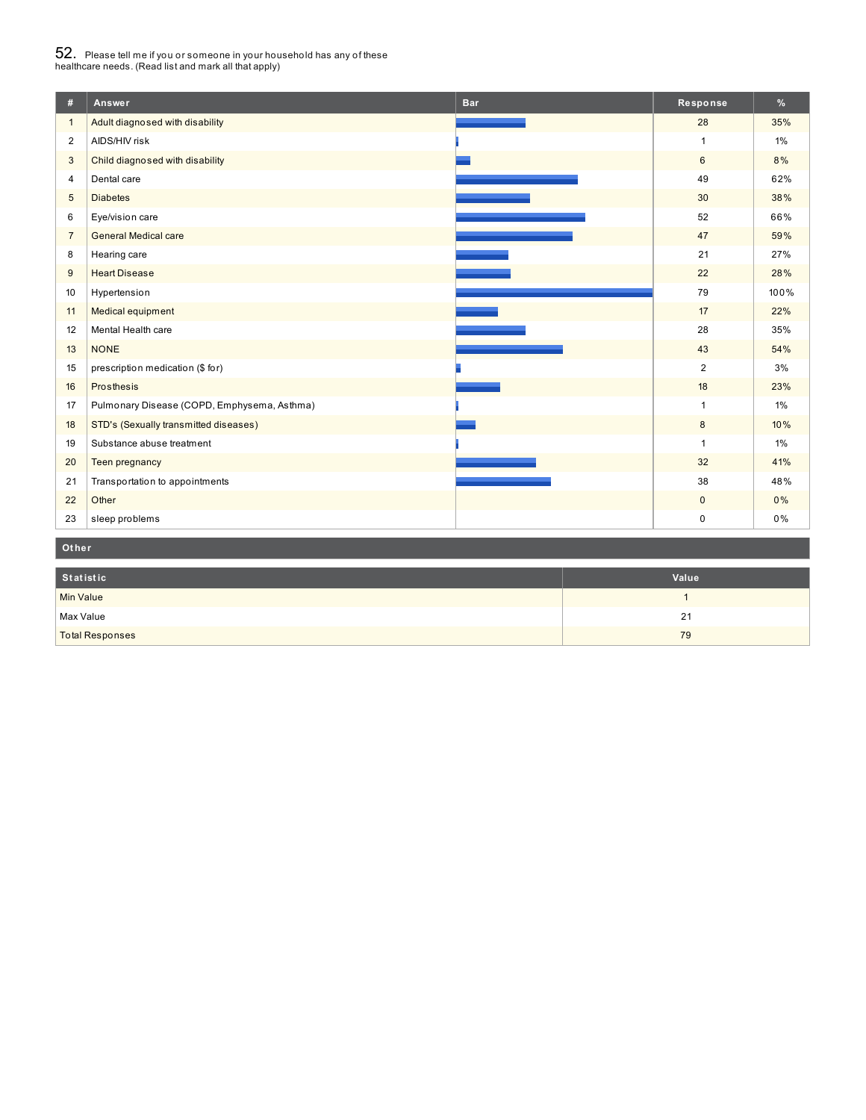# $52_\cdot$  Please tell me if you or someone in your household has any of these<br>healthcare needs. (Read list and mark all that apply)

| #                | Answer                                      | <b>Bar</b> | Response       | %     |
|------------------|---------------------------------------------|------------|----------------|-------|
| $\mathbf{1}$     | Adult diagnosed with disability             |            | 28             | 35%   |
| $\overline{2}$   | AIDS/HIV risk                               |            | $\mathbf{1}$   | $1\%$ |
| 3                | Child diagnosed with disability             |            | $6\phantom{a}$ | 8%    |
| $\overline{4}$   | Dental care                                 |            | 49             | 62%   |
| $\sqrt{5}$       | <b>Diabetes</b>                             |            | 30             | 38%   |
| 6                | Eye/vision care                             |            | 52             | 66%   |
| $\overline{7}$   | <b>General Medical care</b>                 |            | 47             | 59%   |
| 8                | Hearing care                                |            | 21             | 27%   |
| 9                | <b>Heart Disease</b>                        |            | 22             | 28%   |
| 10               | Hypertension                                |            | 79             | 100%  |
| 11               | Medical equipment                           |            | 17             | 22%   |
| 12               | Mental Health care                          |            | 28             | 35%   |
| 13               | <b>NONE</b>                                 |            | 43             | 54%   |
| 15               | prescription medication (\$ for)            |            | $\overline{2}$ | 3%    |
| 16               | Prosthesis                                  |            | 18             | 23%   |
| 17               | Pulmonary Disease (COPD, Emphysema, Asthma) |            | $\mathbf{1}$   | $1\%$ |
| 18               | STD's (Sexually transmitted diseases)       |            | 8              | 10%   |
| 19               | Substance abuse treatment                   |            | $\mathbf{1}$   | $1\%$ |
| 20               | Teen pregnancy                              |            | 32             | 41%   |
| 21               | Transportation to appointments              |            | 38             | 48%   |
| 22               | Other                                       |            | $\pmb{0}$      | 0%    |
| 23               | sleep problems                              |            | $\pmb{0}$      | 0%    |
| Other            |                                             |            |                |       |
|                  |                                             |            |                |       |
| <b>Statistic</b> |                                             |            | Value          |       |

| Statistic              | Value |
|------------------------|-------|
| Min Value              |       |
| Max Value              | 21    |
| <b>Total Responses</b> | 79    |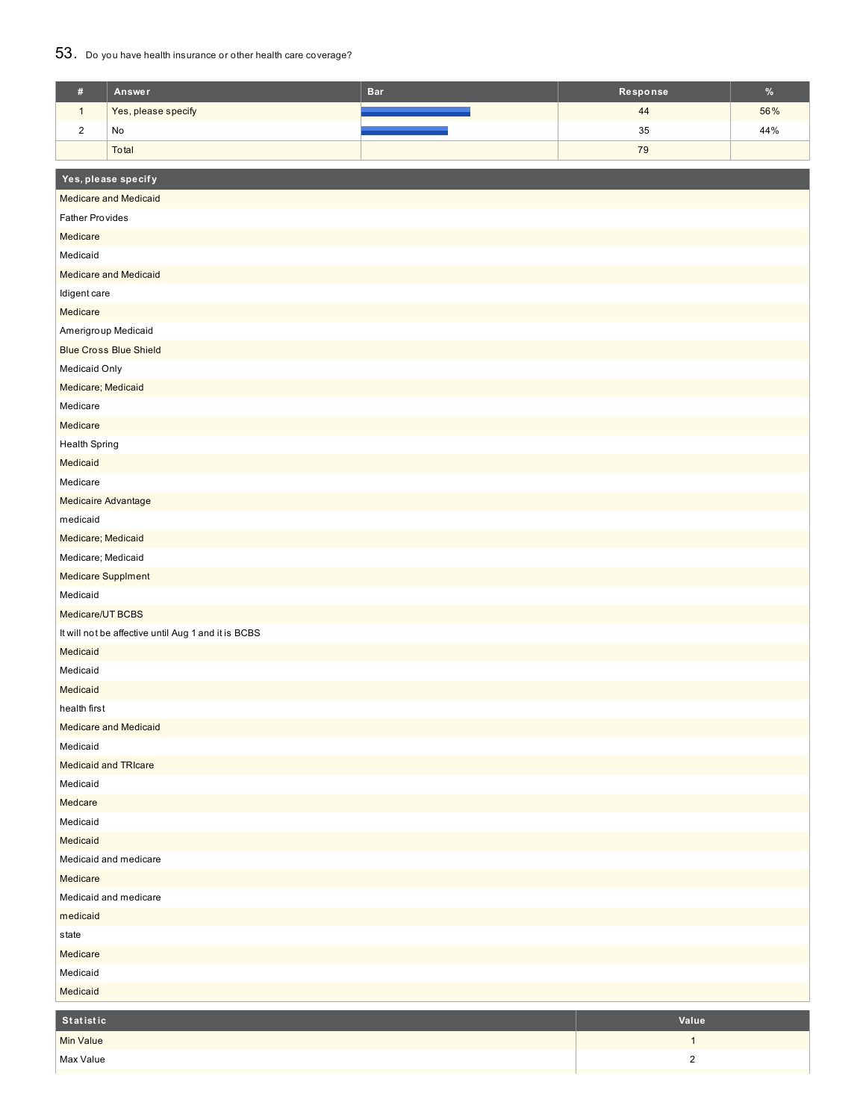### 53. Do you have health insurance or other health care coverage?

| $\#$                              | Answer                                              | <b>Bar</b> | Response     | $\%$ |  |  |
|-----------------------------------|-----------------------------------------------------|------------|--------------|------|--|--|
| $\mathbf{1}$                      | Yes, please specify                                 |            | 44           | 56%  |  |  |
| $\sqrt{2}$                        | No                                                  |            | 35           | 44%  |  |  |
|                                   | Total                                               |            | 79           |      |  |  |
|                                   |                                                     |            |              |      |  |  |
|                                   | Yes, please specify                                 |            |              |      |  |  |
|                                   | <b>Medicare and Medicaid</b>                        |            |              |      |  |  |
| <b>Father Provides</b>            |                                                     |            |              |      |  |  |
| Medicare                          |                                                     |            |              |      |  |  |
| Medicaid                          |                                                     |            |              |      |  |  |
|                                   | Medicare and Medicaid                               |            |              |      |  |  |
| Idigent care                      |                                                     |            |              |      |  |  |
| Medicare                          |                                                     |            |              |      |  |  |
| Amerigroup Medicaid               |                                                     |            |              |      |  |  |
|                                   | <b>Blue Cross Blue Shield</b>                       |            |              |      |  |  |
| Medicaid Only                     |                                                     |            |              |      |  |  |
| Medicare; Medicaid                |                                                     |            |              |      |  |  |
| Medicare                          |                                                     |            |              |      |  |  |
| Medicare                          |                                                     |            |              |      |  |  |
| <b>Health Spring</b>              |                                                     |            |              |      |  |  |
| Medicaid                          |                                                     |            |              |      |  |  |
| Medicare                          |                                                     |            |              |      |  |  |
| Medicaire Advantage               |                                                     |            |              |      |  |  |
| medicaid                          |                                                     |            |              |      |  |  |
| Medicare; Medicaid                |                                                     |            |              |      |  |  |
| Medicare; Medicaid                |                                                     |            |              |      |  |  |
| Medicare Supplment                |                                                     |            |              |      |  |  |
| Medicaid                          |                                                     |            |              |      |  |  |
| Medicare/UT BCBS                  |                                                     |            |              |      |  |  |
|                                   | It will not be affective until Aug 1 and it is BCBS |            |              |      |  |  |
| Medicaid                          |                                                     |            |              |      |  |  |
| Medicaid                          |                                                     |            |              |      |  |  |
| Medicaid                          |                                                     |            |              |      |  |  |
| health first                      |                                                     |            |              |      |  |  |
|                                   | <b>Medicare and Medicaid</b>                        |            |              |      |  |  |
| Medicaid                          | <b>Medicaid and TRIcare</b>                         |            |              |      |  |  |
| Medicaid                          |                                                     |            |              |      |  |  |
| Medcare                           |                                                     |            |              |      |  |  |
| Medicaid                          |                                                     |            |              |      |  |  |
| Medicaid                          |                                                     |            |              |      |  |  |
|                                   |                                                     |            |              |      |  |  |
| Medicaid and medicare<br>Medicare |                                                     |            |              |      |  |  |
| Medicaid and medicare             |                                                     |            |              |      |  |  |
| medicaid                          |                                                     |            |              |      |  |  |
| state                             |                                                     |            |              |      |  |  |
| Medicare                          |                                                     |            |              |      |  |  |
| Medicaid                          |                                                     |            |              |      |  |  |
| Medicaid                          |                                                     |            |              |      |  |  |
|                                   |                                                     |            |              |      |  |  |
| Statistic                         |                                                     |            | Value        |      |  |  |
| Min Value                         |                                                     |            | $\mathbf{1}$ |      |  |  |
| Max Value                         |                                                     |            | $\sqrt{2}$   |      |  |  |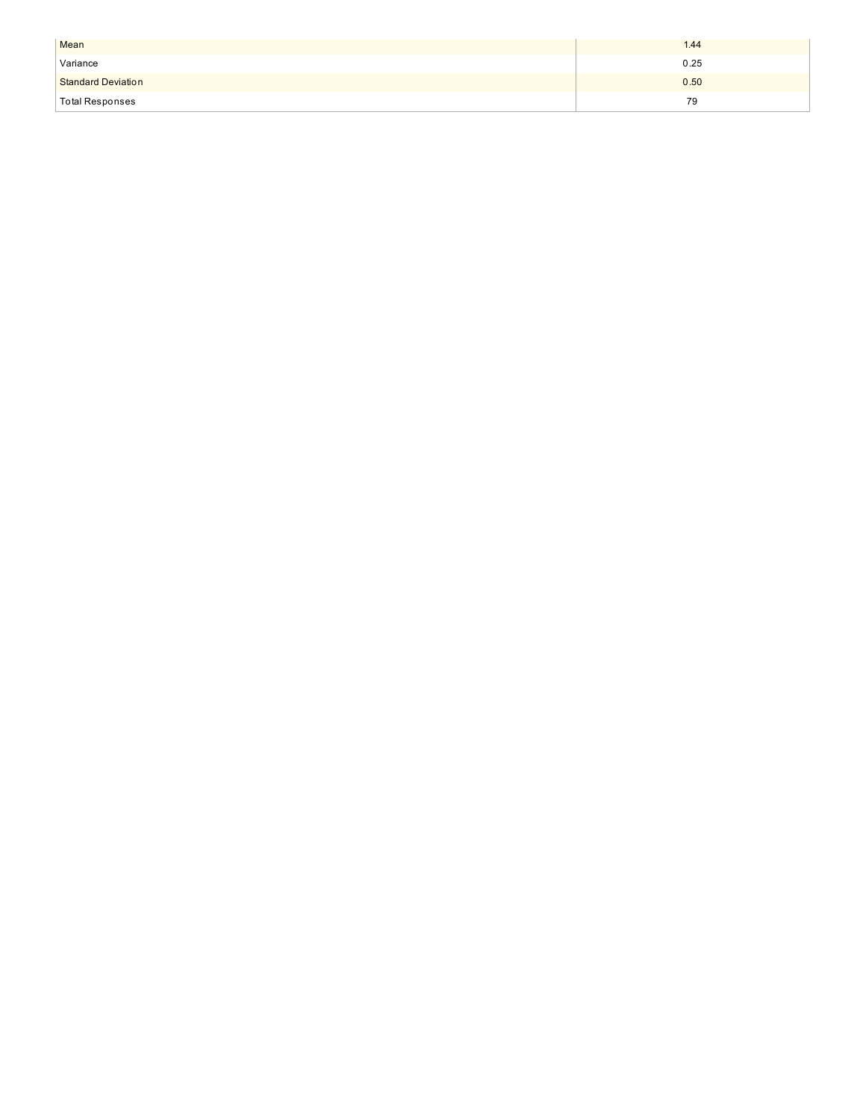| Mean                      | 1.44 |
|---------------------------|------|
| Variance                  | 0.25 |
| <b>Standard Deviation</b> | 0.50 |
| <b>Total Responses</b>    | 79   |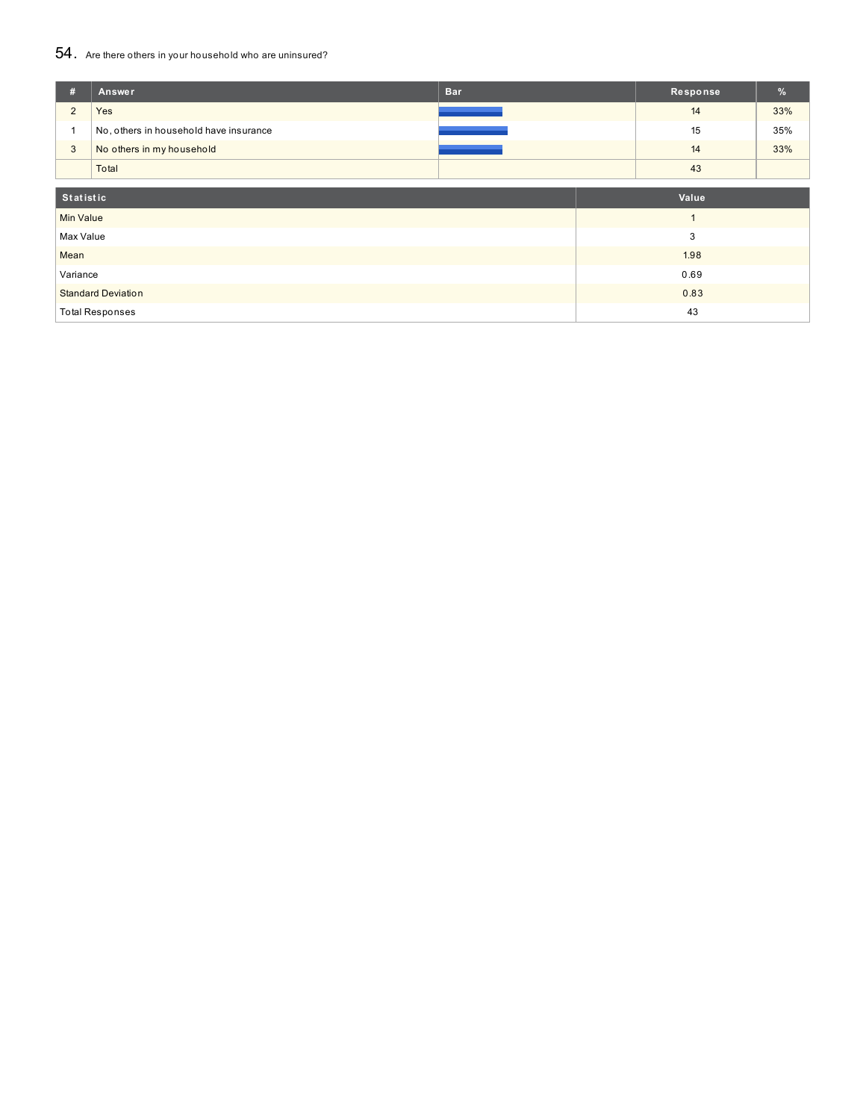## 54. Are there others in your household who are uninsured?

| #                         | Answer                                 | <b>Bar</b> | Response | %   |
|---------------------------|----------------------------------------|------------|----------|-----|
| $\overline{2}$            | Yes                                    |            | 14       | 33% |
|                           | No, others in household have insurance |            | 15       | 35% |
| 3                         | No others in my household              |            | 14       | 33% |
|                           | Total                                  |            | 43       |     |
| Statistic                 |                                        |            | Value    |     |
| <b>Min Value</b>          |                                        |            |          |     |
| Max Value                 |                                        |            | 3        |     |
| Mean                      |                                        |            | 1.98     |     |
| Variance                  |                                        |            | 0.69     |     |
| <b>Standard Deviation</b> |                                        |            | 0.83     |     |
|                           | <b>Total Responses</b>                 |            | 43       |     |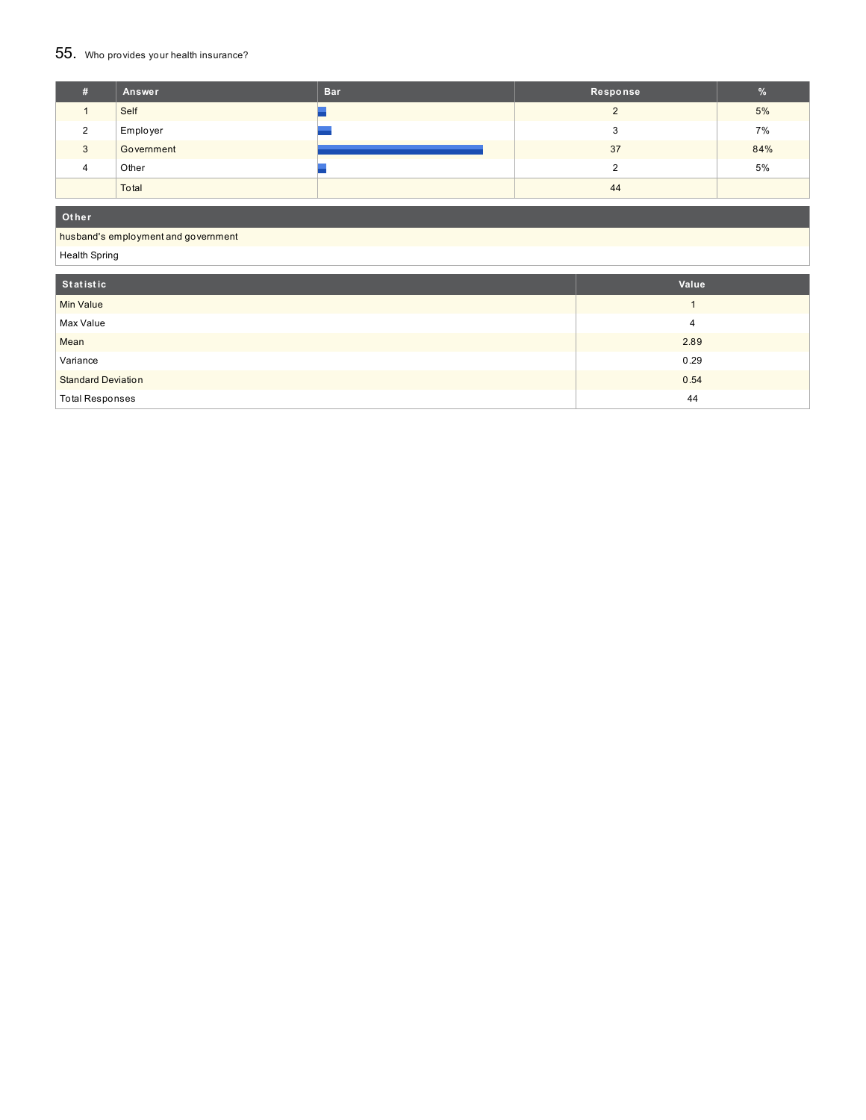## 55. Who provides your health insurance?

| #                  | Answer     | <b>Bar</b> | Response | %   |
|--------------------|------------|------------|----------|-----|
|                    | Self       |            |          | 5%  |
| ົ                  | Employer   |            | ◠<br>ه   | 7%  |
| 3                  | Government |            | 37       | 84% |
| $\mathbf{\Lambda}$ | Other      |            |          | 5%  |
|                    | Total      |            | 44       |     |

**Ot her**

#### husband's employment and government

Health Spring

| Statistic                 | Value |
|---------------------------|-------|
| <b>Min Value</b>          |       |
| Max Value                 | 4     |
| Mean                      | 2.89  |
| Variance                  | 0.29  |
| <b>Standard Deviation</b> | 0.54  |
| <b>Total Responses</b>    | 44    |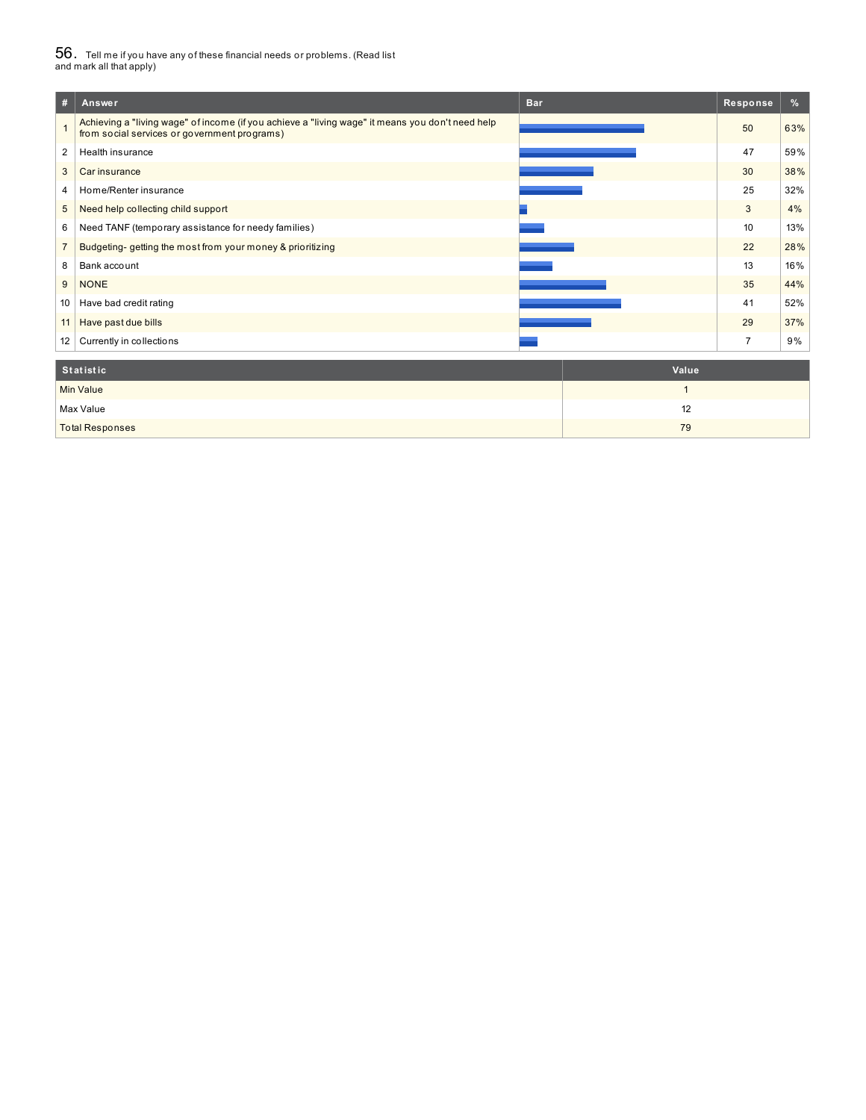# $56_\cdot$  Tell me if you have any of these financial needs or problems. (Read list<br>and mark all that apply)

| #                 | Answer                                                                                                                                           | <b>Bar</b> | Response       | %   |
|-------------------|--------------------------------------------------------------------------------------------------------------------------------------------------|------------|----------------|-----|
|                   | Achieving a "living wage" of income (if you achieve a "living wage" it means you don't need help<br>from social services or government programs) |            | 50             | 63% |
| 2                 | Health insurance                                                                                                                                 |            | 47             | 59% |
| 3                 | Car insurance                                                                                                                                    |            | 30             | 38% |
| 4                 | Home/Renter insurance                                                                                                                            |            | 25             | 32% |
| 5                 | Need help collecting child support                                                                                                               |            | 3              | 4%  |
| 6                 | Need TANF (temporary assistance for needy families)                                                                                              |            | 10             | 13% |
|                   | Budgeting-getting the most from your money & prioritizing                                                                                        |            | 22             | 28% |
| 8                 | Bank account                                                                                                                                     |            | 13             | 16% |
| 9                 | <b>NONE</b>                                                                                                                                      |            | 35             | 44% |
| 10 <sup>°</sup>   | Have bad credit rating                                                                                                                           |            | 41             | 52% |
| 11                | Have past due bills                                                                                                                              |            | 29             | 37% |
| $12 \overline{ }$ | Currently in collections                                                                                                                         |            | $\overline{7}$ | 9%  |
|                   |                                                                                                                                                  |            |                |     |

| Statistic              | Value |
|------------------------|-------|
| <b>Min Value</b>       |       |
| Max Value              | 12    |
| <b>Total Responses</b> | 79    |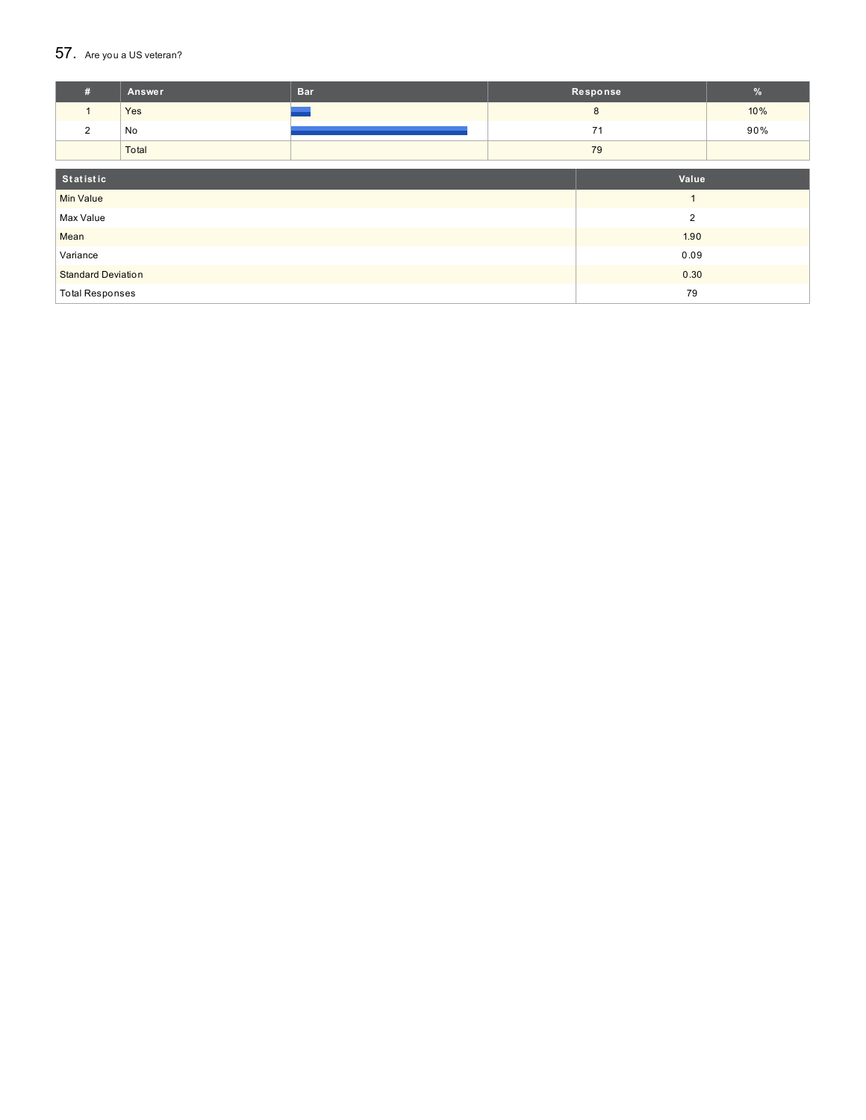### $57.$  Are you a US veteran?

| #                         | Answer | <b>Bar</b> |    | Response | $\%$ |
|---------------------------|--------|------------|----|----------|------|
| $\mathbf{1}$              | Yes    |            |    | 8        | 10%  |
| 2                         | No     |            |    | 71       | 90%  |
|                           | Total  |            |    | 79       |      |
|                           |        |            |    |          |      |
| Statistic                 |        |            |    | Value    |      |
| <b>Min Value</b>          | и      |            |    |          |      |
| Max Value                 |        |            |    | 2        |      |
| Mean                      |        |            |    | 1.90     |      |
| Variance                  |        | 0.09       |    |          |      |
| <b>Standard Deviation</b> |        | 0.30       |    |          |      |
| <b>Total Responses</b>    |        |            | 79 |          |      |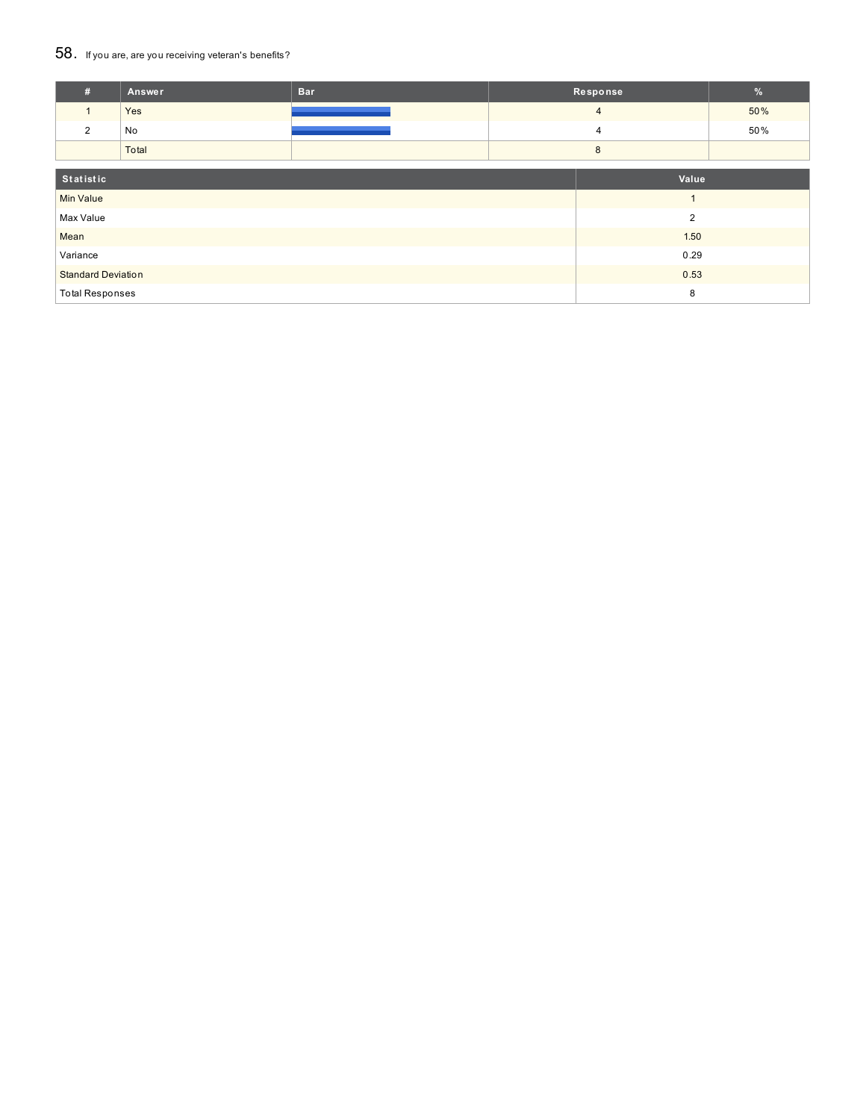### 58. If you are, are you receiving veteran's benefits?

| #                         | Answer | <b>Bar</b>     |  | Response       | %   |
|---------------------------|--------|----------------|--|----------------|-----|
| $\mathbf{1}$              | Yes    |                |  | $\overline{4}$ | 50% |
| 2                         | No     |                |  | 4              | 50% |
|                           | Total  |                |  | 8              |     |
| Statistic                 |        |                |  | Value          |     |
| <b>Min Value</b>          |        | $\overline{ }$ |  |                |     |
| Max Value                 |        |                |  | $\overline{2}$ |     |
| Mean                      |        |                |  | 1.50           |     |
| Variance                  |        | 0.29           |  |                |     |
| <b>Standard Deviation</b> |        | 0.53           |  |                |     |
| <b>Total Responses</b>    |        |                |  | 8              |     |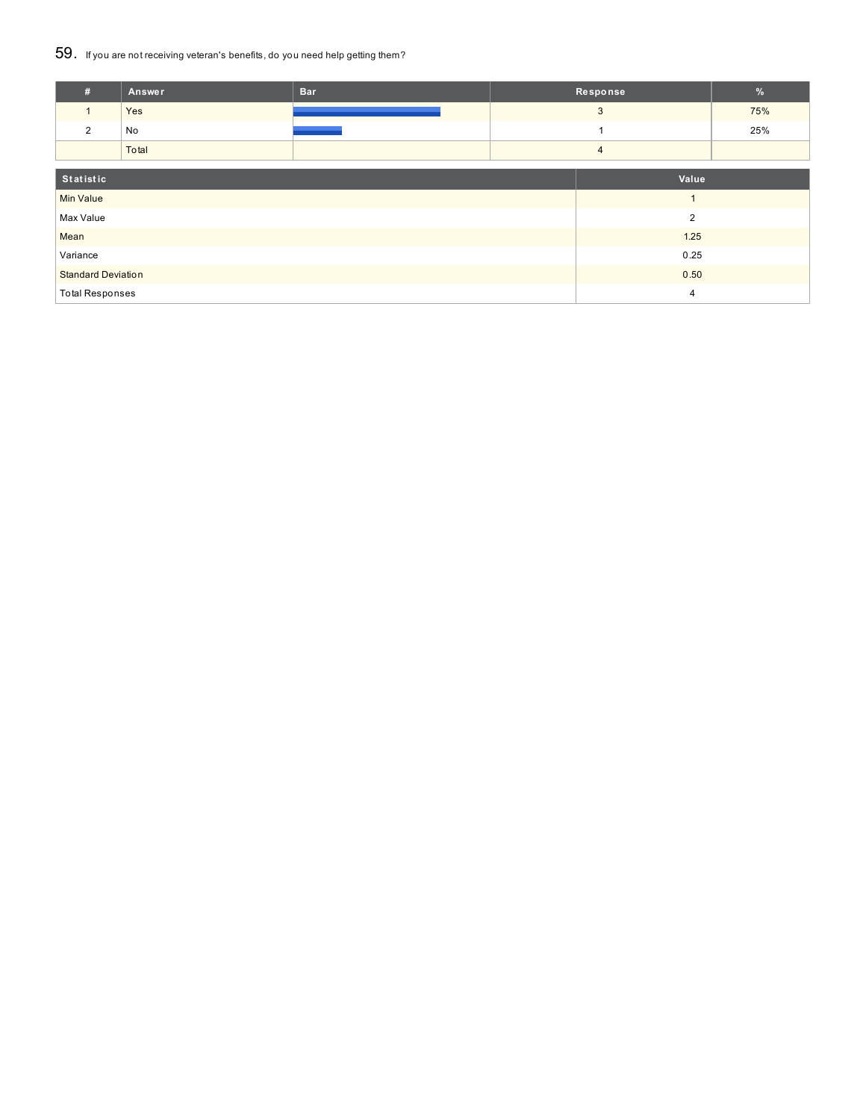### 59. If you are not receiving veteran's benefits, do you need help getting them?

| #                         | Answer | <b>Bar</b> |                | Response | %   |
|---------------------------|--------|------------|----------------|----------|-----|
| 1                         | Yes    |            |                | 3        | 75% |
| 2                         | No     |            |                |          | 25% |
|                           | Total  |            | $\overline{4}$ |          |     |
| Statistic                 |        | Value      |                |          |     |
| <b>Min Value</b>          |        |            |                |          |     |
| Max Value                 |        |            |                | 2        |     |
| Mean                      |        |            |                | 1.25     |     |
| Variance                  |        | 0.25       |                |          |     |
| <b>Standard Deviation</b> |        | 0.50       |                |          |     |
| <b>Total Responses</b>    |        |            | $\overline{4}$ |          |     |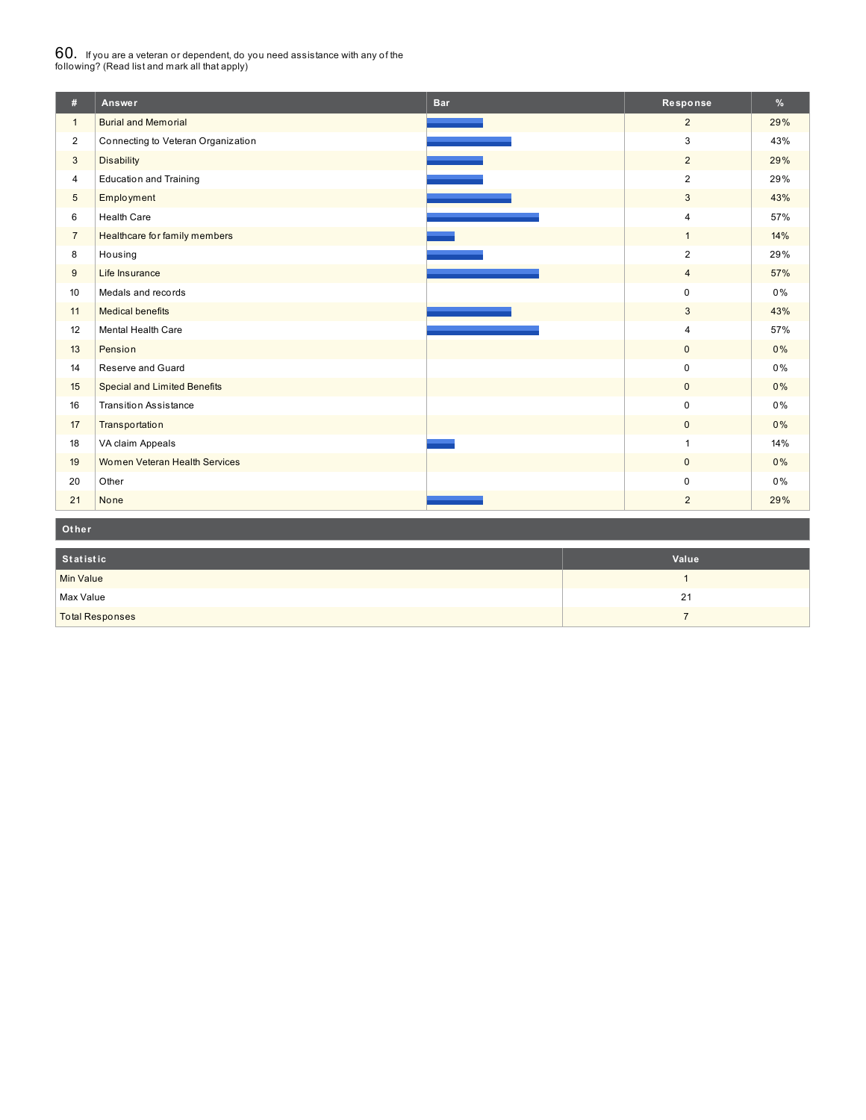## $60_\cdot$  If you are a veteran or dependent, do you need assistance with any of the<br>following? (Read list and mark all that apply)

| #              | Answer                              | <b>Bar</b> | Response       | $\frac{9}{6}$ |
|----------------|-------------------------------------|------------|----------------|---------------|
| $\mathbf{1}$   | <b>Burial and Memorial</b>          |            | $\overline{2}$ | 29%           |
| $\overline{2}$ | Connecting to Veteran Organization  |            | 3              | 43%           |
| 3              | <b>Disability</b>                   |            | $\overline{2}$ | 29%           |
| $\overline{4}$ | <b>Education and Training</b>       |            | $\overline{2}$ | 29%           |
| 5              | Employment                          |            | 3              | 43%           |
| 6              | <b>Health Care</b>                  |            | $\overline{4}$ | 57%           |
| $\overline{7}$ | Healthcare for family members       |            | $\mathbf{1}$   | 14%           |
| 8              | Housing                             |            | $\overline{2}$ | 29%           |
| 9              | Life Insurance                      |            | $\overline{4}$ | 57%           |
| 10             | Medals and records                  |            | $\pmb{0}$      | $0\%$         |
| 11             | <b>Medical benefits</b>             |            | 3              | 43%           |
| 12             | Mental Health Care                  |            | $\overline{4}$ | 57%           |
| 13             | Pension                             |            | $\mathbf{0}$   | $0\%$         |
| 14             | Reserve and Guard                   |            | $\mathbf 0$    | $0\%$         |
| 15             | <b>Special and Limited Benefits</b> |            | $\mathbf 0$    | 0%            |
| 16             | <b>Transition Assistance</b>        |            | $\pmb{0}$      | 0%            |
| 17             | Transportation                      |            | $\mathbf{0}$   | $0\%$         |
| 18             | VA claim Appeals                    |            | $\mathbf{1}$   | 14%           |
| 19             | Women Veteran Health Services       |            | $\mathbf 0$    | $0\%$         |
| 20             | Other                               |            | $\mathbf 0$    | 0%            |
| 21             | None                                |            | $\overline{2}$ | 29%           |

**Ot her**

| Statistic              | Value |
|------------------------|-------|
| Min Value              |       |
| Max Value              | 21    |
| <b>Total Responses</b> |       |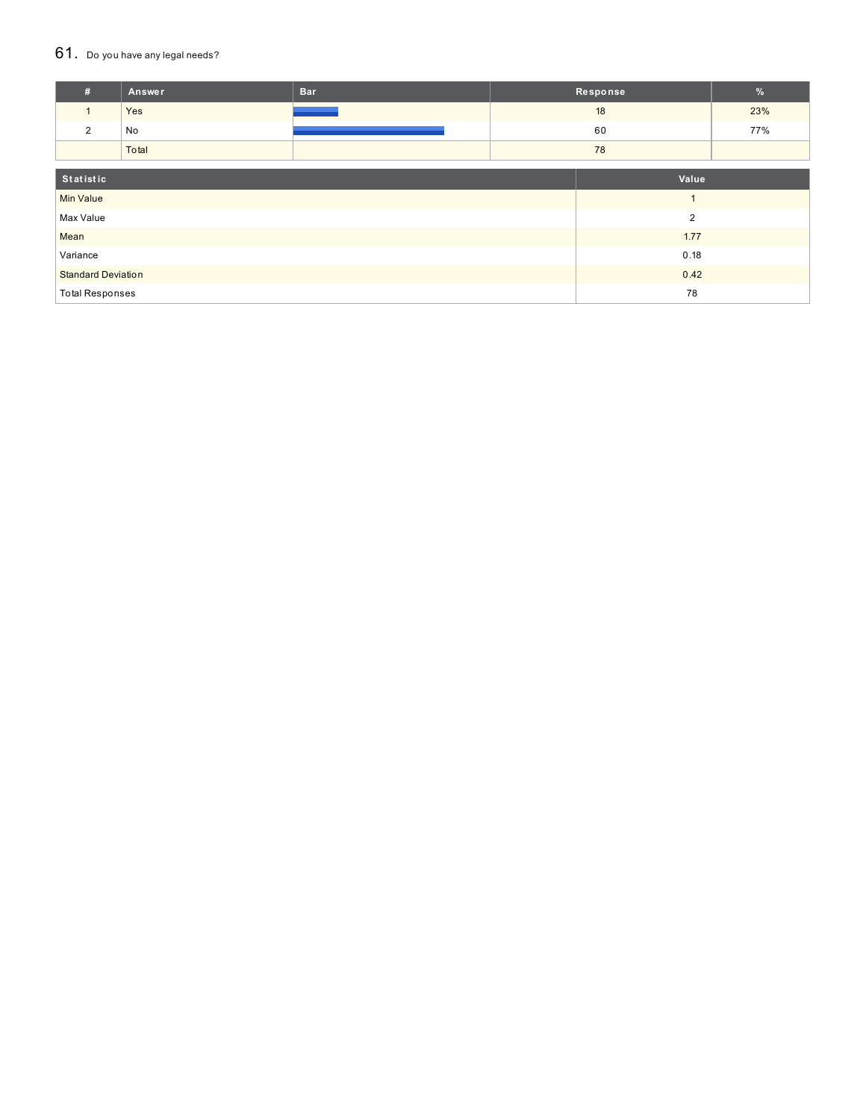#### $61.$  Do you have any legal needs?

| #                         | Answer | <b>Bar</b> |       | Response       | %   |
|---------------------------|--------|------------|-------|----------------|-----|
| $\mathbf{1}$              | Yes    |            |       | 18             | 23% |
| $\overline{2}$            | No     |            |       | 60             | 77% |
|                           | Total  |            |       | 78             |     |
| Statistic                 |        |            | Value |                |     |
| <b>Min Value</b>          |        |            |       | $\overline{1}$ |     |
| Max Value                 |        |            |       | $\overline{2}$ |     |
| Mean                      |        |            |       | 1.77           |     |
| Variance                  |        | 0.18       |       |                |     |
| <b>Standard Deviation</b> |        | 0.42       |       |                |     |
| <b>Total Responses</b>    |        |            | 78    |                |     |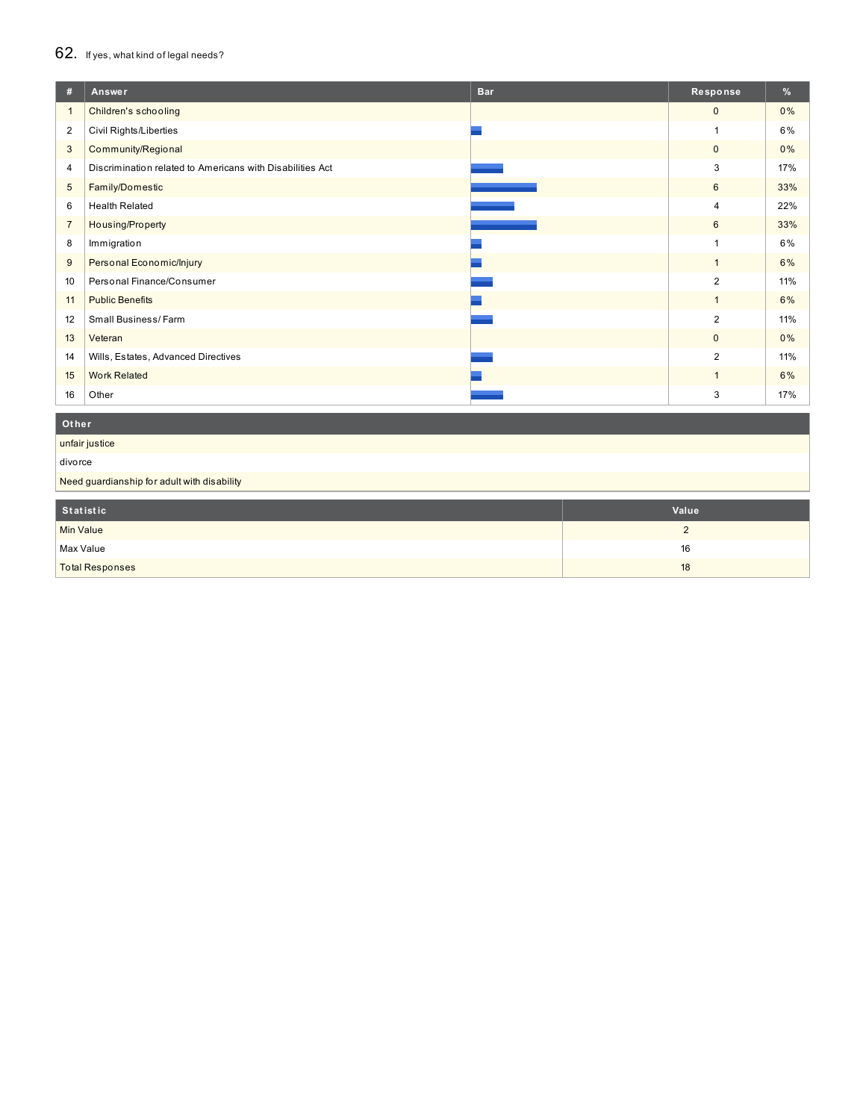## 62. If yes, what kind of legal needs?

| #              | <b>Bar</b><br>Answer                                      | Response       | %     |
|----------------|-----------------------------------------------------------|----------------|-------|
| $\mathbf{1}$   | Children's schooling                                      | $\mathbf{0}$   | 0%    |
| $\overline{2}$ | Civil Rights/Liberties                                    | 1              | 6%    |
| 3              | Community/Regional                                        | $\mathbf 0$    | 0%    |
| 4              | Discrimination related to Americans with Disabilities Act | 3              | 17%   |
| 5              | Family/Domestic                                           | 6              | 33%   |
| 6              | <b>Health Related</b>                                     | $\overline{4}$ | 22%   |
| $\overline{7}$ | Housing/Property                                          | 6              | 33%   |
| 8              | Immigration                                               |                | 6%    |
| 9              | Personal Economic/Injury                                  | $\overline{1}$ | 6%    |
| 10             | Personal Finance/Consumer                                 | $\overline{2}$ | 11%   |
| 11             | <b>Public Benefits</b>                                    | $\mathbf{1}$   | 6%    |
| 12             | Small Business/Farm                                       | 2              | 11%   |
| 13             | Veteran                                                   | $\mathbf 0$    | $0\%$ |
| 14             | Wills, Estates, Advanced Directives                       | $\overline{2}$ | 11%   |
| 15             | <b>Work Related</b>                                       | $\mathbf{1}$   | 6%    |
| 16             | Other                                                     | 3              | 17%   |

### **Ot her**

unfair justice

divorce

Need guardianship for adult with disability

| Statistic              | Value |
|------------------------|-------|
| Min Value              |       |
| Max Value              | 16    |
| <b>Total Responses</b> | 18    |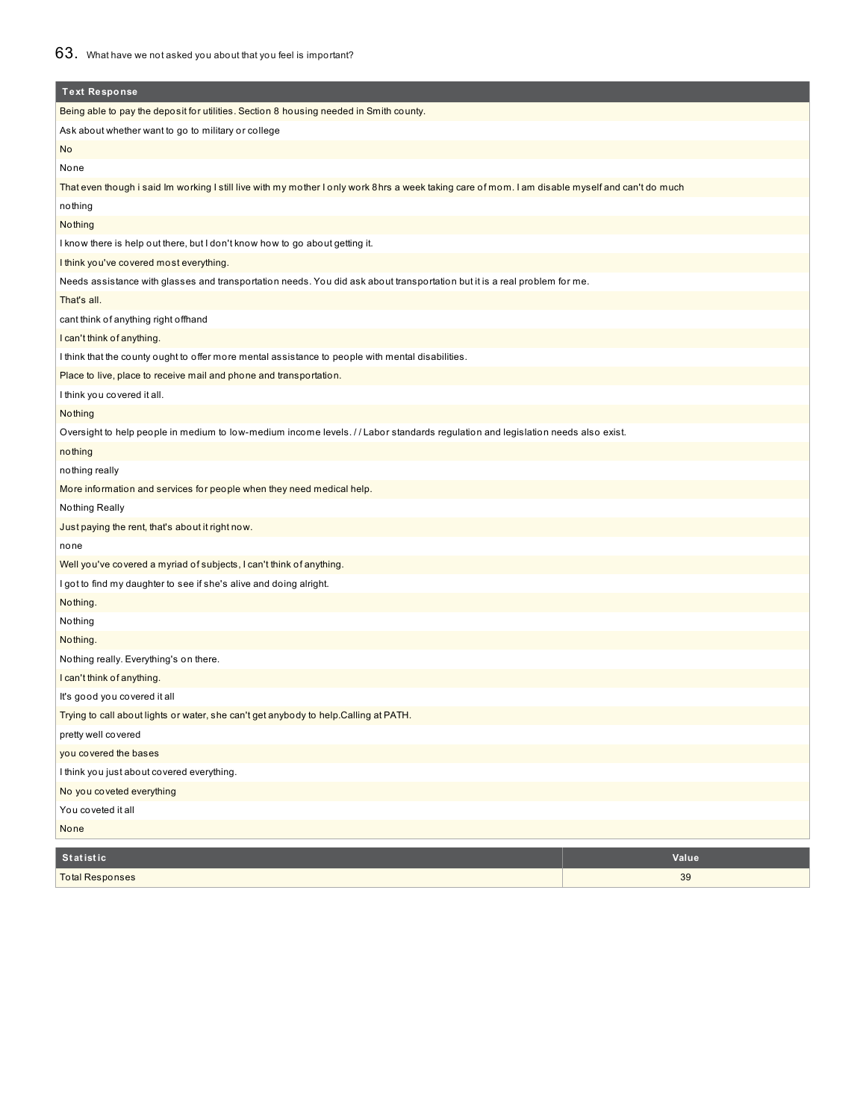| <b>Text Response</b>                                                                                                                             |       |  |
|--------------------------------------------------------------------------------------------------------------------------------------------------|-------|--|
| Being able to pay the deposit for utilities. Section 8 housing needed in Smith county.                                                           |       |  |
| Ask about whether want to go to military or college                                                                                              |       |  |
| No                                                                                                                                               |       |  |
| None                                                                                                                                             |       |  |
| That even though i said Im working I still live with my mother I only work 8hrs a week taking care of mom. I am disable myself and can't do much |       |  |
| nothing                                                                                                                                          |       |  |
| Nothing                                                                                                                                          |       |  |
| I know there is help out there, but I don't know how to go about getting it.                                                                     |       |  |
| I think you've covered most everything.                                                                                                          |       |  |
| Needs assistance with glasses and transportation needs. You did ask about transportation but it is a real problem for me.                        |       |  |
| That's all.                                                                                                                                      |       |  |
| cant think of anything right offhand                                                                                                             |       |  |
| I can't think of anything.                                                                                                                       |       |  |
| I think that the county ought to offer more mental assistance to people with mental disabilities.                                                |       |  |
| Place to live, place to receive mail and phone and transportation.                                                                               |       |  |
| I think you covered it all.                                                                                                                      |       |  |
| Nothing                                                                                                                                          |       |  |
| Oversight to help people in medium to low-medium income levels. // Labor standards regulation and legislation needs also exist.                  |       |  |
| nothing                                                                                                                                          |       |  |
| nothing really                                                                                                                                   |       |  |
| More information and services for people when they need medical help.                                                                            |       |  |
| Nothing Really                                                                                                                                   |       |  |
| Just paying the rent, that's about it right now.                                                                                                 |       |  |
| none                                                                                                                                             |       |  |
| Well you've covered a myriad of subjects, I can't think of anything.                                                                             |       |  |
| I got to find my daughter to see if she's alive and doing alright.                                                                               |       |  |
| Nothing.                                                                                                                                         |       |  |
| Nothing                                                                                                                                          |       |  |
| Nothing.                                                                                                                                         |       |  |
| Nothing really. Everything's on there.                                                                                                           |       |  |
| I can't think of anything.                                                                                                                       |       |  |
| It's good you covered it all                                                                                                                     |       |  |
| Trying to call about lights or water, she can't get anybody to help.Calling at PATH.                                                             |       |  |
| pretty well covered                                                                                                                              |       |  |
| you covered the bases                                                                                                                            |       |  |
| I think you just about covered everything.                                                                                                       |       |  |
| No you coveted everything                                                                                                                        |       |  |
| You coveted it all                                                                                                                               |       |  |
| None                                                                                                                                             |       |  |
| <b>Statistic</b>                                                                                                                                 | Value |  |
| <b>Total Responses</b>                                                                                                                           | 39    |  |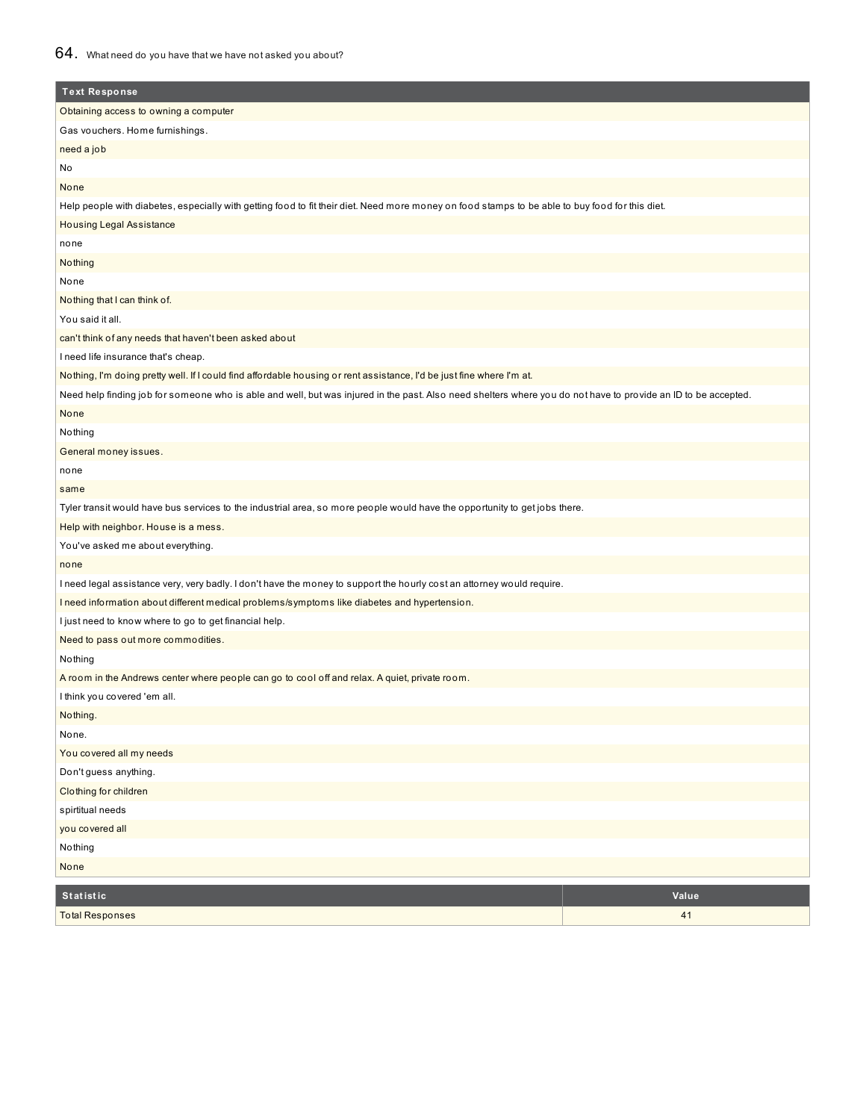| <b>Text Response</b>                                                                                                                                           |
|----------------------------------------------------------------------------------------------------------------------------------------------------------------|
| Obtaining access to owning a computer                                                                                                                          |
| Gas vouchers. Home furnishings.                                                                                                                                |
| need a job                                                                                                                                                     |
| No                                                                                                                                                             |
| None                                                                                                                                                           |
| Help people with diabetes, especially with getting food to fit their diet. Need more money on food stamps to be able to buy food for this diet.                |
| <b>Housing Legal Assistance</b>                                                                                                                                |
| none                                                                                                                                                           |
| Nothing                                                                                                                                                        |
| None                                                                                                                                                           |
| Nothing that I can think of.                                                                                                                                   |
| You said it all.                                                                                                                                               |
| can't think of any needs that haven't been asked about                                                                                                         |
| I need life insurance that's cheap.                                                                                                                            |
| Nothing, I'm doing pretty well. If I could find affordable housing or rent assistance, I'd be just fine where I'm at.                                          |
| Need help finding job for someone who is able and well, but was injured in the past. Also need shelters where you do not have to provide an ID to be accepted. |
| None                                                                                                                                                           |
| Nothing                                                                                                                                                        |
| General money issues.                                                                                                                                          |
| none                                                                                                                                                           |
| same                                                                                                                                                           |
| Tyler transit would have bus services to the industrial area, so more people would have the opportunity to get jobs there.                                     |
| Help with neighbor. House is a mess.                                                                                                                           |
| You've asked me about everything.                                                                                                                              |
| none                                                                                                                                                           |
| I need legal assistance very, very badly. I don't have the money to support the hourly cost an attorney would require.                                         |
| I need information about different medical problems/symptoms like diabetes and hypertension.                                                                   |
| I just need to know where to go to get financial help.                                                                                                         |
| Need to pass out more commodities.                                                                                                                             |
| Nothing                                                                                                                                                        |
| A room in the Andrews center where people can go to cool off and relax. A quiet, private room.                                                                 |
| I think you covered 'em all.                                                                                                                                   |
| Nothing.                                                                                                                                                       |
| None.                                                                                                                                                          |
| You covered all my needs                                                                                                                                       |
| Don't guess anything.                                                                                                                                          |
| Clothing for children                                                                                                                                          |
| spirtitual needs                                                                                                                                               |
| you covered all                                                                                                                                                |
| Nothing                                                                                                                                                        |
| None                                                                                                                                                           |
| <b>Statistic</b><br>Value                                                                                                                                      |

| . Statistic            | valu |
|------------------------|------|
| <b>Total Responses</b> |      |